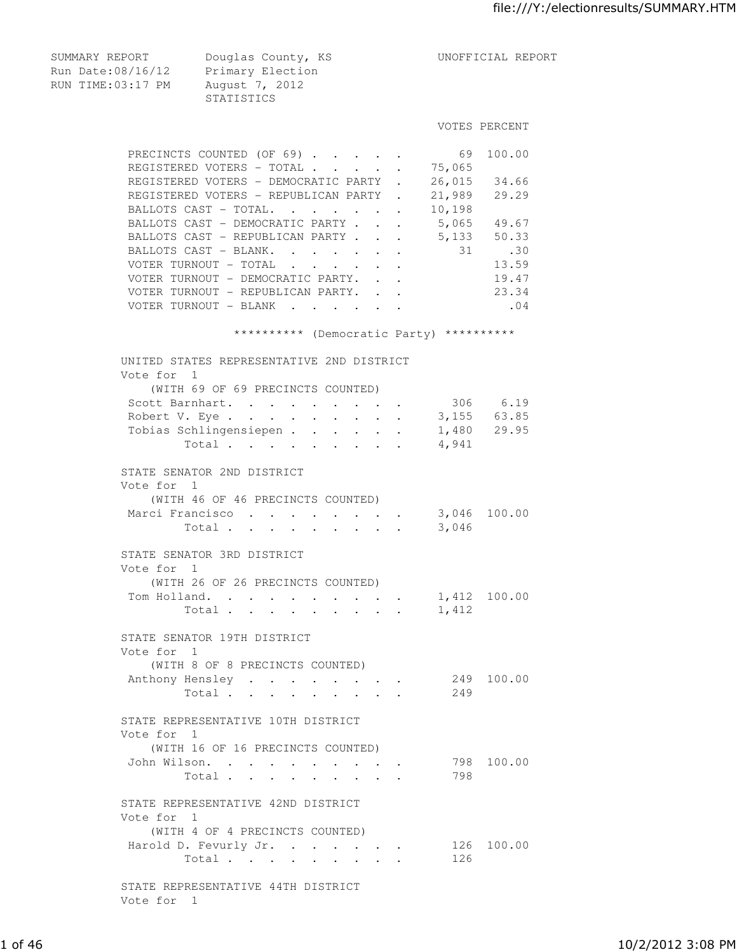Run Date:08/16/12 Primary Election RUN TIME:03:17 PM August 7, 2012 STATISTICS VOTES PERCENT PRECINCTS COUNTED (OF 69) . . . . . . 69 100.00 REGISTERED VOTERS - TOTAL . . . . . 75,065 REGISTERED VOTERS - DEMOCRATIC PARTY . 26,015 34.66 REGISTERED VOTERS - REPUBLICAN PARTY . 21,989 29.29 BALLOTS CAST - TOTAL. . . . . . 10,198 BALLOTS CAST - DEMOCRATIC PARTY . . . 5,065 49.67 BALLOTS CAST - REPUBLICAN PARTY . . . 5,133 50.33<br>BALLOTS CAST - BLANK. . . . . . . 31 .30 BALLOTS CAST - BLANK. . . . . . . VOTER TURNOUT - TOTAL . . . . . . 13.59 VOTER TURNOUT - DEMOCRATIC PARTY. . . 49.47 VOTER TURNOUT - REPUBLICAN PARTY. . . 23.34 VOTER TURNOUT - BLANK . . . . . . . 04 \*\*\*\*\*\*\*\*\*\* (Democratic Party) \*\*\*\*\*\*\*\*\*\* UNITED STATES REPRESENTATIVE 2ND DISTRICT Vote for 1 (WITH 69 OF 69 PRECINCTS COUNTED) Scott Barnhart. . . . . . . . . 306 6.19 Robert V. Eye . . . . . . . . . 3,155 63.85 Tobias Schlingensiepen . . . . . . 1,480 29.95 Total . . . . . . . . . 4,941 STATE SENATOR 2ND DISTRICT Vote for 1 (WITH 46 OF 46 PRECINCTS COUNTED) Marci Francisco . . . . . . . 3,046 100.00 Total . . . . . . . . . 3,046 STATE SENATOR 3RD DISTRICT Vote for 1 (WITH 26 OF 26 PRECINCTS COUNTED) Tom Holland. . . . . . . . . . 1,412 100.00 Total . . . . . . . . . 1,412 STATE SENATOR 19TH DISTRICT Vote for 1 (WITH 8 OF 8 PRECINCTS COUNTED) Anthony Hensley . . . . . . . . 249 100.00 Total . . . . . . . . . 249 STATE REPRESENTATIVE 10TH DISTRICT Vote for 1 (WITH 16 OF 16 PRECINCTS COUNTED) John Wilson. . . . . . . . . . 798 100.00 Total . . . . . . . . . 798 STATE REPRESENTATIVE 42ND DISTRICT Vote for 1 (WITH 4 OF 4 PRECINCTS COUNTED) Harold D. Fevurly Jr. . . . . . . 126 100.00 Total . . . . . . . . . 126

SUMMARY REPORT Douglas County, KS UNOFFICIAL REPORT

 STATE REPRESENTATIVE 44TH DISTRICT Vote for 1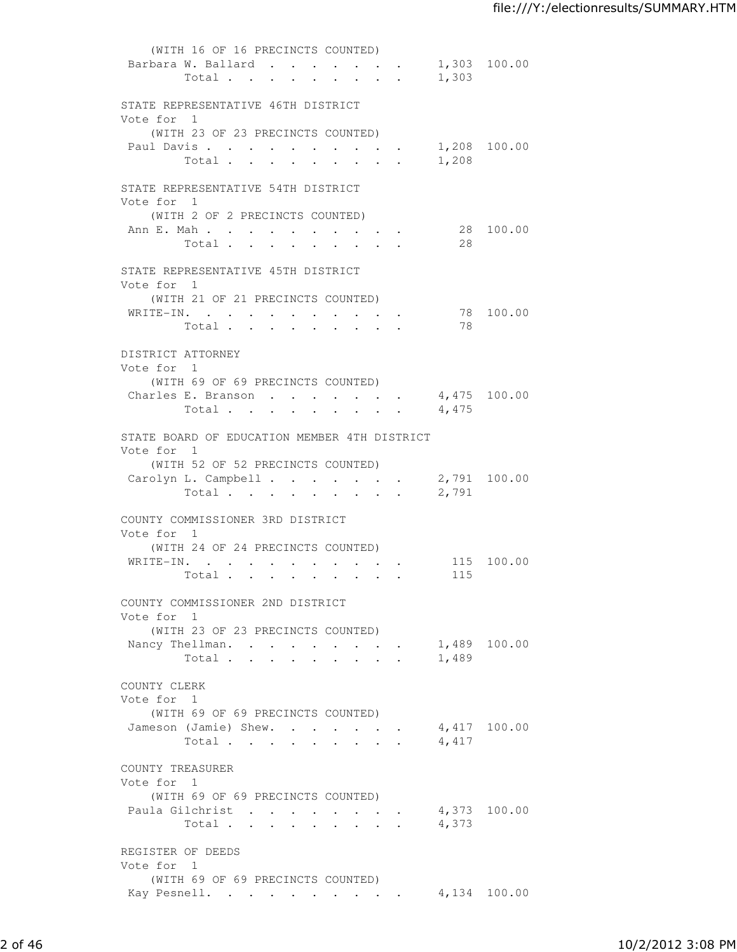| (WITH 16 OF 16 PRECINCTS COUNTED)                            |              |              |
|--------------------------------------------------------------|--------------|--------------|
| Barbara W. Ballard<br>Total                                  | 1,303        | 1,303 100.00 |
|                                                              |              |              |
| STATE REPRESENTATIVE 46TH DISTRICT                           |              |              |
| Vote for 1                                                   |              |              |
| (WITH 23 OF 23 PRECINCTS COUNTED)<br>Paul Davis 1,208 100.00 |              |              |
| Total                                                        | 1,208        |              |
| STATE REPRESENTATIVE 54TH DISTRICT                           |              |              |
| Vote for 1                                                   |              |              |
| (WITH 2 OF 2 PRECINCTS COUNTED)                              |              |              |
| Ann E. Mah                                                   | 28           | 28 100.00    |
| Total                                                        |              |              |
| STATE REPRESENTATIVE 45TH DISTRICT                           |              |              |
| Vote for 1<br>(WITH 21 OF 21 PRECINCTS COUNTED)              |              |              |
| WRITE-IN.                                                    |              | 78 100.00    |
| Total                                                        | 78           |              |
| DISTRICT ATTORNEY                                            |              |              |
| Vote for 1                                                   |              |              |
| (WITH 69 OF 69 PRECINCTS COUNTED)                            |              |              |
| Charles E. Branson 4,475 100.00<br>Total                     | 4,475        |              |
|                                                              |              |              |
| STATE BOARD OF EDUCATION MEMBER 4TH DISTRICT                 |              |              |
| Vote for 1<br>(WITH 52 OF 52 PRECINCTS COUNTED)              |              |              |
| Carolyn L. Campbell                                          | 2,791 100.00 |              |
| Total                                                        | 2,791        |              |
| COUNTY COMMISSIONER 3RD DISTRICT                             |              |              |
| Vote for 1                                                   |              |              |
| (WITH 24 OF 24 PRECINCTS COUNTED)                            |              |              |
| WRITE-IN.<br>Total                                           | 115          | 115 100.00   |
|                                                              |              |              |
| COUNTY COMMISSIONER 2ND DISTRICT                             |              |              |
| Vote for 1<br>(WITH 23 OF 23 PRECINCTS COUNTED)              |              |              |
| Nancy Thellman.                                              |              | 1,489 100.00 |
| Total                                                        | 1,489        |              |
| COUNTY CLERK                                                 |              |              |
| Vote for 1                                                   |              |              |
| (WITH 69 OF 69 PRECINCTS COUNTED)                            |              |              |
| Jameson (Jamie) Shew.<br>Total                               | 4,417        | 4,417 100.00 |
|                                                              |              |              |
| COUNTY TREASURER                                             |              |              |
| Vote for 1<br>(WITH 69 OF 69 PRECINCTS COUNTED)              |              |              |
| Paula Gilchrist                                              | 4,373 100.00 |              |
| Total                                                        | 4,373        |              |
| REGISTER OF DEEDS                                            |              |              |
| Vote for 1                                                   |              |              |
| (WITH 69 OF 69 PRECINCTS COUNTED)                            |              |              |
| Kay Pesnell. 4,134 100.00                                    |              |              |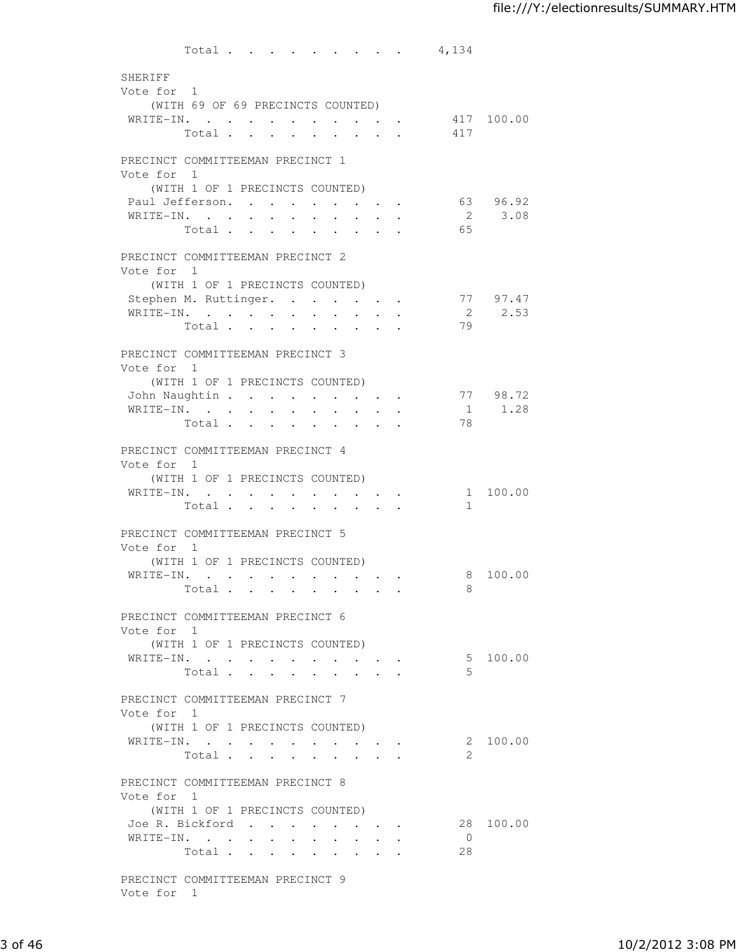| SHERIFF                          |                                   | Total |                                                                                             |                      |                      |                      |                                                             | 4,134                |           |
|----------------------------------|-----------------------------------|-------|---------------------------------------------------------------------------------------------|----------------------|----------------------|----------------------|-------------------------------------------------------------|----------------------|-----------|
|                                  |                                   |       |                                                                                             |                      |                      |                      |                                                             |                      |           |
| Vote for 1                       |                                   |       |                                                                                             |                      |                      |                      |                                                             |                      |           |
|                                  |                                   |       |                                                                                             |                      |                      |                      |                                                             |                      |           |
|                                  | (WITH 69 OF 69 PRECINCTS COUNTED) |       |                                                                                             |                      |                      |                      |                                                             |                      |           |
|                                  |                                   |       |                                                                                             |                      |                      |                      |                                                             | WRITE-IN. 417 100.00 |           |
|                                  |                                   |       |                                                                                             |                      |                      |                      |                                                             | Total 417            |           |
|                                  |                                   |       |                                                                                             |                      |                      |                      |                                                             |                      |           |
| PRECINCT COMMITTEEMAN PRECINCT 1 |                                   |       |                                                                                             |                      |                      |                      |                                                             |                      |           |
| Vote for 1                       |                                   |       |                                                                                             |                      |                      |                      |                                                             |                      |           |
|                                  | (WITH 1 OF 1 PRECINCTS COUNTED)   |       |                                                                                             |                      |                      |                      |                                                             |                      |           |
| Paul Jefferson.                  |                                   |       | $\ddot{\phantom{0}}$                                                                        |                      |                      |                      |                                                             |                      | 63 96.92  |
| WRITE-IN.                        |                                   |       |                                                                                             |                      |                      |                      |                                                             |                      | 2 3.08    |
|                                  | Total                             |       | $\ddot{\phantom{a}}$<br>$\ddot{\phantom{a}}$                                                | $\ddot{\phantom{a}}$ | $\ddot{\phantom{a}}$ | $\ddot{\phantom{a}}$ |                                                             | 65                   |           |
|                                  |                                   |       |                                                                                             |                      |                      |                      |                                                             |                      |           |
| PRECINCT COMMITTEEMAN PRECINCT 2 |                                   |       |                                                                                             |                      |                      |                      |                                                             |                      |           |
| Vote for 1                       |                                   |       |                                                                                             |                      |                      |                      |                                                             |                      |           |
|                                  | (WITH 1 OF 1 PRECINCTS COUNTED)   |       |                                                                                             |                      |                      |                      |                                                             |                      |           |
| Stephen M. Ruttinger.            |                                   |       |                                                                                             |                      |                      |                      |                                                             |                      | 77 97.47  |
| WRITE-IN.                        |                                   |       |                                                                                             |                      |                      | $\sim$ 100 $\pm$     |                                                             |                      | 2 2.53    |
|                                  | Total                             |       |                                                                                             |                      |                      |                      |                                                             | 79                   |           |
|                                  |                                   |       |                                                                                             |                      |                      |                      |                                                             |                      |           |
| PRECINCT COMMITTEEMAN PRECINCT 3 |                                   |       |                                                                                             |                      |                      |                      |                                                             |                      |           |
| Vote for 1                       |                                   |       |                                                                                             |                      |                      |                      |                                                             |                      |           |
|                                  | (WITH 1 OF 1 PRECINCTS COUNTED)   |       |                                                                                             |                      |                      |                      |                                                             |                      |           |
| John Naughtin                    |                                   |       |                                                                                             |                      |                      |                      |                                                             |                      | 77 98.72  |
| WRITE-IN.                        |                                   |       |                                                                                             | $\ddot{\phantom{a}}$ | $\ddot{\phantom{0}}$ | $\sim$               |                                                             |                      | 1 1.28    |
|                                  | Total.                            |       |                                                                                             |                      |                      |                      |                                                             | 78                   |           |
|                                  |                                   |       |                                                                                             |                      |                      |                      |                                                             |                      |           |
| PRECINCT COMMITTEEMAN PRECINCT 4 |                                   |       |                                                                                             |                      |                      |                      |                                                             |                      |           |
| Vote for 1                       |                                   |       |                                                                                             |                      |                      |                      |                                                             |                      |           |
|                                  |                                   |       |                                                                                             |                      |                      |                      |                                                             |                      |           |
|                                  | (WITH 1 OF 1 PRECINCTS COUNTED)   |       |                                                                                             |                      |                      |                      |                                                             |                      |           |
| WRITE-IN.                        |                                   |       |                                                                                             |                      | <b>All Cards</b>     |                      | $\mathbf{r} = \mathbf{r} + \mathbf{r} + \mathbf{r}$ .       |                      | 1 100.00  |
|                                  | Total                             |       | $\mathcal{A}^{\mathcal{A}}$ and $\mathcal{A}^{\mathcal{A}}$ and $\mathcal{A}^{\mathcal{A}}$ | $\sim 100$           |                      |                      |                                                             | $\mathbf{1}$         |           |
|                                  |                                   |       |                                                                                             |                      |                      |                      |                                                             |                      |           |
| PRECINCT COMMITTEEMAN PRECINCT 5 |                                   |       |                                                                                             |                      |                      |                      |                                                             |                      |           |
| Vote for 1                       |                                   |       |                                                                                             |                      |                      |                      |                                                             |                      |           |
|                                  | (WITH 1 OF 1 PRECINCTS COUNTED)   |       |                                                                                             |                      |                      |                      |                                                             |                      |           |
| WRITE-IN.                        |                                   |       |                                                                                             | $\sim 100$           |                      |                      | $\bullet$ .<br><br><br><br><br><br><br><br><br><br><br><br> |                      | 8 100.00  |
|                                  | Total                             |       |                                                                                             |                      |                      |                      |                                                             | 8                    |           |
|                                  |                                   |       |                                                                                             |                      |                      |                      |                                                             |                      |           |
| PRECINCT COMMITTEEMAN PRECINCT 6 |                                   |       |                                                                                             |                      |                      |                      |                                                             |                      |           |
| Vote for 1                       |                                   |       |                                                                                             |                      |                      |                      |                                                             |                      |           |
|                                  | (WITH 1 OF 1 PRECINCTS COUNTED)   |       |                                                                                             |                      |                      |                      |                                                             |                      |           |
| WRITE-IN.                        |                                   |       |                                                                                             |                      |                      |                      |                                                             |                      | 5 100.00  |
|                                  | Total                             |       |                                                                                             |                      |                      |                      |                                                             | 5                    |           |
|                                  |                                   |       |                                                                                             |                      |                      |                      |                                                             |                      |           |
| PRECINCT COMMITTEEMAN PRECINCT 7 |                                   |       |                                                                                             |                      |                      |                      |                                                             |                      |           |
| Vote for 1                       |                                   |       |                                                                                             |                      |                      |                      |                                                             |                      |           |
|                                  | (WITH 1 OF 1 PRECINCTS COUNTED)   |       |                                                                                             |                      |                      |                      |                                                             |                      |           |
|                                  |                                   |       |                                                                                             |                      |                      |                      |                                                             |                      | 2 100.00  |
| WRITE-IN.                        | Total                             |       |                                                                                             |                      |                      |                      |                                                             | 2                    |           |
|                                  |                                   |       |                                                                                             |                      |                      |                      |                                                             |                      |           |
|                                  |                                   |       |                                                                                             |                      |                      |                      |                                                             |                      |           |
| PRECINCT COMMITTEEMAN PRECINCT 8 |                                   |       |                                                                                             |                      |                      |                      |                                                             |                      |           |
| Vote for 1                       |                                   |       |                                                                                             |                      |                      |                      |                                                             |                      |           |
|                                  | (WITH 1 OF 1 PRECINCTS COUNTED)   |       |                                                                                             |                      |                      |                      |                                                             |                      |           |
|                                  |                                   |       |                                                                                             |                      |                      |                      |                                                             |                      |           |
| Joe R. Bickford                  |                                   |       |                                                                                             |                      |                      |                      |                                                             |                      |           |
| WRITE-IN.                        | Total                             |       |                                                                                             |                      |                      |                      |                                                             | $\overline{0}$<br>28 | 28 100.00 |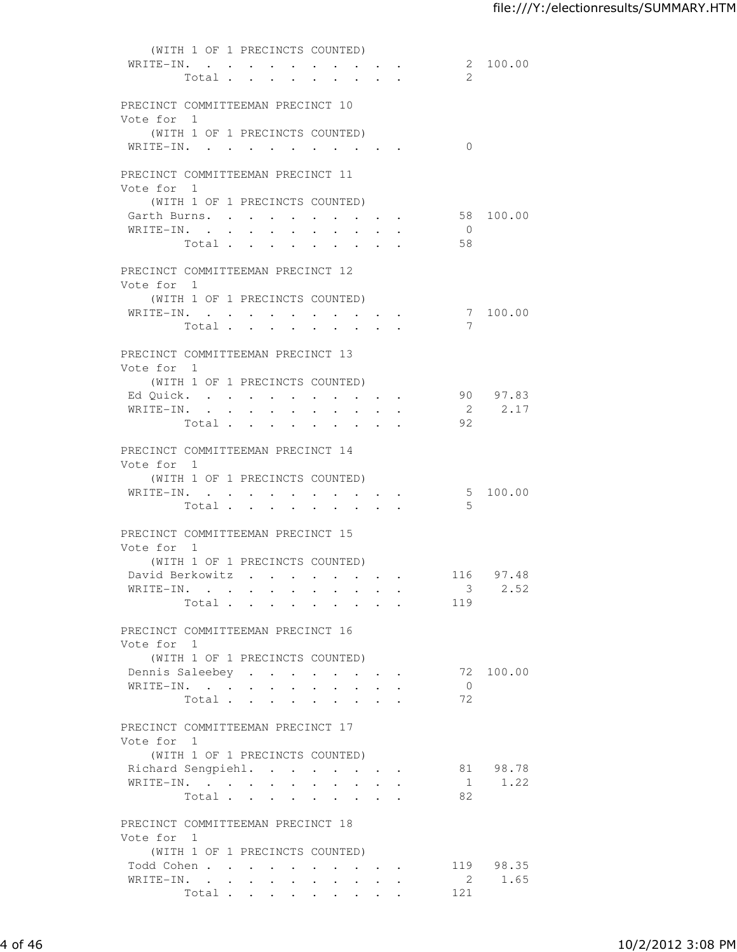| (WITH 1 OF 1 PRECINCTS COUNTED)               |                |                      |                      |                      |                      |                      |        |                                  |                                                 |                           |           |
|-----------------------------------------------|----------------|----------------------|----------------------|----------------------|----------------------|----------------------|--------|----------------------------------|-------------------------------------------------|---------------------------|-----------|
| WRITE-IN.                                     |                |                      |                      |                      |                      |                      |        |                                  |                                                 |                           | 2 100.00  |
|                                               | Total          |                      |                      |                      |                      |                      |        |                                  |                                                 | - 2                       |           |
|                                               |                |                      |                      |                      |                      |                      |        |                                  |                                                 |                           |           |
| PRECINCT COMMITTEEMAN PRECINCT 10             |                |                      |                      |                      |                      |                      |        |                                  |                                                 |                           |           |
| Vote for 1<br>(WITH 1 OF 1 PRECINCTS COUNTED) |                |                      |                      |                      |                      |                      |        |                                  |                                                 |                           |           |
| WRITE-IN.                                     |                |                      |                      |                      |                      |                      |        |                                  |                                                 | $\Omega$                  |           |
|                                               |                |                      |                      |                      |                      |                      |        |                                  |                                                 |                           |           |
| PRECINCT COMMITTEEMAN PRECINCT 11             |                |                      |                      |                      |                      |                      |        |                                  |                                                 |                           |           |
| Vote for 1                                    |                |                      |                      |                      |                      |                      |        |                                  |                                                 |                           |           |
| (WITH 1 OF 1 PRECINCTS COUNTED)               |                |                      |                      |                      |                      |                      |        |                                  |                                                 |                           |           |
| Garth Burns.                                  |                |                      |                      |                      | $\sim$ $-$           |                      |        | $\bullet$ . The set of $\bullet$ | $\sim$                                          |                           | 58 100.00 |
| WRITE-IN.                                     |                |                      |                      |                      |                      |                      |        | $\cdot$ $\cdot$ $\cdot$ $\cdot$  |                                                 | $\overline{0}$            |           |
|                                               | Total.         |                      |                      |                      |                      |                      |        |                                  |                                                 | 58                        |           |
|                                               |                |                      |                      |                      |                      |                      |        |                                  |                                                 |                           |           |
| PRECINCT COMMITTEEMAN PRECINCT 12             |                |                      |                      |                      |                      |                      |        |                                  |                                                 |                           |           |
| Vote for 1                                    |                |                      |                      |                      |                      |                      |        |                                  |                                                 |                           |           |
| (WITH 1 OF 1 PRECINCTS COUNTED)               |                |                      |                      |                      |                      |                      |        |                                  |                                                 |                           |           |
| WRITE-IN.                                     |                |                      |                      |                      |                      |                      |        |                                  |                                                 | 7                         | 7 100.00  |
|                                               | Total          |                      |                      |                      |                      |                      |        |                                  |                                                 |                           |           |
| PRECINCT COMMITTEEMAN PRECINCT 13             |                |                      |                      |                      |                      |                      |        |                                  |                                                 |                           |           |
| Vote for 1                                    |                |                      |                      |                      |                      |                      |        |                                  |                                                 |                           |           |
| (WITH 1 OF 1 PRECINCTS COUNTED)               |                |                      |                      |                      |                      |                      |        |                                  |                                                 |                           |           |
| Ed Quick.                                     |                |                      |                      |                      |                      |                      |        |                                  |                                                 |                           | 90 97.83  |
| WRITE-IN.                                     |                |                      |                      |                      |                      |                      |        |                                  | $\cdot$ $\cdot$ $\cdot$ $\cdot$ $\cdot$         |                           | 2 2.17    |
|                                               | Total.         |                      |                      |                      |                      |                      |        |                                  |                                                 | 92                        |           |
|                                               |                |                      |                      |                      |                      |                      |        |                                  |                                                 |                           |           |
| PRECINCT COMMITTEEMAN PRECINCT 14             |                |                      |                      |                      |                      |                      |        |                                  |                                                 |                           |           |
| Vote for 1<br>(WITH 1 OF 1 PRECINCTS COUNTED) |                |                      |                      |                      |                      |                      |        |                                  |                                                 |                           |           |
| WRITE-IN.                                     |                |                      |                      |                      |                      |                      |        |                                  |                                                 |                           | 5 100.00  |
|                                               | Total          |                      |                      |                      |                      |                      |        |                                  | the contract of the contract of the contract of | - 5                       |           |
|                                               |                |                      |                      |                      |                      |                      |        |                                  |                                                 |                           |           |
| PRECINCT COMMITTEEMAN PRECINCT 15             |                |                      |                      |                      |                      |                      |        |                                  |                                                 |                           |           |
| Vote for 1                                    |                |                      |                      |                      |                      |                      |        |                                  |                                                 |                           |           |
| (WITH 1 OF 1 PRECINCTS COUNTED)               |                |                      |                      |                      |                      |                      |        |                                  |                                                 |                           |           |
|                                               |                |                      |                      |                      |                      |                      |        |                                  |                                                 | David Berkowitz 116 97.48 |           |
| WRITE-IN.                                     |                |                      |                      |                      |                      |                      |        |                                  |                                                 | $\mathcal{S}$             | 2.52      |
|                                               | Total $\cdots$ |                      |                      |                      |                      |                      | $\sim$ |                                  | and a strategic state                           | 119                       |           |
| PRECINCT COMMITTEEMAN PRECINCT 16             |                |                      |                      |                      |                      |                      |        |                                  |                                                 |                           |           |
| Vote for 1                                    |                |                      |                      |                      |                      |                      |        |                                  |                                                 |                           |           |
| (WITH 1 OF 1 PRECINCTS COUNTED)               |                |                      |                      |                      |                      |                      |        |                                  |                                                 |                           |           |
| Dennis Saleebey                               |                |                      |                      |                      |                      |                      |        |                                  |                                                 |                           | 72 100.00 |
| WRITE-IN.                                     |                |                      | $\sim$               | $\ddot{\phantom{0}}$ | $\sim$ 100 $\pm$     | $\ddot{\phantom{a}}$ |        |                                  |                                                 | $\overline{0}$            |           |
|                                               | Total .        |                      | $\sim$               |                      | $\ddot{\phantom{a}}$ |                      |        |                                  |                                                 | 72                        |           |
|                                               |                |                      |                      |                      |                      |                      |        |                                  |                                                 |                           |           |
| PRECINCT COMMITTEEMAN PRECINCT 17             |                |                      |                      |                      |                      |                      |        |                                  |                                                 |                           |           |
| Vote for 1                                    |                |                      |                      |                      |                      |                      |        |                                  |                                                 |                           |           |
| (WITH 1 OF 1 PRECINCTS COUNTED)               |                |                      |                      |                      |                      |                      |        |                                  |                                                 |                           |           |
| Richard Sengpiehl.                            |                |                      |                      |                      |                      |                      |        |                                  |                                                 |                           | 81 98.78  |
| WRITE-IN.                                     |                |                      |                      |                      |                      |                      |        |                                  |                                                 |                           | 1.22      |
|                                               | Total          |                      |                      |                      |                      |                      |        |                                  |                                                 | 82                        |           |
| PRECINCT COMMITTEEMAN PRECINCT 18             |                |                      |                      |                      |                      |                      |        |                                  |                                                 |                           |           |
| Vote for 1                                    |                |                      |                      |                      |                      |                      |        |                                  |                                                 |                           |           |
| (WITH 1 OF 1 PRECINCTS COUNTED)               |                |                      |                      |                      |                      |                      |        |                                  |                                                 |                           |           |
| Todd Cohen                                    |                |                      |                      |                      |                      |                      |        |                                  |                                                 |                           | 119 98.35 |
| WRITE-IN. .                                   |                | $\ddot{\phantom{0}}$ | $\ddot{\phantom{0}}$ | $\ddot{\phantom{0}}$ | $\ddot{\phantom{a}}$ |                      |        |                                  |                                                 | $\overline{2}$            | 1.65      |
|                                               |                |                      |                      |                      | Total                |                      |        |                                  |                                                 | 121                       |           |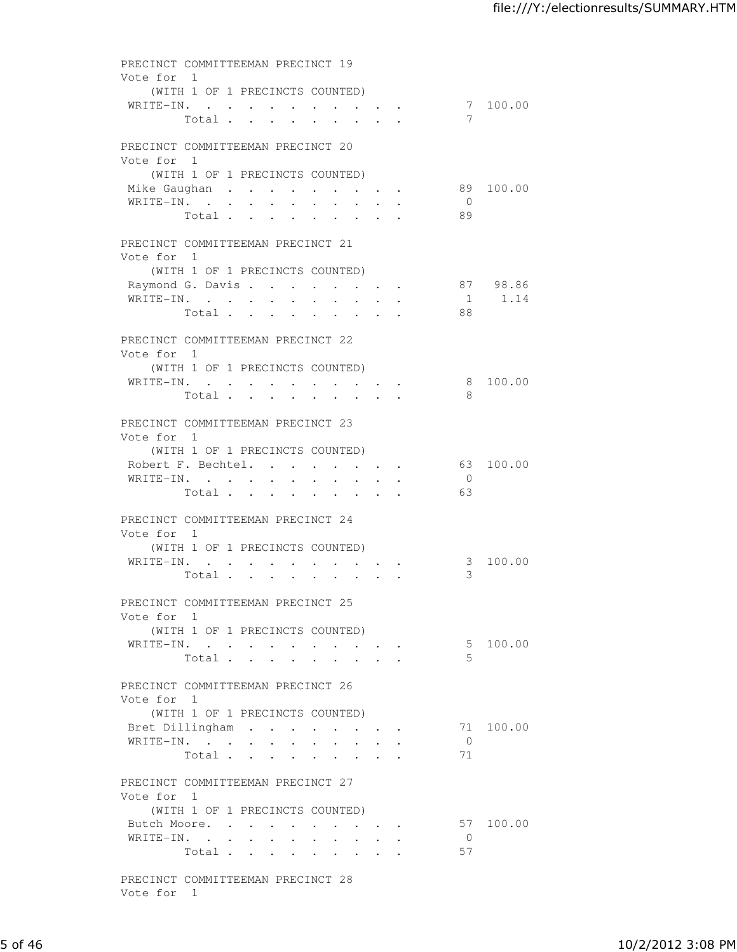| Vote for 1 | PRECINCT COMMITTEEMAN PRECINCT 19                                            |                    |
|------------|------------------------------------------------------------------------------|--------------------|
|            | (WITH 1 OF 1 PRECINCTS COUNTED)                                              |                    |
|            | WRITE-IN.<br>Total<br>7<br>$\mathbf{r} = \mathbf{r} \times \mathbf{r}$ .     | 7 100.00           |
| Vote for 1 | PRECINCT COMMITTEEMAN PRECINCT 20                                            |                    |
|            | (WITH 1 OF 1 PRECINCTS COUNTED)                                              |                    |
|            | Mike Gaughan                                                                 | 89 100.00          |
|            | WRITE-IN.<br>$\overline{0}$                                                  |                    |
|            | 89<br>Total                                                                  |                    |
| Vote for 1 | PRECINCT COMMITTEEMAN PRECINCT 21                                            |                    |
|            | (WITH 1 OF 1 PRECINCTS COUNTED)                                              |                    |
|            | Raymond G. Davis                                                             | 87 98.86<br>1 1.14 |
|            | WRITE-IN.<br>Total<br>88                                                     |                    |
|            |                                                                              |                    |
|            | PRECINCT COMMITTEEMAN PRECINCT 22                                            |                    |
| Vote for 1 | (WITH 1 OF 1 PRECINCTS COUNTED)                                              |                    |
|            | WRITE-IN.                                                                    | 8 100.00           |
|            | 8<br>Total                                                                   |                    |
|            | PRECINCT COMMITTEEMAN PRECINCT 23                                            |                    |
| Vote for 1 |                                                                              |                    |
|            | (WITH 1 OF 1 PRECINCTS COUNTED)                                              | 63 100.00          |
|            | Robert F. Bechtel.<br>WRITE-IN.<br>$\overline{0}$                            |                    |
|            | Total<br>63                                                                  |                    |
|            | PRECINCT COMMITTEEMAN PRECINCT 24                                            |                    |
| Vote for 1 | (WITH 1 OF 1 PRECINCTS COUNTED)                                              |                    |
|            | WRITE-IN.                                                                    | 3 100.00           |
|            | 3<br>Total<br>$\mathbf{r}$ and $\mathbf{r}$<br>$\sim$                        |                    |
|            | PRECINCT COMMITTEEMAN PRECINCT 25                                            |                    |
| Vote for 1 | (WITH 1 OF 1 PRECINCTS COUNTED)                                              |                    |
|            | WRITE-IN.                                                                    | 5 100.00           |
|            | 5<br>Total                                                                   |                    |
| Vote for 1 | PRECINCT COMMITTEEMAN PRECINCT 26                                            |                    |
|            | (WITH 1 OF 1 PRECINCTS COUNTED)                                              |                    |
|            | Bret Dillingham                                                              | 71 100.00          |
|            | WRITE-IN.<br>$\overline{0}$                                                  |                    |
|            | 71<br>Total<br>$\ddot{\phantom{0}}$<br><b>Contractor</b><br>$\sim$ 100 $\pm$ |                    |
| Vote for 1 | PRECINCT COMMITTEEMAN PRECINCT 27                                            |                    |
|            | (WITH 1 OF 1 PRECINCTS COUNTED)                                              |                    |
|            | Butch Moore.                                                                 | 57 100.00          |
|            | WRITE-IN.<br>$\overline{0}$<br>57<br>Total                                   |                    |
|            |                                                                              |                    |
| Vote for 1 | PRECINCT COMMITTEEMAN PRECINCT 28                                            |                    |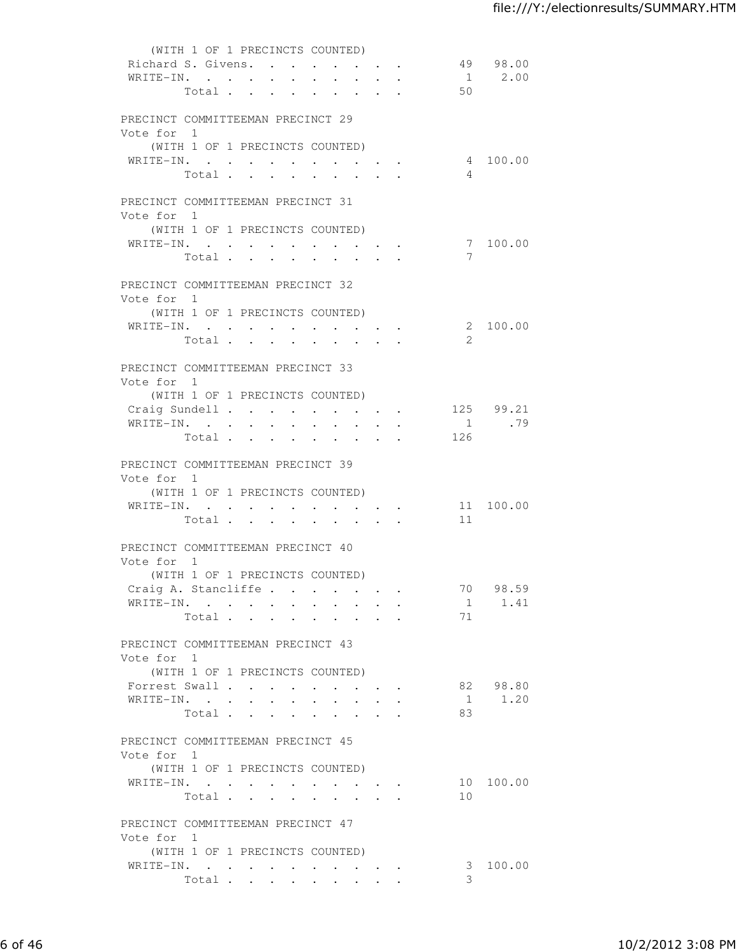|                                   | (WITH 1 OF 1 PRECINCTS COUNTED) |                      |                                   |                      |                      |                                                                                                                                                                                                                                    |                                                                          |                         |           |
|-----------------------------------|---------------------------------|----------------------|-----------------------------------|----------------------|----------------------|------------------------------------------------------------------------------------------------------------------------------------------------------------------------------------------------------------------------------------|--------------------------------------------------------------------------|-------------------------|-----------|
| Richard S. Givens.                |                                 |                      |                                   |                      |                      |                                                                                                                                                                                                                                    |                                                                          |                         | 49 98.00  |
| WRITE-IN.                         |                                 |                      |                                   |                      |                      |                                                                                                                                                                                                                                    | $\mathbf{r}$ , $\mathbf{r}$ , $\mathbf{r}$ , $\mathbf{r}$ , $\mathbf{r}$ |                         | 1 2.00    |
|                                   | Total                           |                      |                                   |                      |                      |                                                                                                                                                                                                                                    |                                                                          | 50                      |           |
| PRECINCT COMMITTEEMAN PRECINCT 29 |                                 |                      |                                   |                      |                      |                                                                                                                                                                                                                                    |                                                                          |                         |           |
| Vote for 1                        |                                 |                      |                                   |                      |                      |                                                                                                                                                                                                                                    |                                                                          |                         |           |
|                                   | (WITH 1 OF 1 PRECINCTS COUNTED) |                      |                                   |                      |                      |                                                                                                                                                                                                                                    |                                                                          |                         |           |
| WRITE-IN.                         |                                 |                      |                                   |                      |                      |                                                                                                                                                                                                                                    |                                                                          |                         | 4 100.00  |
|                                   | Total                           |                      |                                   |                      |                      |                                                                                                                                                                                                                                    |                                                                          | $\overline{4}$          |           |
|                                   |                                 |                      |                                   |                      |                      |                                                                                                                                                                                                                                    |                                                                          |                         |           |
| PRECINCT COMMITTEEMAN PRECINCT 31 |                                 |                      |                                   |                      |                      |                                                                                                                                                                                                                                    |                                                                          |                         |           |
| Vote for 1                        |                                 |                      |                                   |                      |                      |                                                                                                                                                                                                                                    |                                                                          |                         |           |
|                                   | (WITH 1 OF 1 PRECINCTS COUNTED) |                      |                                   |                      |                      |                                                                                                                                                                                                                                    |                                                                          |                         |           |
| WRITE-IN.                         |                                 |                      |                                   |                      |                      |                                                                                                                                                                                                                                    |                                                                          |                         | 7 100.00  |
|                                   | Total.                          |                      |                                   |                      |                      |                                                                                                                                                                                                                                    |                                                                          | 7                       |           |
| PRECINCT COMMITTEEMAN PRECINCT 32 |                                 |                      |                                   |                      |                      |                                                                                                                                                                                                                                    |                                                                          |                         |           |
| Vote for 1                        |                                 |                      |                                   |                      |                      |                                                                                                                                                                                                                                    |                                                                          |                         |           |
|                                   | (WITH 1 OF 1 PRECINCTS COUNTED) |                      |                                   |                      |                      |                                                                                                                                                                                                                                    |                                                                          |                         |           |
| WRITE-IN.                         |                                 |                      |                                   |                      |                      |                                                                                                                                                                                                                                    |                                                                          |                         | 2 100.00  |
|                                   | Total                           |                      |                                   |                      |                      |                                                                                                                                                                                                                                    |                                                                          | 2                       |           |
|                                   |                                 |                      |                                   |                      |                      |                                                                                                                                                                                                                                    |                                                                          |                         |           |
| PRECINCT COMMITTEEMAN PRECINCT 33 |                                 |                      |                                   |                      |                      |                                                                                                                                                                                                                                    |                                                                          |                         |           |
| Vote for 1                        |                                 |                      |                                   |                      |                      |                                                                                                                                                                                                                                    |                                                                          |                         |           |
|                                   | (WITH 1 OF 1 PRECINCTS COUNTED) |                      |                                   |                      |                      |                                                                                                                                                                                                                                    |                                                                          |                         |           |
|                                   |                                 |                      |                                   |                      |                      |                                                                                                                                                                                                                                    |                                                                          | Craig Sundell 125 99.21 | 1 .79     |
| WRITE-IN.                         | Total                           |                      |                                   |                      |                      |                                                                                                                                                                                                                                    | $\cdot$ $\cdot$ $\cdot$ $\cdot$ $\cdot$ $\cdot$                          | 126                     |           |
|                                   |                                 |                      |                                   |                      |                      |                                                                                                                                                                                                                                    |                                                                          |                         |           |
| PRECINCT COMMITTEEMAN PRECINCT 39 |                                 |                      |                                   |                      |                      |                                                                                                                                                                                                                                    |                                                                          |                         |           |
| Vote for 1                        |                                 |                      |                                   |                      |                      |                                                                                                                                                                                                                                    |                                                                          |                         |           |
|                                   | (WITH 1 OF 1 PRECINCTS COUNTED) |                      |                                   |                      |                      |                                                                                                                                                                                                                                    |                                                                          |                         |           |
| WRITE-IN.                         |                                 |                      |                                   |                      |                      | $\bullet$ . In the case of the contribution of the contribution of the contribution of the contribution of the contribution of the contribution of the contribution of the contribution of the contribution of the contribution of |                                                                          |                         | 11 100.00 |
|                                   | Total                           |                      | $\ddot{\phantom{a}}$<br>$\bullet$ | $\ddot{\phantom{0}}$ | $\ddot{\phantom{a}}$ |                                                                                                                                                                                                                                    |                                                                          | 11                      |           |
|                                   |                                 |                      |                                   |                      |                      |                                                                                                                                                                                                                                    |                                                                          |                         |           |
| PRECINCT COMMITTEEMAN PRECINCT 40 |                                 |                      |                                   |                      |                      |                                                                                                                                                                                                                                    |                                                                          |                         |           |
| Vote for 1                        | (WITH 1 OF 1 PRECINCTS COUNTED) |                      |                                   |                      |                      |                                                                                                                                                                                                                                    |                                                                          |                         |           |
| Craig A. Stancliffe.              |                                 |                      |                                   |                      |                      |                                                                                                                                                                                                                                    |                                                                          | 70                      | 98.59     |
| WRITE-IN.                         |                                 |                      |                                   |                      |                      |                                                                                                                                                                                                                                    |                                                                          |                         | 1 1.41    |
|                                   | Total                           |                      |                                   |                      |                      |                                                                                                                                                                                                                                    |                                                                          | 71                      |           |
|                                   |                                 |                      |                                   |                      |                      |                                                                                                                                                                                                                                    |                                                                          |                         |           |
| PRECINCT COMMITTEEMAN PRECINCT 43 |                                 |                      |                                   |                      |                      |                                                                                                                                                                                                                                    |                                                                          |                         |           |
| Vote for 1                        |                                 |                      |                                   |                      |                      |                                                                                                                                                                                                                                    |                                                                          |                         |           |
|                                   | (WITH 1 OF 1 PRECINCTS COUNTED) |                      |                                   |                      |                      |                                                                                                                                                                                                                                    |                                                                          |                         |           |
| Forrest Swall                     |                                 |                      | $\ddot{\phantom{0}}$              | $\ddot{\phantom{0}}$ |                      |                                                                                                                                                                                                                                    |                                                                          |                         | 82 98.80  |
| WRITE-IN.                         |                                 | $\ddot{\phantom{0}}$ | $\sim$                            |                      |                      |                                                                                                                                                                                                                                    |                                                                          | 1                       | 1.20      |
|                                   | Total .                         | $\mathbf{L}$         | $\sim$<br>$\mathbf{L}$            |                      |                      |                                                                                                                                                                                                                                    |                                                                          | 83                      |           |
| PRECINCT COMMITTEEMAN PRECINCT 45 |                                 |                      |                                   |                      |                      |                                                                                                                                                                                                                                    |                                                                          |                         |           |
| Vote for 1                        |                                 |                      |                                   |                      |                      |                                                                                                                                                                                                                                    |                                                                          |                         |           |
|                                   | (WITH 1 OF 1 PRECINCTS COUNTED) |                      |                                   |                      |                      |                                                                                                                                                                                                                                    |                                                                          |                         |           |
| WRITE-IN.                         |                                 |                      |                                   |                      |                      |                                                                                                                                                                                                                                    |                                                                          |                         | 10 100.00 |
|                                   | Total                           |                      |                                   |                      |                      |                                                                                                                                                                                                                                    |                                                                          | 10                      |           |
|                                   |                                 |                      |                                   |                      |                      |                                                                                                                                                                                                                                    |                                                                          |                         |           |
| PRECINCT COMMITTEEMAN PRECINCT 47 |                                 |                      |                                   |                      |                      |                                                                                                                                                                                                                                    |                                                                          |                         |           |
| Vote for 1                        |                                 |                      |                                   |                      |                      |                                                                                                                                                                                                                                    |                                                                          |                         |           |
|                                   | (WITH 1 OF 1 PRECINCTS COUNTED) |                      |                                   |                      |                      |                                                                                                                                                                                                                                    |                                                                          | 3                       | 100.00    |
| WRITE-IN.                         | Total                           |                      |                                   |                      |                      |                                                                                                                                                                                                                                    |                                                                          | 3                       |           |
|                                   |                                 |                      |                                   |                      |                      |                                                                                                                                                                                                                                    |                                                                          |                         |           |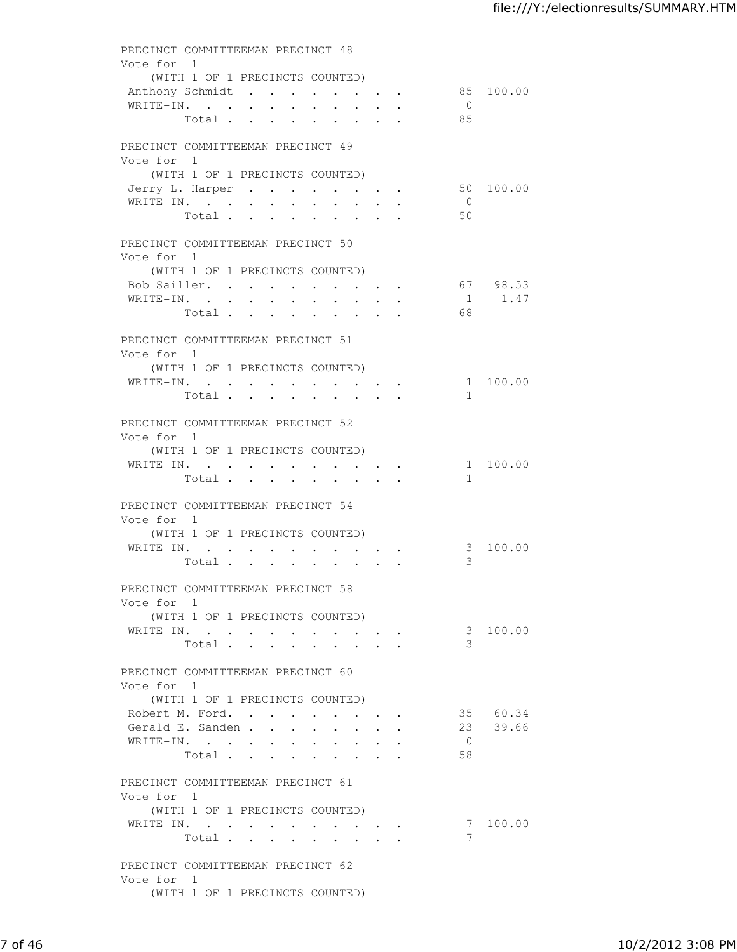| Vote for 1 | PRECINCT COMMITTEEMAN PRECINCT 48                                                                     |                             |           |
|------------|-------------------------------------------------------------------------------------------------------|-----------------------------|-----------|
|            | (WITH 1 OF 1 PRECINCTS COUNTED)                                                                       |                             |           |
|            | Anthony Schmidt                                                                                       |                             | 85 100.00 |
|            | WRITE-IN.<br>$\sim$<br>$\ddot{\phantom{0}}$<br>$\sim$<br>$\ddot{\phantom{0}}$<br>$\ddot{\phantom{0}}$ | $\overline{0}$<br>85        |           |
|            | Total.<br><b>Contract Contract</b>                                                                    |                             |           |
|            | PRECINCT COMMITTEEMAN PRECINCT 49                                                                     |                             |           |
| Vote for 1 |                                                                                                       |                             |           |
|            | (WITH 1 OF 1 PRECINCTS COUNTED)                                                                       |                             |           |
|            | Jerry L. Harper<br>WRITE-IN.                                                                          | 50 100.00<br>$\overline{0}$ |           |
|            | Total                                                                                                 | 50                          |           |
|            | PRECINCT COMMITTEEMAN PRECINCT 50                                                                     |                             |           |
| Vote for 1 |                                                                                                       |                             |           |
|            | (WITH 1 OF 1 PRECINCTS COUNTED)                                                                       |                             |           |
|            | Bob Sailler.<br>$\sim$ $-$<br>$\mathbf{r}$ , $\mathbf{r}$ , $\mathbf{r}$ , $\mathbf{r}$               | 67 98.53                    |           |
|            | WRITE-IN.                                                                                             |                             | 1 1.47    |
|            | Total                                                                                                 | 68                          |           |
|            | PRECINCT COMMITTEEMAN PRECINCT 51                                                                     |                             |           |
| Vote for 1 |                                                                                                       |                             |           |
|            | (WITH 1 OF 1 PRECINCTS COUNTED)<br>WRITE-IN.                                                          |                             | 1 100.00  |
|            | Total                                                                                                 | $\mathbf{1}$                |           |
|            |                                                                                                       |                             |           |
| Vote for 1 | PRECINCT COMMITTEEMAN PRECINCT 52                                                                     |                             |           |
|            | (WITH 1 OF 1 PRECINCTS COUNTED)                                                                       |                             |           |
|            | WRITE-IN.                                                                                             |                             | 1 100.00  |
|            | Total                                                                                                 | $\mathbf{1}$                |           |
|            | PRECINCT COMMITTEEMAN PRECINCT 54                                                                     |                             |           |
| Vote for 1 |                                                                                                       |                             |           |
|            | (WITH 1 OF 1 PRECINCTS COUNTED)                                                                       |                             |           |
|            | WRITE-IN.                                                                                             |                             | 3 100.00  |
|            | Total                                                                                                 | 3                           |           |
|            | PRECINCT COMMITTEEMAN PRECINCT 58                                                                     |                             |           |
| Vote for 1 |                                                                                                       |                             |           |
|            | (WITH 1 OF 1 PRECINCTS COUNTED)                                                                       |                             |           |
|            | WRITE-IN.<br>Total<br>$\sim$ $\sim$<br>$\ddot{\phantom{a}}$                                           | 3                           | 3 100.00  |
|            |                                                                                                       |                             |           |
|            | PRECINCT COMMITTEEMAN PRECINCT 60                                                                     |                             |           |
| Vote for 1 |                                                                                                       |                             |           |
|            | (WITH 1 OF 1 PRECINCTS COUNTED)                                                                       |                             | 35 60.34  |
|            | Robert M. Ford.<br>Gerald E. Sanden<br>$\bullet$ .<br><br><br><br><br><br><br><br><br><br><br><br>    | 23                          | 39.66     |
|            | WRITE-IN.                                                                                             | $\overline{0}$              |           |
|            | Total                                                                                                 | 58                          |           |
|            | PRECINCT COMMITTEEMAN PRECINCT 61                                                                     |                             |           |
| Vote for 1 |                                                                                                       |                             |           |
|            | (WITH 1 OF 1 PRECINCTS COUNTED)                                                                       |                             |           |
|            | WRITE-IN.                                                                                             |                             | 7 100.00  |
|            | Total                                                                                                 | 7                           |           |
|            | PRECINCT COMMITTEEMAN PRECINCT 62                                                                     |                             |           |
| Vote for 1 |                                                                                                       |                             |           |
|            | (WITH 1 OF 1 PRECINCTS COUNTED)                                                                       |                             |           |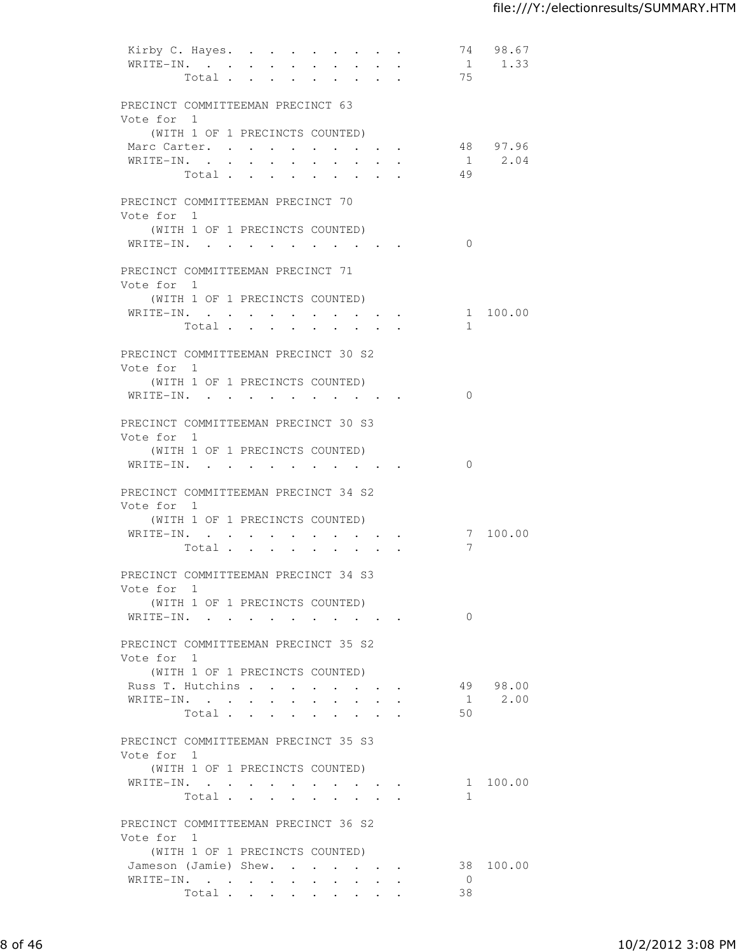|            | Kirby C. Hayes.<br>WRITE-IN.<br>Total                                                                                                                                                                                          | $\sim$ 100 $\mu$<br>$\sim$<br>$\cdot$ $\cdot$ $\cdot$           | $\ddot{\phantom{0}}$<br>$\ddot{\phantom{a}}$                                                              | 75                   | 74 98.67<br>$1 \t 1.33$ |
|------------|--------------------------------------------------------------------------------------------------------------------------------------------------------------------------------------------------------------------------------|-----------------------------------------------------------------|-----------------------------------------------------------------------------------------------------------|----------------------|-------------------------|
| Vote for 1 | PRECINCT COMMITTEEMAN PRECINCT 63                                                                                                                                                                                              |                                                                 |                                                                                                           |                      |                         |
|            | (WITH 1 OF 1 PRECINCTS COUNTED)<br>Marc Carter.<br>$\mathtt{WRTTE-IN.} \qquad \qquad \centerdot \qquad \centerdot \qquad \centerdot \qquad \centerdot \qquad \centerdot \qquad \centerdot \qquad \centerdot$<br>Total $\cdots$ | $\mathbf{r}$ , and $\mathbf{r}$ , and $\mathbf{r}$<br>$\bullet$ | $\sim$ , $\sim$ , $\sim$ , $\sim$<br><b>Contract Contract Contract</b><br><b>Contract Contract Street</b> | 49                   | 48 97.96<br>$1 \t 2.04$ |
| Vote for 1 | PRECINCT COMMITTEEMAN PRECINCT 70<br>(WITH 1 OF 1 PRECINCTS COUNTED)<br>$\mathtt{WRITE}\textnormal{-}\mathtt{IN.}\quad.\quad.\quad.\quad.\quad.\quad.\quad.\quad.\quad.\quad.\quad.\quad.\quad.\quad.\quad.$                   |                                                                 |                                                                                                           | $\mathbf{0}$         |                         |
| Vote for 1 | PRECINCT COMMITTEEMAN PRECINCT 71<br>(WITH 1 OF 1 PRECINCTS COUNTED)<br>WRITE-IN.<br>Total                                                                                                                                     |                                                                 |                                                                                                           | $\mathbf{1}$         | 1 100.00                |
| Vote for 1 | PRECINCT COMMITTEEMAN PRECINCT 30 S2<br>(WITH 1 OF 1 PRECINCTS COUNTED)<br>WRITE-IN.                                                                                                                                           |                                                                 |                                                                                                           | $\Omega$             |                         |
| Vote for 1 | PRECINCT COMMITTEEMAN PRECINCT 30 S3<br>(WITH 1 OF 1 PRECINCTS COUNTED)<br>WRITE-IN.                                                                                                                                           |                                                                 |                                                                                                           | $\Omega$             |                         |
| Vote for 1 | PRECINCT COMMITTEEMAN PRECINCT 34 S2<br>(WITH 1 OF 1 PRECINCTS COUNTED)<br>WRITE-IN.<br>Total .<br>$\sim$                                                                                                                      | $\bullet$                                                       |                                                                                                           | 7                    | 7 100.00                |
| Vote for 1 | PRECINCT COMMITTEEMAN PRECINCT 34 S3<br>(WITH 1 OF 1 PRECINCTS COUNTED)<br>WRITE-IN.                                                                                                                                           |                                                                 |                                                                                                           | $\Omega$             |                         |
| Vote for 1 | PRECINCT COMMITTEEMAN PRECINCT 35 S2<br>(WITH 1 OF 1 PRECINCTS COUNTED)<br>Russ T. Hutchins<br>WRITE-IN.<br>$\bullet$ .<br>Total                                                                                               | $\sim$ 10 $\pm$                                                 | $\ddot{\phantom{0}}$                                                                                      | 1<br>50              | 49 98.00<br>2.00        |
| Vote for 1 | PRECINCT COMMITTEEMAN PRECINCT 35 S3<br>(WITH 1 OF 1 PRECINCTS COUNTED)<br>WRITE-IN.<br>Total                                                                                                                                  |                                                                 |                                                                                                           | $\mathbf{1}$         | 1 100.00                |
| Vote for 1 | PRECINCT COMMITTEEMAN PRECINCT 36 S2<br>(WITH 1 OF 1 PRECINCTS COUNTED)<br>Jameson (Jamie) Shew.<br>WRITE-IN.<br>Total                                                                                                         | $\sim$<br>$\sim$                                                | $\cdot$ $\cdot$ $\cdot$ $\cdot$                                                                           | $\overline{0}$<br>38 | 38 100.00               |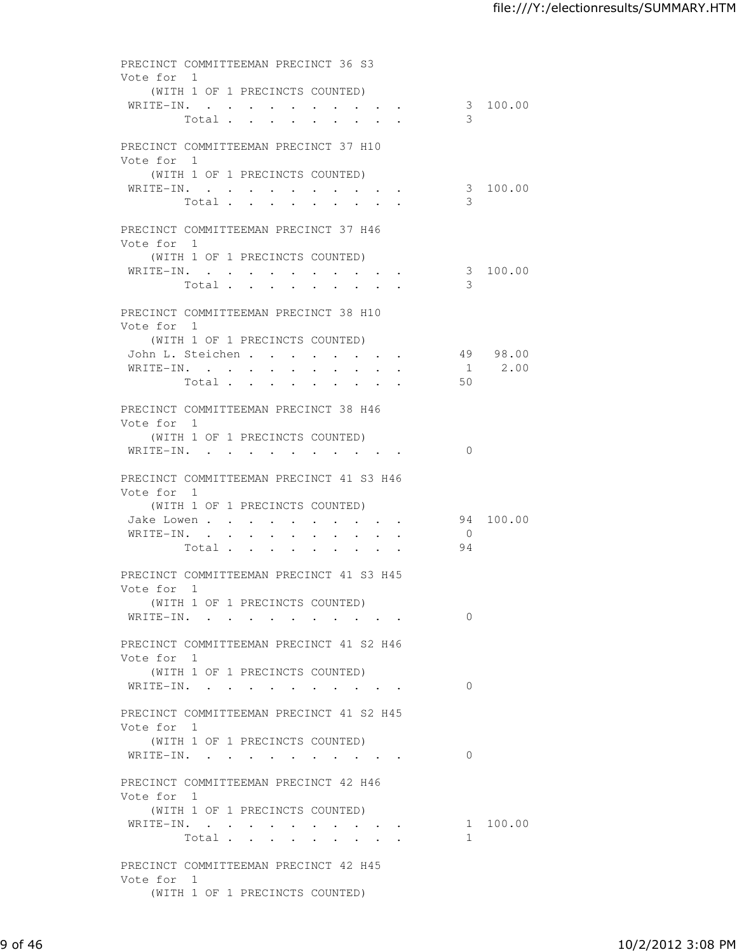| PRECINCT COMMITTEEMAN PRECINCT 36 S3                   |                                                                                                                                                                                                                                    |                                                             |                |           |
|--------------------------------------------------------|------------------------------------------------------------------------------------------------------------------------------------------------------------------------------------------------------------------------------------|-------------------------------------------------------------|----------------|-----------|
| Vote for 1<br>(WITH 1 OF 1 PRECINCTS COUNTED)          |                                                                                                                                                                                                                                    |                                                             |                |           |
| WRITE-IN.                                              | Total                                                                                                                                                                                                                              |                                                             | 3              | 3 100.00  |
| PRECINCT COMMITTEEMAN PRECINCT 37 H10                  |                                                                                                                                                                                                                                    |                                                             |                |           |
| Vote for 1                                             |                                                                                                                                                                                                                                    |                                                             |                |           |
| (WITH 1 OF 1 PRECINCTS COUNTED)                        |                                                                                                                                                                                                                                    |                                                             |                |           |
| WRITE-IN.<br>Total                                     | $\ddot{\phantom{0}}$                                                                                                                                                                                                               | $\sim$ $\sim$                                               | 3              | 3 100.00  |
| PRECINCT COMMITTEEMAN PRECINCT 37 H46                  |                                                                                                                                                                                                                                    |                                                             |                |           |
| Vote for 1                                             |                                                                                                                                                                                                                                    |                                                             |                |           |
| (WITH 1 OF 1 PRECINCTS COUNTED)                        |                                                                                                                                                                                                                                    |                                                             |                |           |
| WRITE-IN.                                              | Total                                                                                                                                                                                                                              |                                                             | 3              | 3 100.00  |
|                                                        |                                                                                                                                                                                                                                    |                                                             |                |           |
| PRECINCT COMMITTEEMAN PRECINCT 38 H10<br>Vote for 1    |                                                                                                                                                                                                                                    |                                                             |                |           |
| (WITH 1 OF 1 PRECINCTS COUNTED)                        |                                                                                                                                                                                                                                    |                                                             |                |           |
| John L. Steichen                                       |                                                                                                                                                                                                                                    | $\bullet$ $\bullet$ $\bullet$ $\bullet$ $\bullet$ $\bullet$ |                | 49 98.00  |
| WRITE-IN.<br>$\sim$ 100 $\mu$                          | $\sim 100$<br>$\ddot{\phantom{0}}$<br>$\bullet$ .                                                                                                                                                                                  | $\ddot{\phantom{0}}$                                        | 1              | 2.00      |
|                                                        | Total                                                                                                                                                                                                                              | $\cdot$ $\cdot$ $\cdot$ $\cdot$                             | 50             |           |
| PRECINCT COMMITTEEMAN PRECINCT 38 H46                  |                                                                                                                                                                                                                                    |                                                             |                |           |
| Vote for 1<br>(WITH 1 OF 1 PRECINCTS COUNTED)          |                                                                                                                                                                                                                                    |                                                             |                |           |
| WRITE-IN.                                              |                                                                                                                                                                                                                                    |                                                             | $\Omega$       |           |
|                                                        |                                                                                                                                                                                                                                    |                                                             |                |           |
| PRECINCT COMMITTEEMAN PRECINCT 41 S3 H46<br>Vote for 1 |                                                                                                                                                                                                                                    |                                                             |                |           |
| (WITH 1 OF 1 PRECINCTS COUNTED)                        |                                                                                                                                                                                                                                    |                                                             |                |           |
| Jake Lowen<br>WRITE-IN.                                |                                                                                                                                                                                                                                    |                                                             | $\overline{0}$ | 94 100.00 |
| Total .<br>$\sim$                                      | <b>Service Control</b><br>$\sim$<br>$\bullet$ .<br><br><br><br><br><br><br><br><br><br><br><br><br>$\bullet$<br>$\bullet$ .<br><br><br><br><br><br><br><br><br><br><br><br><br>$\bullet$ .<br>$\ddot{\phantom{0}}$                 |                                                             | 94             |           |
| PRECINCT COMMITTEEMAN PRECINCT 41 S3 H45               |                                                                                                                                                                                                                                    |                                                             |                |           |
| Vote for 1                                             |                                                                                                                                                                                                                                    |                                                             |                |           |
| (WITH 1 OF 1 PRECINCTS COUNTED)                        |                                                                                                                                                                                                                                    |                                                             |                |           |
| WRITE-IN.                                              |                                                                                                                                                                                                                                    |                                                             | $\Omega$       |           |
| PRECINCT COMMITTEEMAN PRECINCT 41 S2 H46               |                                                                                                                                                                                                                                    |                                                             |                |           |
| Vote for 1                                             |                                                                                                                                                                                                                                    |                                                             |                |           |
| (WITH 1 OF 1 PRECINCTS COUNTED)<br>WRITE-IN.           | $\bullet$ . In the contract of the contract of the contract of the contract of the contract of the contract of the contract of the contract of the contract of the contract of the contract of the contract of the contract of the |                                                             | $\Omega$       |           |
|                                                        |                                                                                                                                                                                                                                    |                                                             |                |           |
| PRECINCT COMMITTEEMAN PRECINCT 41 S2 H45<br>Vote for 1 |                                                                                                                                                                                                                                    |                                                             |                |           |
| (WITH 1 OF 1 PRECINCTS COUNTED)                        |                                                                                                                                                                                                                                    |                                                             |                |           |
| WRITE-IN.                                              |                                                                                                                                                                                                                                    |                                                             | $\Omega$       |           |
| PRECINCT COMMITTEEMAN PRECINCT 42 H46                  |                                                                                                                                                                                                                                    |                                                             |                |           |
| Vote for 1                                             |                                                                                                                                                                                                                                    |                                                             |                |           |
| (WITH 1 OF 1 PRECINCTS COUNTED)<br>WRITE-IN.           |                                                                                                                                                                                                                                    |                                                             |                | 1 100.00  |
|                                                        | Total                                                                                                                                                                                                                              |                                                             | $\mathbf{1}$   |           |
| PRECINCT COMMITTEEMAN PRECINCT 42 H45                  |                                                                                                                                                                                                                                    |                                                             |                |           |
| Vote for 1                                             |                                                                                                                                                                                                                                    |                                                             |                |           |
| (WITH 1 OF 1 PRECINCTS COUNTED)                        |                                                                                                                                                                                                                                    |                                                             |                |           |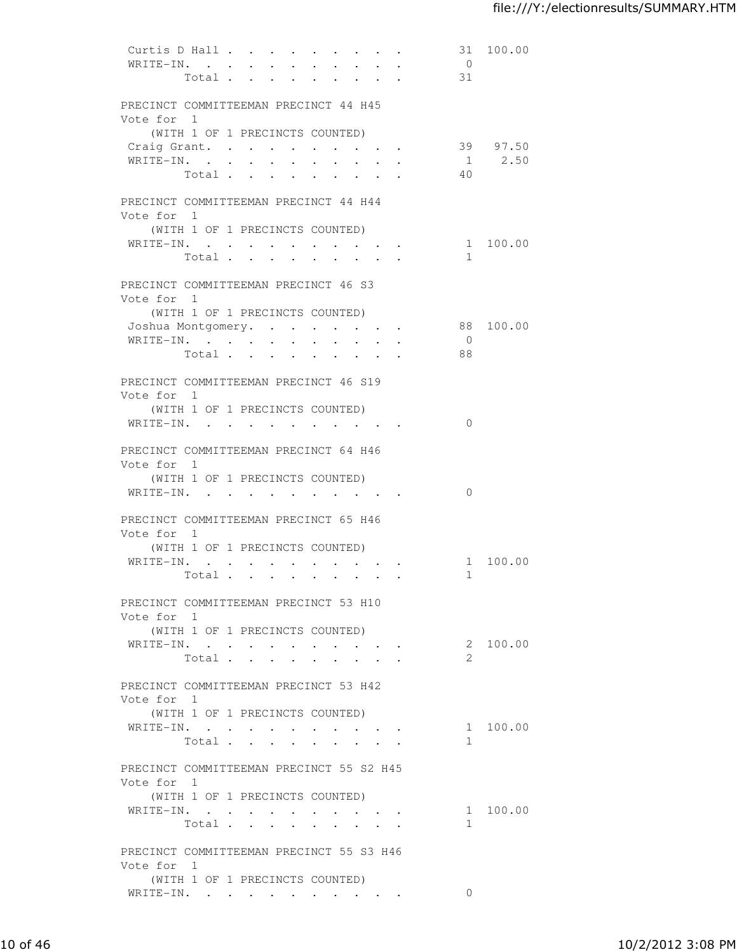| Curtis D Hall<br>$WRITE-IN.$ .                         |       | $\sim 100$ km s $^{-1}$<br>$\sim$ | $\sim$<br>Total                                                                     |                      | $\ddot{\phantom{a}}$                                                          |                                                       | 31<br>$\overline{0}$<br>31 | 100.00      |
|--------------------------------------------------------|-------|-----------------------------------|-------------------------------------------------------------------------------------|----------------------|-------------------------------------------------------------------------------|-------------------------------------------------------|----------------------------|-------------|
| PRECINCT COMMITTEEMAN PRECINCT 44 H45<br>Vote for 1    |       |                                   |                                                                                     |                      |                                                                               |                                                       |                            |             |
| Craig Grant.                                           |       |                                   | (WITH 1 OF 1 PRECINCTS COUNTED)<br>$\ddot{\phantom{a}}$<br><b>Contract Contract</b> | $\sim$ $\sim$ $\sim$ |                                                                               | $\mathbf{z} = \mathbf{z} + \mathbf{z} + \mathbf{z}$ . |                            | 39 97.50    |
| WRITE-IN.                                              |       |                                   | $\mathbf{z} = \mathbf{z}$                                                           |                      |                                                                               |                                                       |                            | $1 \t 2.50$ |
|                                                        | Total |                                   | $\ddot{\phantom{a}}$<br>$\sim$ $\sim$                                               |                      |                                                                               |                                                       | 40                         |             |
| PRECINCT COMMITTEEMAN PRECINCT 44 H44<br>Vote for 1    |       |                                   |                                                                                     |                      |                                                                               |                                                       |                            |             |
| WRITE-IN.                                              |       |                                   | (WITH 1 OF 1 PRECINCTS COUNTED)                                                     |                      |                                                                               |                                                       |                            | 1 100.00    |
|                                                        |       |                                   | Total                                                                               |                      | $\cdot$ $\cdot$ $\cdot$ $\cdot$ $\cdot$                                       |                                                       | 1                          |             |
| PRECINCT COMMITTEEMAN PRECINCT 46 S3<br>Vote for 1     |       |                                   |                                                                                     |                      |                                                                               |                                                       |                            |             |
|                                                        |       |                                   | (WITH 1 OF 1 PRECINCTS COUNTED)                                                     |                      |                                                                               |                                                       |                            |             |
| Joshua Montgomery.<br>WRITE-IN.                        |       |                                   |                                                                                     |                      |                                                                               |                                                       | $\overline{0}$             | 88 100.00   |
|                                                        | Total |                                   | $\mathbf{z} = \mathbf{z} + \mathbf{z}$ .<br><b>All Card Control</b>                 | $\ddot{\phantom{a}}$ |                                                                               |                                                       | 88                         |             |
| PRECINCT COMMITTEEMAN PRECINCT 46 S19<br>Vote for 1    |       |                                   |                                                                                     |                      |                                                                               |                                                       |                            |             |
|                                                        |       |                                   | (WITH 1 OF 1 PRECINCTS COUNTED)                                                     |                      |                                                                               |                                                       |                            |             |
| WRITE-IN.                                              |       |                                   |                                                                                     |                      | $\mathbf{r}$ , and $\mathbf{r}$ , and $\mathbf{r}$ , and $\mathbf{r}$         |                                                       | $\Omega$                   |             |
| PRECINCT COMMITTEEMAN PRECINCT 64 H46<br>Vote for 1    |       |                                   | (WITH 1 OF 1 PRECINCTS COUNTED)                                                     |                      |                                                                               |                                                       |                            |             |
| WRITE-IN.                                              |       |                                   |                                                                                     |                      | $\mathbf{r} = \mathbf{r} + \mathbf{r} + \mathbf{r} + \mathbf{r} + \mathbf{r}$ |                                                       | $\Omega$                   |             |
| PRECINCT COMMITTEEMAN PRECINCT 65 H46<br>Vote for 1    |       |                                   | (WITH 1 OF 1 PRECINCTS COUNTED)                                                     |                      |                                                                               |                                                       |                            |             |
| WRITE-IN.                                              |       |                                   |                                                                                     |                      |                                                                               |                                                       |                            | 1 100.00    |
|                                                        |       |                                   | Total                                                                               | $\sim$ $\sim$        | $\cdot$ $\cdot$ $\cdot$ $\cdot$                                               |                                                       | $\mathbf{1}$               |             |
| PRECINCT COMMITTEEMAN PRECINCT 53 H10<br>Vote for 1    |       |                                   |                                                                                     |                      |                                                                               |                                                       |                            |             |
|                                                        |       |                                   | (WITH 1 OF 1 PRECINCTS COUNTED)                                                     |                      |                                                                               |                                                       |                            |             |
| WRITE-IN.                                              |       |                                   | Total                                                                               |                      |                                                                               |                                                       | 2                          | 2 100.00    |
| PRECINCT COMMITTEEMAN PRECINCT 53 H42<br>Vote for 1    |       |                                   |                                                                                     |                      |                                                                               |                                                       |                            |             |
|                                                        |       |                                   | (WITH 1 OF 1 PRECINCTS COUNTED)                                                     |                      |                                                                               |                                                       |                            |             |
| WRITE-IN.                                              |       |                                   |                                                                                     |                      |                                                                               |                                                       |                            | 1 100.00    |
|                                                        |       |                                   | Total                                                                               |                      |                                                                               |                                                       | 1                          |             |
| PRECINCT COMMITTEEMAN PRECINCT 55 S2 H45<br>Vote for 1 |       |                                   |                                                                                     |                      |                                                                               |                                                       |                            |             |
| WRITE-IN.                                              |       |                                   | (WITH 1 OF 1 PRECINCTS COUNTED)                                                     |                      |                                                                               |                                                       |                            | 1 100.00    |
|                                                        |       |                                   |                                                                                     |                      |                                                                               | Total $\cdot$                                         | $\mathbf{1}$               |             |
| PRECINCT COMMITTEEMAN PRECINCT 55 S3 H46<br>Vote for 1 |       |                                   |                                                                                     |                      |                                                                               |                                                       |                            |             |
|                                                        |       |                                   | (WITH 1 OF 1 PRECINCTS COUNTED)                                                     |                      |                                                                               |                                                       |                            |             |
| WRITE-IN.                                              |       |                                   |                                                                                     |                      |                                                                               |                                                       | $\Omega$                   |             |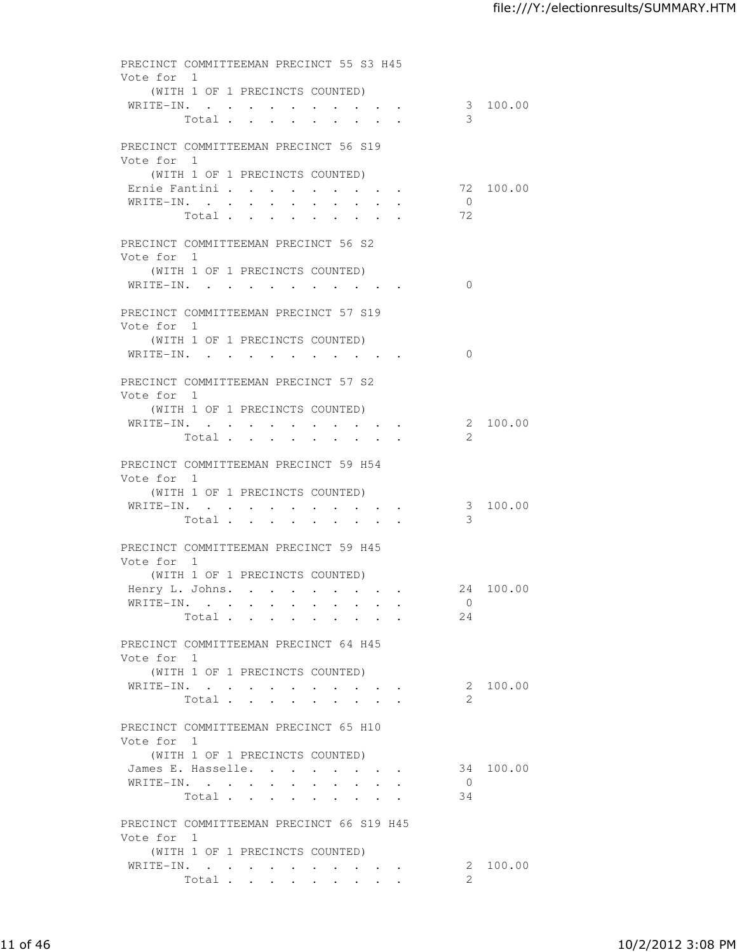| Vote for 1 |           | PRECINCT COMMITTEEMAN PRECINCT 55 S3 H45                                   |                                                                                               |                |           |
|------------|-----------|----------------------------------------------------------------------------|-----------------------------------------------------------------------------------------------|----------------|-----------|
|            |           | (WITH 1 OF 1 PRECINCTS COUNTED)                                            |                                                                                               |                |           |
|            |           | WRITE-IN.<br>Total                                                         |                                                                                               | 3              | 3 100.00  |
| Vote for 1 |           | PRECINCT COMMITTEEMAN PRECINCT 56 S19                                      |                                                                                               |                |           |
|            |           | (WITH 1 OF 1 PRECINCTS COUNTED)                                            |                                                                                               |                |           |
|            | WRITE-IN. | Ernie Fantini<br>$\ddot{\phantom{0}}$<br>$\bullet$<br>$\ddot{\phantom{a}}$ | $\ddot{\phantom{0}}$                                                                          | $\overline{0}$ | 72 100.00 |
|            | Total .   | $\sim$<br>$\ddot{\phantom{0}}$                                             | $\sim$<br>$\bullet$ .<br><br><br><br><br><br><br><br><br><br><br><br><br>$\ddot{\phantom{0}}$ | 72             |           |
| Vote for 1 |           | PRECINCT COMMITTEEMAN PRECINCT 56 S2                                       |                                                                                               |                |           |
|            |           | (WITH 1 OF 1 PRECINCTS COUNTED)                                            |                                                                                               |                |           |
|            |           | WRITE-IN.                                                                  |                                                                                               | $\Omega$       |           |
| Vote for 1 |           | PRECINCT COMMITTEEMAN PRECINCT 57 S19                                      |                                                                                               |                |           |
|            |           | (WITH 1 OF 1 PRECINCTS COUNTED)                                            |                                                                                               |                |           |
|            |           | WRITE-IN.                                                                  |                                                                                               | $\Omega$       |           |
| Vote for 1 |           | PRECINCT COMMITTEEMAN PRECINCT 57 S2                                       |                                                                                               |                |           |
|            |           | (WITH 1 OF 1 PRECINCTS COUNTED)                                            |                                                                                               |                |           |
|            |           | WRITE-IN.<br>Total                                                         |                                                                                               | 2              | 2 100.00  |
| Vote for 1 |           | PRECINCT COMMITTEEMAN PRECINCT 59 H54                                      |                                                                                               |                |           |
|            |           | (WITH 1 OF 1 PRECINCTS COUNTED)<br>WRITE-IN.                               |                                                                                               |                | 3 100.00  |
|            | Total     | $\bullet$ .<br><br><br><br><br><br><br><br><br><br><br><br><br>            |                                                                                               | 3              |           |
| Vote for 1 |           | PRECINCT COMMITTEEMAN PRECINCT 59 H45                                      |                                                                                               |                |           |
|            |           | (WITH 1 OF 1 PRECINCTS COUNTED)                                            |                                                                                               |                |           |
|            |           | Henry L. Johns. 24 100.00<br>WRITE-IN.                                     |                                                                                               | $\overline{0}$ |           |
|            |           | Total                                                                      |                                                                                               | 24             |           |
| Vote for 1 |           | PRECINCT COMMITTEEMAN PRECINCT 64 H45                                      |                                                                                               |                |           |
|            |           | (WITH 1 OF 1 PRECINCTS COUNTED)                                            |                                                                                               |                |           |
|            |           | WRITE-IN.                                                                  |                                                                                               |                | 2 100.00  |
|            |           | Total $\cdots$                                                             | $\ddot{\phantom{a}}$                                                                          | 2.             |           |
| Vote for 1 |           | PRECINCT COMMITTEEMAN PRECINCT 65 H10                                      |                                                                                               |                |           |
|            |           | (WITH 1 OF 1 PRECINCTS COUNTED)<br>James E. Hasselle.                      |                                                                                               |                | 34 100.00 |
|            |           | WRITE-IN.                                                                  |                                                                                               | $\overline{0}$ |           |
|            |           | Total $\cdots$                                                             |                                                                                               | 34             |           |
| Vote for 1 |           | PRECINCT COMMITTEEMAN PRECINCT 66 S19 H45                                  |                                                                                               |                |           |
|            |           | (WITH 1 OF 1 PRECINCTS COUNTED)<br>WRITE-IN.                               |                                                                                               |                | 2 100.00  |
|            |           | Total                                                                      |                                                                                               | 2.             |           |
|            |           |                                                                            |                                                                                               |                |           |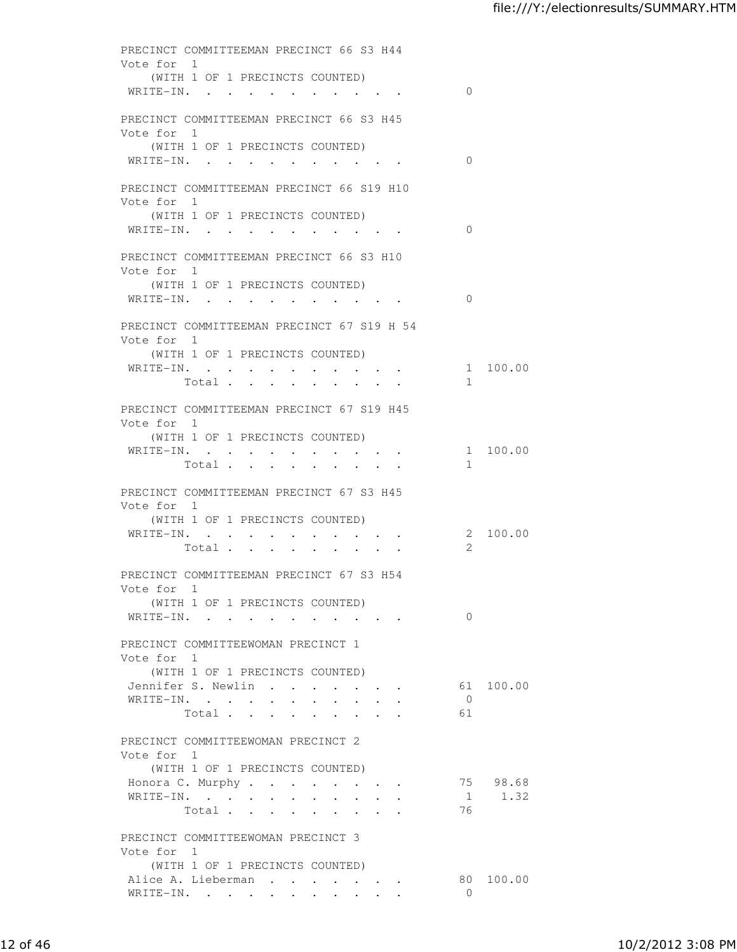|            | PRECINCT COMMITTEEMAN PRECINCT 66 S3 H44                                          |                      |           |
|------------|-----------------------------------------------------------------------------------|----------------------|-----------|
| Vote for 1 | (WITH 1 OF 1 PRECINCTS COUNTED)                                                   |                      |           |
|            | WRITE-IN.                                                                         | $\Omega$             |           |
|            |                                                                                   |                      |           |
| Vote for 1 | PRECINCT COMMITTEEMAN PRECINCT 66 S3 H45                                          |                      |           |
|            | (WITH 1 OF 1 PRECINCTS COUNTED)                                                   |                      |           |
|            | WRITE-IN.                                                                         | $\Omega$             |           |
|            | PRECINCT COMMITTEEMAN PRECINCT 66 S19 H10                                         |                      |           |
| Vote for 1 |                                                                                   |                      |           |
|            | (WITH 1 OF 1 PRECINCTS COUNTED)                                                   |                      |           |
|            | WRITE-IN.                                                                         | $\Omega$             |           |
|            | PRECINCT COMMITTEEMAN PRECINCT 66 S3 H10                                          |                      |           |
| Vote for 1 |                                                                                   |                      |           |
|            | (WITH 1 OF 1 PRECINCTS COUNTED)                                                   |                      |           |
|            | WRITE-IN.                                                                         | $\Omega$             |           |
|            | PRECINCT COMMITTEEMAN PRECINCT 67 S19 H 54                                        |                      |           |
| Vote for 1 |                                                                                   |                      |           |
|            | (WITH 1 OF 1 PRECINCTS COUNTED)<br>WRITE-IN.                                      |                      | 1 100.00  |
|            | Total                                                                             | $\mathbf{1}$         |           |
|            |                                                                                   |                      |           |
| Vote for 1 | PRECINCT COMMITTEEMAN PRECINCT 67 S19 H45                                         |                      |           |
|            | (WITH 1 OF 1 PRECINCTS COUNTED)                                                   |                      |           |
|            | WRITE-IN.                                                                         |                      | 1 100.00  |
|            | Total                                                                             | $\mathbf{1}$         |           |
|            | PRECINCT COMMITTEEMAN PRECINCT 67 S3 H45                                          |                      |           |
| Vote for 1 |                                                                                   |                      |           |
|            | (WITH 1 OF 1 PRECINCTS COUNTED)<br>WRITE-IN.                                      |                      | 2 100.00  |
|            | Total                                                                             | $\mathbf{2}^-$       |           |
|            |                                                                                   |                      |           |
| Vote for 1 | PRECINCT COMMITTEEMAN PRECINCT 67 S3 H54                                          |                      |           |
|            | (WITH 1 OF 1 PRECINCTS COUNTED)                                                   |                      |           |
|            | WRITE-IN.<br><b>Contract Contract Contract Contract</b>                           | $\Omega$             |           |
|            |                                                                                   |                      |           |
| Vote for 1 | PRECINCT COMMITTEEWOMAN PRECINCT 1                                                |                      |           |
|            | (WITH 1 OF 1 PRECINCTS COUNTED)                                                   |                      |           |
|            | Jennifer S. Newlin<br>$\mathbf{z} = \mathbf{z} + \mathbf{z}$ , where $\mathbf{z}$ |                      | 61 100.00 |
|            | WRITE-IN.<br>Total .<br>$\mathbf{r}$                                              | $\overline{0}$<br>61 |           |
|            |                                                                                   |                      |           |
|            | PRECINCT COMMITTEEWOMAN PRECINCT 2                                                |                      |           |
| Vote for 1 | (WITH 1 OF 1 PRECINCTS COUNTED)                                                   |                      |           |
|            | Honora C. Murphy                                                                  |                      | 75 98.68  |
|            | WRITE-IN.                                                                         |                      | 1 1.32    |
|            | Total                                                                             | 76                   |           |
|            | PRECINCT COMMITTEEWOMAN PRECINCT 3                                                |                      |           |
| Vote for 1 |                                                                                   |                      |           |
|            | (WITH 1 OF 1 PRECINCTS COUNTED)<br>Alice A. Lieberman                             |                      | 80 100.00 |
|            | $\bullet$ .<br><br><br><br><br><br><br><br><br><br><br><br><br><br>WRITE-IN.      | $\Omega$             |           |
|            |                                                                                   |                      |           |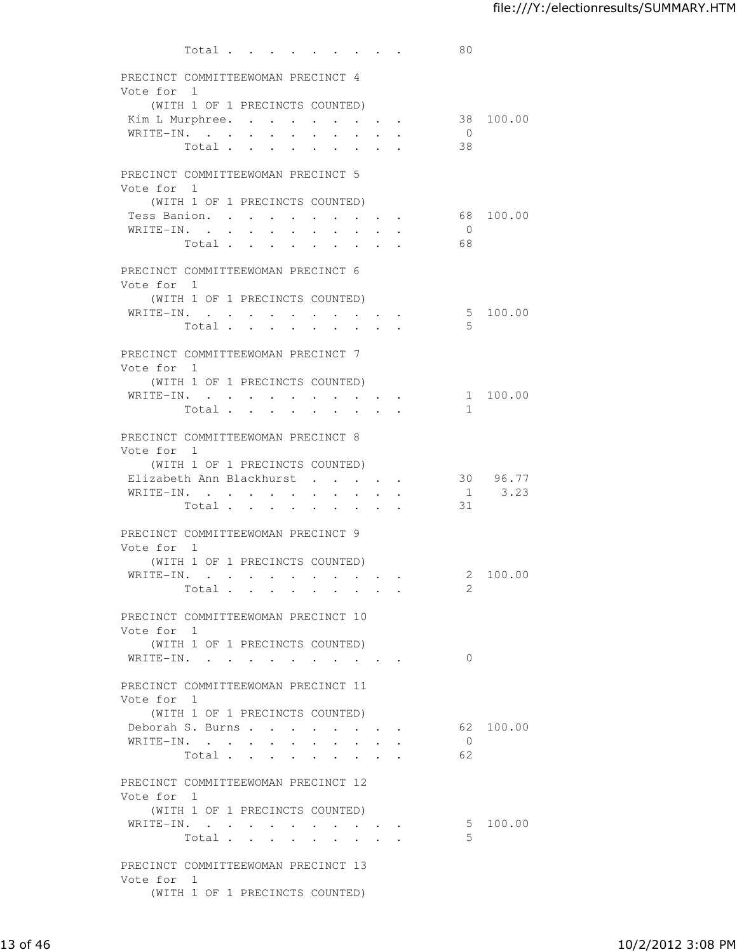|                                                  | Total                           |                      |                                                                             |                                                             |                      |                                                                                                                           |                      |                                                                             | 80             |                           |
|--------------------------------------------------|---------------------------------|----------------------|-----------------------------------------------------------------------------|-------------------------------------------------------------|----------------------|---------------------------------------------------------------------------------------------------------------------------|----------------------|-----------------------------------------------------------------------------|----------------|---------------------------|
| PRECINCT COMMITTEEWOMAN PRECINCT 4               |                                 |                      |                                                                             |                                                             |                      |                                                                                                                           |                      |                                                                             |                |                           |
| Vote for 1                                       |                                 |                      |                                                                             |                                                             |                      |                                                                                                                           |                      |                                                                             |                |                           |
|                                                  | (WITH 1 OF 1 PRECINCTS COUNTED) |                      |                                                                             |                                                             |                      |                                                                                                                           |                      |                                                                             |                |                           |
|                                                  |                                 |                      |                                                                             |                                                             |                      |                                                                                                                           |                      |                                                                             |                | Kim L Murphree. 38 100.00 |
| WRITE-IN.                                        |                                 |                      |                                                                             | $\bullet$ .<br><br><br><br><br><br><br><br><br><br><br><br> | $\ddot{\phantom{a}}$ | $\ddot{\phantom{a}}$                                                                                                      | $\ddot{\phantom{a}}$ | $\sim 100$                                                                  | $\overline{0}$ |                           |
|                                                  | Total .                         | $\ddot{\phantom{a}}$ | $\ddot{\phantom{0}}$                                                        | $\bullet$                                                   |                      |                                                                                                                           | $\bullet$            |                                                                             | 38             |                           |
| PRECINCT COMMITTEEWOMAN PRECINCT 5<br>Vote for 1 |                                 |                      |                                                                             |                                                             |                      |                                                                                                                           |                      |                                                                             |                |                           |
|                                                  | (WITH 1 OF 1 PRECINCTS COUNTED) |                      |                                                                             |                                                             |                      |                                                                                                                           |                      |                                                                             |                |                           |
| Tess Banion.                                     |                                 |                      | $\sim$                                                                      | $\ddot{\phantom{0}}$                                        |                      |                                                                                                                           | $\bullet$ .          |                                                                             |                | 68 100.00                 |
| WRITE-IN.                                        |                                 |                      |                                                                             | $\mathbf{r}$                                                |                      |                                                                                                                           | $\ddot{\phantom{a}}$ | $\sim$                                                                      | $\overline{0}$ |                           |
|                                                  | Total                           |                      |                                                                             | $\sim$                                                      | $\cdot$              | $\ddot{\phantom{a}}$                                                                                                      | $\cdot$              | $\cdot$ $\cdot$                                                             | 68             |                           |
| PRECINCT COMMITTEEWOMAN PRECINCT 6<br>Vote for 1 |                                 |                      |                                                                             |                                                             |                      |                                                                                                                           |                      |                                                                             |                |                           |
|                                                  | (WITH 1 OF 1 PRECINCTS COUNTED) |                      |                                                                             |                                                             |                      |                                                                                                                           |                      |                                                                             |                |                           |
| WRITE-IN.                                        |                                 |                      |                                                                             |                                                             |                      |                                                                                                                           |                      | $\sim$ 100 $\sim$ 100 $\sim$ 100 $\sim$                                     |                | 5 100.00                  |
|                                                  | Total                           |                      |                                                                             |                                                             |                      | $\begin{array}{cccccccccccccc} \bullet & \bullet & \bullet & \bullet & \bullet & \bullet & \bullet & \bullet \end{array}$ |                      |                                                                             | 5              |                           |
| PRECINCT COMMITTEEWOMAN PRECINCT 7<br>Vote for 1 |                                 |                      |                                                                             |                                                             |                      |                                                                                                                           |                      |                                                                             |                |                           |
|                                                  | (WITH 1 OF 1 PRECINCTS COUNTED) |                      |                                                                             |                                                             |                      |                                                                                                                           |                      |                                                                             |                |                           |
| WRITE-IN.                                        |                                 |                      |                                                                             |                                                             |                      |                                                                                                                           |                      |                                                                             |                | 1 100.00                  |
|                                                  | Total                           |                      |                                                                             |                                                             |                      |                                                                                                                           |                      | $\sim$ $\sim$                                                               | $\mathbf{1}$   |                           |
|                                                  |                                 |                      |                                                                             |                                                             |                      |                                                                                                                           |                      |                                                                             |                |                           |
| PRECINCT COMMITTEEWOMAN PRECINCT 8               |                                 |                      |                                                                             |                                                             |                      |                                                                                                                           |                      |                                                                             |                |                           |
| Vote for 1                                       |                                 |                      |                                                                             |                                                             |                      |                                                                                                                           |                      |                                                                             |                |                           |
|                                                  | (WITH 1 OF 1 PRECINCTS COUNTED) |                      |                                                                             |                                                             |                      |                                                                                                                           |                      |                                                                             |                |                           |
| Elizabeth Ann Blackhurst.                        |                                 |                      |                                                                             |                                                             |                      |                                                                                                                           |                      | <b>All Contracts</b>                                                        |                | 30 96.77                  |
| WRITE-IN.                                        | Total .                         |                      | $\cdot$ $\cdot$ $\cdot$ $\cdot$<br>$\mathbf{r} = \mathbf{r} + \mathbf{r}$ . |                                                             |                      |                                                                                                                           |                      |                                                                             | 31             | $1 \t3.23$                |
|                                                  |                                 |                      |                                                                             |                                                             |                      |                                                                                                                           |                      |                                                                             |                |                           |
| PRECINCT COMMITTEEWOMAN PRECINCT 9               |                                 |                      |                                                                             |                                                             |                      |                                                                                                                           |                      |                                                                             |                |                           |
| Vote for 1                                       |                                 |                      |                                                                             |                                                             |                      |                                                                                                                           |                      |                                                                             |                |                           |
|                                                  | (WITH 1 OF 1 PRECINCTS COUNTED) |                      |                                                                             |                                                             |                      |                                                                                                                           |                      |                                                                             |                |                           |
| WRITE-IN.                                        |                                 |                      |                                                                             | $\cdot$                                                     |                      |                                                                                                                           |                      | $\bullet \qquad \bullet \qquad \bullet$                                     |                | 2 100.00                  |
|                                                  | Total                           |                      |                                                                             |                                                             |                      |                                                                                                                           |                      |                                                                             | $\overline{2}$ |                           |
| PRECINCT COMMITTEEWOMAN PRECINCT 10              |                                 |                      |                                                                             |                                                             |                      |                                                                                                                           |                      |                                                                             |                |                           |
| Vote for 1                                       |                                 |                      |                                                                             |                                                             |                      |                                                                                                                           |                      |                                                                             |                |                           |
|                                                  | (WITH 1 OF 1 PRECINCTS COUNTED) |                      |                                                                             |                                                             |                      |                                                                                                                           |                      |                                                                             |                |                           |
|                                                  |                                 |                      |                                                                             |                                                             |                      |                                                                                                                           |                      |                                                                             | $\Omega$       |                           |
|                                                  |                                 |                      |                                                                             |                                                             |                      |                                                                                                                           |                      |                                                                             |                |                           |
| PRECINCT COMMITTEEWOMAN PRECINCT 11              |                                 |                      |                                                                             |                                                             |                      |                                                                                                                           |                      |                                                                             |                |                           |
| Vote for 1                                       |                                 |                      |                                                                             |                                                             |                      |                                                                                                                           |                      |                                                                             |                |                           |
|                                                  | (WITH 1 OF 1 PRECINCTS COUNTED) |                      |                                                                             |                                                             |                      |                                                                                                                           |                      |                                                                             |                |                           |
| Deborah S. Burns                                 |                                 |                      |                                                                             |                                                             |                      |                                                                                                                           |                      |                                                                             |                | 62 100.00                 |
| WRITE-IN.                                        |                                 |                      |                                                                             |                                                             |                      |                                                                                                                           |                      |                                                                             | $\overline{0}$ |                           |
|                                                  | Total                           |                      |                                                                             |                                                             |                      |                                                                                                                           |                      |                                                                             | 62             |                           |
| PRECINCT COMMITTEEWOMAN PRECINCT 12              |                                 |                      |                                                                             |                                                             |                      |                                                                                                                           |                      |                                                                             |                |                           |
| Vote for 1                                       |                                 |                      |                                                                             |                                                             |                      |                                                                                                                           |                      |                                                                             |                |                           |
|                                                  | (WITH 1 OF 1 PRECINCTS COUNTED) |                      |                                                                             |                                                             |                      |                                                                                                                           |                      |                                                                             |                |                           |
| WRITE-IN.                                        |                                 |                      |                                                                             |                                                             |                      |                                                                                                                           |                      | $\bullet$ .<br><br><br><br><br><br><br><br><br><br><br><br><br><br><br><br> |                | 5 100.00                  |
|                                                  | Total                           |                      |                                                                             |                                                             |                      |                                                                                                                           |                      |                                                                             | 5              |                           |
|                                                  |                                 |                      |                                                                             |                                                             |                      |                                                                                                                           |                      |                                                                             |                |                           |
| PRECINCT COMMITTEEWOMAN PRECINCT 13              |                                 |                      |                                                                             |                                                             |                      |                                                                                                                           |                      |                                                                             |                |                           |
| Vote for 1                                       |                                 |                      |                                                                             |                                                             |                      |                                                                                                                           |                      |                                                                             |                |                           |
|                                                  | (WITH 1 OF 1 PRECINCTS COUNTED) |                      |                                                                             |                                                             |                      |                                                                                                                           |                      |                                                                             |                |                           |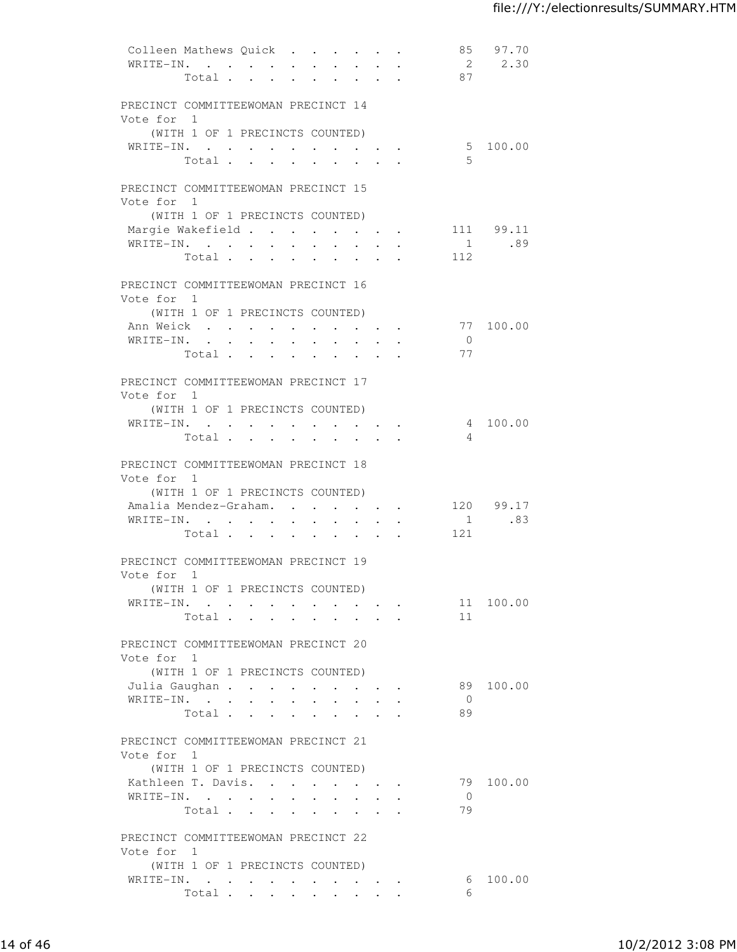| Colleen Mathews Quick               |                                 |                                          |                                                             |                      |                      |                                                                               |                                                    |                      |                | 85 97.70  |
|-------------------------------------|---------------------------------|------------------------------------------|-------------------------------------------------------------|----------------------|----------------------|-------------------------------------------------------------------------------|----------------------------------------------------|----------------------|----------------|-----------|
| WRITE-IN.                           |                                 |                                          |                                                             |                      |                      | $\mathbf{r} = \mathbf{r}$                                                     |                                                    | $\ddot{\phantom{a}}$ |                | 2 2.30    |
|                                     | Total                           |                                          |                                                             |                      |                      |                                                                               |                                                    |                      | 87             |           |
|                                     |                                 |                                          |                                                             |                      |                      |                                                                               |                                                    |                      |                |           |
| PRECINCT COMMITTEEWOMAN PRECINCT 14 |                                 |                                          |                                                             |                      |                      |                                                                               |                                                    |                      |                |           |
| Vote for 1                          |                                 |                                          |                                                             |                      |                      |                                                                               |                                                    |                      |                |           |
|                                     | (WITH 1 OF 1 PRECINCTS COUNTED) |                                          |                                                             |                      |                      |                                                                               |                                                    |                      |                |           |
| WRITE-IN.                           |                                 |                                          |                                                             |                      |                      |                                                                               |                                                    |                      | .5             | 5 100.00  |
|                                     | Total                           |                                          |                                                             |                      |                      |                                                                               |                                                    |                      |                |           |
| PRECINCT COMMITTEEWOMAN PRECINCT 15 |                                 |                                          |                                                             |                      |                      |                                                                               |                                                    |                      |                |           |
| Vote for 1                          |                                 |                                          |                                                             |                      |                      |                                                                               |                                                    |                      |                |           |
|                                     | (WITH 1 OF 1 PRECINCTS COUNTED) |                                          |                                                             |                      |                      |                                                                               |                                                    |                      |                |           |
| Margie Wakefield                    |                                 |                                          |                                                             |                      |                      |                                                                               |                                                    |                      |                | 111 99.11 |
| WRITE-IN.                           |                                 |                                          |                                                             |                      |                      |                                                                               |                                                    |                      |                | 1.89      |
|                                     | Total                           |                                          |                                                             |                      |                      |                                                                               |                                                    |                      | 112            |           |
|                                     |                                 |                                          |                                                             |                      |                      |                                                                               |                                                    |                      |                |           |
| PRECINCT COMMITTEEWOMAN PRECINCT 16 |                                 |                                          |                                                             |                      |                      |                                                                               |                                                    |                      |                |           |
| Vote for 1                          |                                 |                                          |                                                             |                      |                      |                                                                               |                                                    |                      |                |           |
|                                     | (WITH 1 OF 1 PRECINCTS COUNTED) |                                          |                                                             |                      |                      |                                                                               |                                                    |                      |                |           |
| Ann Weick                           |                                 |                                          |                                                             |                      |                      |                                                                               |                                                    |                      |                | 77 100.00 |
| WRITE-IN.                           |                                 |                                          | $\mathbf{A}^{\text{max}}$ , and $\mathbf{A}^{\text{max}}$   |                      |                      |                                                                               |                                                    |                      | $\overline{0}$ |           |
|                                     | Total                           |                                          |                                                             |                      | $\ddot{\phantom{0}}$ | $\sim$ 100 $\mu$                                                              |                                                    |                      | 77             |           |
|                                     |                                 |                                          |                                                             |                      |                      |                                                                               |                                                    |                      |                |           |
| PRECINCT COMMITTEEWOMAN PRECINCT 17 |                                 |                                          |                                                             |                      |                      |                                                                               |                                                    |                      |                |           |
| Vote for 1                          |                                 |                                          |                                                             |                      |                      |                                                                               |                                                    |                      |                |           |
|                                     | (WITH 1 OF 1 PRECINCTS COUNTED) |                                          |                                                             |                      |                      |                                                                               |                                                    |                      |                |           |
| WRITE-IN.                           |                                 |                                          |                                                             |                      |                      |                                                                               |                                                    |                      |                | 4 100.00  |
|                                     | Total                           |                                          |                                                             |                      |                      |                                                                               |                                                    |                      | 4              |           |
| PRECINCT COMMITTEEWOMAN PRECINCT 18 |                                 |                                          |                                                             |                      |                      |                                                                               |                                                    |                      |                |           |
| Vote for 1                          |                                 |                                          |                                                             |                      |                      |                                                                               |                                                    |                      |                |           |
|                                     | (WITH 1 OF 1 PRECINCTS COUNTED) |                                          |                                                             |                      |                      |                                                                               |                                                    |                      |                |           |
| Amalia Mendez-Graham                |                                 |                                          |                                                             |                      |                      | $\mathbf{r} = \mathbf{r} + \mathbf{r} + \mathbf{r} + \mathbf{r} + \mathbf{r}$ |                                                    |                      |                | 120 99.17 |
| WRITE-IN.                           |                                 |                                          | $\bullet$ .<br><br><br><br><br><br><br><br><br><br><br><br> | $\sim$               | $\ddot{\phantom{0}}$ |                                                                               | $\ddot{\phantom{0}}$                               |                      | $\overline{1}$ | .83       |
|                                     | Total .                         | $\sim$                                   | $\bullet$ .<br><br><br><br><br><br><br><br><br><br><br><br> | $\sim$               | $\sim$ 100 $\mu$     |                                                                               | $\mathbf{a}$ , and $\mathbf{a}$ , and $\mathbf{a}$ |                      | 121            |           |
|                                     |                                 |                                          |                                                             |                      |                      |                                                                               |                                                    |                      |                |           |
| PRECINCT COMMITTEEWOMAN PRECINCT 19 |                                 |                                          |                                                             |                      |                      |                                                                               |                                                    |                      |                |           |
| Vote for 1                          |                                 |                                          |                                                             |                      |                      |                                                                               |                                                    |                      |                |           |
|                                     | (WITH 1 OF 1 PRECINCTS COUNTED) |                                          |                                                             |                      |                      |                                                                               |                                                    |                      |                |           |
| WRITE-IN.                           |                                 |                                          |                                                             |                      |                      |                                                                               |                                                    |                      |                | 11 100.00 |
|                                     | Total                           |                                          |                                                             |                      |                      |                                                                               |                                                    |                      | 11             |           |
|                                     |                                 |                                          |                                                             |                      |                      |                                                                               |                                                    |                      |                |           |
| PRECINCT COMMITTEEWOMAN PRECINCT 20 |                                 |                                          |                                                             |                      |                      |                                                                               |                                                    |                      |                |           |
| Vote for 1                          |                                 |                                          |                                                             |                      |                      |                                                                               |                                                    |                      |                |           |
|                                     | (WITH 1 OF 1 PRECINCTS COUNTED) |                                          |                                                             |                      |                      |                                                                               |                                                    |                      |                |           |
| Julia Gaughan                       |                                 |                                          |                                                             | $\ddot{\phantom{0}}$ |                      |                                                                               |                                                    |                      | 89.            | 100.00    |
| WRITE-IN.                           |                                 | $\sim$ 100 $\pm$<br>$\ddot{\phantom{0}}$ | $\sim$                                                      |                      |                      |                                                                               |                                                    |                      | $\overline{0}$ |           |
|                                     | Total                           | $\sim$                                   | $\sim$                                                      |                      |                      |                                                                               |                                                    |                      | 89             |           |
| PRECINCT COMMITTEEWOMAN PRECINCT 21 |                                 |                                          |                                                             |                      |                      |                                                                               |                                                    |                      |                |           |
| Vote for 1                          |                                 |                                          |                                                             |                      |                      |                                                                               |                                                    |                      |                |           |
|                                     | (WITH 1 OF 1 PRECINCTS COUNTED) |                                          |                                                             |                      |                      |                                                                               |                                                    |                      |                |           |
| Kathleen T. Davis.                  |                                 |                                          |                                                             |                      |                      |                                                                               |                                                    |                      | 79             | 100.00    |
| WRITE-IN.                           |                                 |                                          |                                                             |                      |                      |                                                                               |                                                    |                      | $\overline{0}$ |           |
|                                     | Total                           |                                          |                                                             |                      |                      |                                                                               |                                                    |                      | 79             |           |
|                                     |                                 |                                          |                                                             |                      |                      |                                                                               |                                                    |                      |                |           |
| PRECINCT COMMITTEEWOMAN PRECINCT 22 |                                 |                                          |                                                             |                      |                      |                                                                               |                                                    |                      |                |           |
| Vote for 1                          |                                 |                                          |                                                             |                      |                      |                                                                               |                                                    |                      |                |           |
|                                     | (WITH 1 OF 1 PRECINCTS COUNTED) |                                          |                                                             |                      |                      |                                                                               |                                                    |                      |                |           |
| WRITE-IN.                           |                                 |                                          |                                                             |                      |                      |                                                                               |                                                    |                      | 6              | 100.00    |
|                                     | Total                           |                                          |                                                             |                      |                      | <b>Service Control</b>                                                        |                                                    |                      | 6              |           |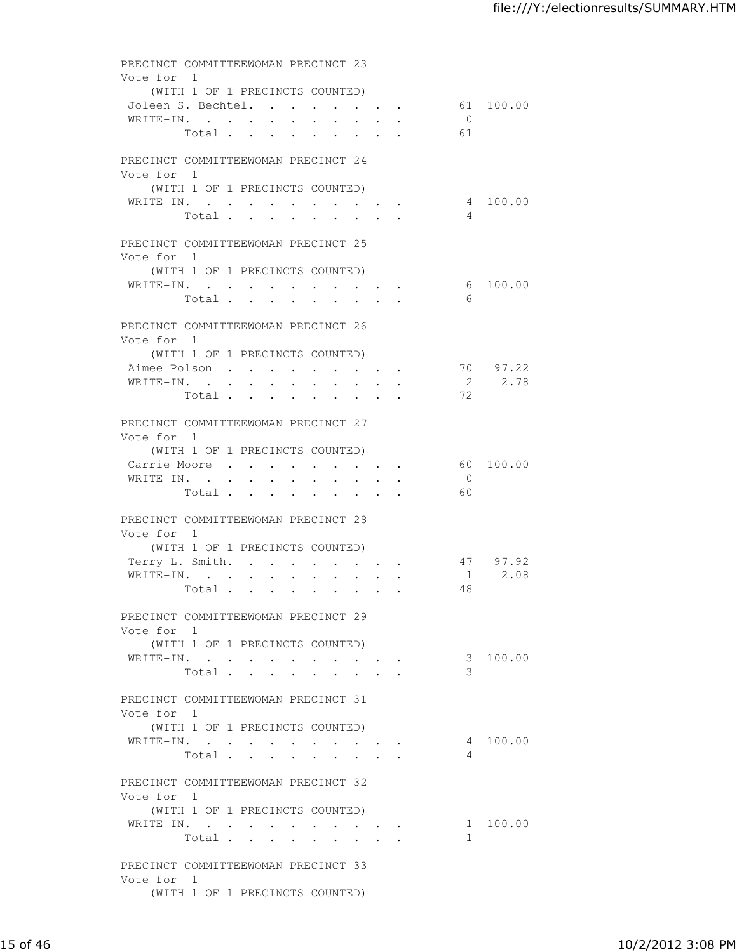| PRECINCT COMMITTEEWOMAN PRECINCT 23 |                                 |                       |                                |                      |                                                                 |                                                      |           |                |           |
|-------------------------------------|---------------------------------|-----------------------|--------------------------------|----------------------|-----------------------------------------------------------------|------------------------------------------------------|-----------|----------------|-----------|
| Vote for 1                          |                                 |                       |                                |                      |                                                                 |                                                      |           |                |           |
|                                     | (WITH 1 OF 1 PRECINCTS COUNTED) |                       |                                |                      |                                                                 |                                                      |           |                |           |
| Joleen S. Bechtel.                  |                                 |                       |                                |                      |                                                                 |                                                      |           |                | 61 100.00 |
| WRITE-IN.                           |                                 |                       |                                |                      |                                                                 |                                                      |           | $\overline{0}$ |           |
|                                     | Total                           |                       |                                |                      |                                                                 |                                                      |           | 61             |           |
|                                     |                                 |                       |                                |                      |                                                                 |                                                      |           |                |           |
| PRECINCT COMMITTEEWOMAN PRECINCT 24 |                                 |                       |                                |                      |                                                                 |                                                      |           |                |           |
| Vote for 1                          |                                 |                       |                                |                      |                                                                 |                                                      |           |                |           |
|                                     | (WITH 1 OF 1 PRECINCTS COUNTED) |                       |                                |                      |                                                                 |                                                      |           |                |           |
| WRITE-IN.                           |                                 |                       |                                |                      |                                                                 |                                                      |           |                | 4 100.00  |
|                                     | Total                           |                       |                                |                      | $\ddot{\bullet}$ , and $\ddot{\bullet}$ , and $\ddot{\bullet}$  |                                                      |           | 4              |           |
| PRECINCT COMMITTEEWOMAN PRECINCT 25 |                                 |                       |                                |                      |                                                                 |                                                      |           |                |           |
| Vote for 1                          |                                 |                       |                                |                      |                                                                 |                                                      |           |                |           |
|                                     | (WITH 1 OF 1 PRECINCTS COUNTED) |                       |                                |                      |                                                                 |                                                      |           |                |           |
| WRITE-IN.                           |                                 |                       |                                |                      |                                                                 |                                                      |           |                | 6 100.00  |
|                                     | Total                           |                       |                                |                      |                                                                 |                                                      |           | 6              |           |
|                                     |                                 |                       |                                |                      |                                                                 |                                                      |           |                |           |
| PRECINCT COMMITTEEWOMAN PRECINCT 26 |                                 |                       |                                |                      |                                                                 |                                                      |           |                |           |
| Vote for 1                          |                                 |                       |                                |                      |                                                                 |                                                      |           |                |           |
|                                     | (WITH 1 OF 1 PRECINCTS COUNTED) |                       |                                |                      |                                                                 |                                                      |           |                |           |
| Aimee Polson                        |                                 |                       |                                |                      |                                                                 | $\bullet$ . In the case of the case of the $\bullet$ |           |                | 70 97.22  |
| WRITE-IN. .                         |                                 | $\bullet$ . $\bullet$ | $\mathbf{L} = \mathbf{L}$      |                      |                                                                 |                                                      |           | $\overline{2}$ | 2.78      |
|                                     | Total                           |                       |                                |                      | $\bullet$ .<br><br><br><br><br><br><br><br><br><br><br><br><br> | $\sim$                                               |           | 72             |           |
|                                     |                                 |                       |                                |                      |                                                                 |                                                      |           |                |           |
| PRECINCT COMMITTEEWOMAN PRECINCT 27 |                                 |                       |                                |                      |                                                                 |                                                      |           |                |           |
| Vote for 1                          |                                 |                       |                                |                      |                                                                 |                                                      |           |                |           |
|                                     | (WITH 1 OF 1 PRECINCTS COUNTED) |                       |                                |                      |                                                                 |                                                      |           |                |           |
| Carrie Moore                        |                                 |                       |                                |                      |                                                                 |                                                      |           |                | 60 100.00 |
| WRITE-IN.                           |                                 |                       |                                |                      |                                                                 |                                                      |           | $\overline{0}$ |           |
|                                     | Total                           |                       |                                |                      |                                                                 |                                                      |           | - 60           |           |
|                                     |                                 |                       |                                |                      |                                                                 |                                                      |           |                |           |
| PRECINCT COMMITTEEWOMAN PRECINCT 28 |                                 |                       |                                |                      |                                                                 |                                                      |           |                |           |
| Vote for 1                          |                                 |                       |                                |                      |                                                                 |                                                      |           |                |           |
|                                     | (WITH 1 OF 1 PRECINCTS COUNTED) |                       |                                |                      |                                                                 |                                                      |           |                |           |
| Terry L. Smith.                     |                                 |                       | $\ddot{\phantom{0}}$           | $\ddot{\phantom{0}}$ | $\ddot{\phantom{0}}$                                            | $\bullet$                                            | $\bullet$ |                | 47 97.92  |
| WRITE-IN.                           |                                 | $\ddot{\phantom{0}}$  | $\mathbf{L}$ and $\mathbf{L}$  | $\ddot{\phantom{0}}$ |                                                                 |                                                      |           |                | 1 2.08    |
|                                     | Total                           |                       | $\ddot{\phantom{a}}$<br>$\sim$ | $\ddot{\phantom{0}}$ |                                                                 |                                                      |           | 48             |           |
|                                     |                                 |                       |                                |                      |                                                                 |                                                      |           |                |           |
| PRECINCT COMMITTEEWOMAN PRECINCT 29 |                                 |                       |                                |                      |                                                                 |                                                      |           |                |           |
| Vote for 1                          |                                 |                       |                                |                      |                                                                 |                                                      |           |                |           |
|                                     | (WITH 1 OF 1 PRECINCTS COUNTED) |                       |                                |                      |                                                                 |                                                      |           |                |           |
| WRITE-IN.                           |                                 |                       |                                |                      |                                                                 |                                                      |           |                | 3 100.00  |
|                                     | Total                           |                       |                                |                      |                                                                 |                                                      |           | 3              |           |
|                                     |                                 |                       |                                |                      |                                                                 |                                                      |           |                |           |
| PRECINCT COMMITTEEWOMAN PRECINCT 31 |                                 |                       |                                |                      |                                                                 |                                                      |           |                |           |
| Vote for 1                          |                                 |                       |                                |                      |                                                                 |                                                      |           |                |           |
|                                     | (WITH 1 OF 1 PRECINCTS COUNTED) |                       |                                |                      |                                                                 |                                                      |           |                |           |
| WRITE-IN.                           |                                 |                       |                                |                      |                                                                 |                                                      |           |                | 4 100.00  |
|                                     | Total                           |                       |                                |                      | $\sim$ $\sim$                                                   | $\ddot{\phantom{0}}$                                 |           | 4              |           |
|                                     |                                 |                       |                                |                      |                                                                 |                                                      |           |                |           |
| PRECINCT COMMITTEEWOMAN PRECINCT 32 |                                 |                       |                                |                      |                                                                 |                                                      |           |                |           |
| Vote for 1                          |                                 |                       |                                |                      |                                                                 |                                                      |           |                |           |
|                                     | (WITH 1 OF 1 PRECINCTS COUNTED) |                       |                                |                      |                                                                 |                                                      |           |                |           |
| WRITE-IN.                           |                                 |                       |                                |                      |                                                                 |                                                      |           |                | 1 100.00  |
|                                     | Total $\cdot$                   |                       |                                |                      |                                                                 |                                                      |           | $\mathbf{1}$   |           |
| PRECINCT COMMITTEEWOMAN PRECINCT 33 |                                 |                       |                                |                      |                                                                 |                                                      |           |                |           |
| Vote for 1                          |                                 |                       |                                |                      |                                                                 |                                                      |           |                |           |
|                                     | (WITH 1 OF 1 PRECINCTS COUNTED) |                       |                                |                      |                                                                 |                                                      |           |                |           |
|                                     |                                 |                       |                                |                      |                                                                 |                                                      |           |                |           |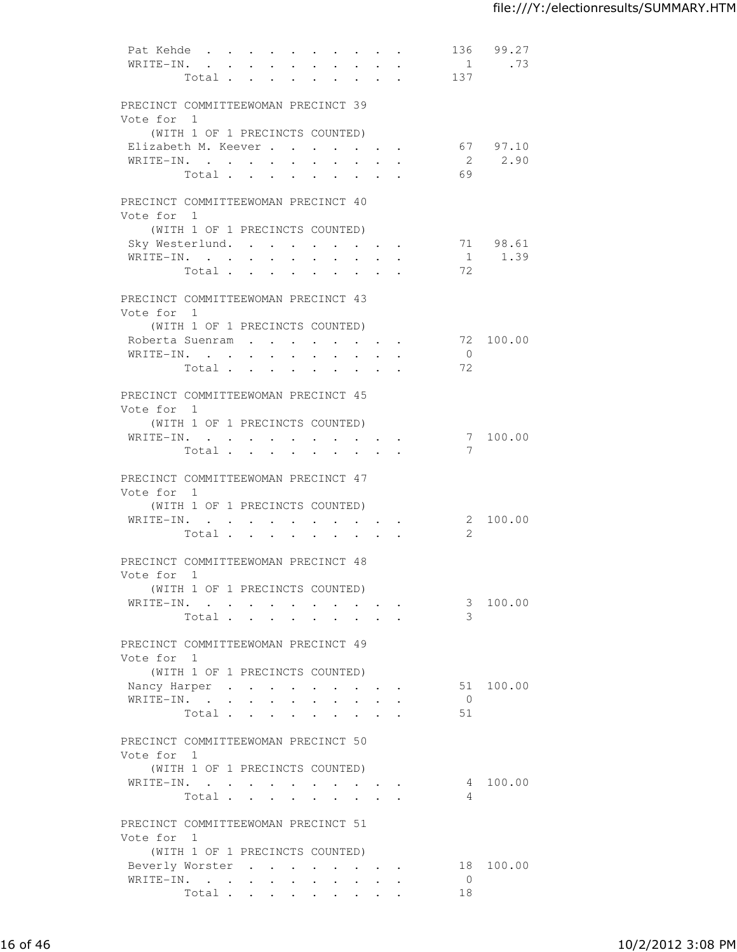| Pat Kehde<br>WRITE-IN.                            | Total                           | 2.121      | $\cdot$ $\cdot$ $\cdot$ $\cdot$ $\cdot$<br>$\sim$ | $\mathbf{L}$                                   | $\bullet$ .<br>$\mathbf{L}$      | $\sim$          | $\mathbf{r} = \mathbf{r}$<br>$\mathbf{L}$ | $\sim$<br>$\sim$<br>$\mathbf{r}$ , $\mathbf{r}$ , $\mathbf{r}$ | $\ddot{\phantom{0}}$ | $\ddot{\phantom{a}}$            | 1<br>137         | 136 99.27<br>.73   |
|---------------------------------------------------|---------------------------------|------------|---------------------------------------------------|------------------------------------------------|----------------------------------|-----------------|-------------------------------------------|----------------------------------------------------------------|----------------------|---------------------------------|------------------|--------------------|
| PRECINCT COMMITTEEWOMAN PRECINCT 39               |                                 |            |                                                   |                                                |                                  |                 |                                           |                                                                |                      |                                 |                  |                    |
| Vote for 1                                        |                                 |            |                                                   |                                                |                                  |                 |                                           |                                                                |                      |                                 |                  |                    |
| Elizabeth M. Keever                               | (WITH 1 OF 1 PRECINCTS COUNTED) |            |                                                   |                                                |                                  |                 |                                           |                                                                |                      |                                 |                  | 67 97.10           |
| WRITE-IN.                                         |                                 |            |                                                   |                                                |                                  |                 |                                           |                                                                |                      | <b>All Contracts</b>            |                  | 2 2.90             |
|                                                   | Total $\cdots$ $\cdots$         |            |                                                   |                                                |                                  |                 |                                           | $\cdot$ $\cdot$ $\cdot$ $\cdot$ $\cdot$                        |                      |                                 | 69               |                    |
| PRECINCT COMMITTEEWOMAN PRECINCT 40               |                                 |            |                                                   |                                                |                                  |                 |                                           |                                                                |                      |                                 |                  |                    |
| Vote for 1                                        |                                 |            |                                                   |                                                |                                  |                 |                                           |                                                                |                      |                                 |                  |                    |
|                                                   | (WITH 1 OF 1 PRECINCTS COUNTED) |            |                                                   |                                                |                                  |                 |                                           |                                                                |                      |                                 |                  |                    |
| Sky Westerlund.<br>WRITE-IN.                      |                                 |            |                                                   |                                                |                                  |                 |                                           |                                                                |                      |                                 |                  | 71 98.61<br>1 1.39 |
|                                                   | Total                           |            |                                                   |                                                |                                  |                 |                                           |                                                                |                      |                                 | 72               |                    |
|                                                   |                                 |            |                                                   |                                                |                                  |                 |                                           |                                                                |                      |                                 |                  |                    |
| PRECINCT COMMITTEEWOMAN PRECINCT 43<br>Vote for 1 |                                 |            |                                                   |                                                |                                  |                 |                                           |                                                                |                      |                                 |                  |                    |
|                                                   | (WITH 1 OF 1 PRECINCTS COUNTED) |            |                                                   |                                                |                                  |                 |                                           |                                                                |                      |                                 |                  |                    |
| Roberta Suenram                                   |                                 |            |                                                   |                                                |                                  |                 |                                           |                                                                |                      |                                 |                  | 72 100.00          |
| WRITE-IN.                                         |                                 |            |                                                   |                                                | $\ddot{\phantom{a}}$             |                 |                                           |                                                                |                      |                                 | $\bigcirc$<br>72 |                    |
|                                                   | Total                           |            |                                                   |                                                | <b>Service Control</b>           |                 | $\bullet$                                 |                                                                |                      |                                 |                  |                    |
| PRECINCT COMMITTEEWOMAN PRECINCT 45<br>Vote for 1 |                                 |            |                                                   |                                                |                                  |                 |                                           |                                                                |                      |                                 |                  |                    |
|                                                   | (WITH 1 OF 1 PRECINCTS COUNTED) |            |                                                   |                                                |                                  |                 |                                           |                                                                |                      |                                 |                  |                    |
| WRITE-IN.                                         |                                 |            |                                                   |                                                |                                  |                 |                                           |                                                                |                      |                                 |                  | 7 100.00           |
|                                                   | Total                           |            |                                                   |                                                |                                  |                 |                                           |                                                                |                      |                                 | 7                |                    |
| PRECINCT COMMITTEEWOMAN PRECINCT 47<br>Vote for 1 | (WITH 1 OF 1 PRECINCTS COUNTED) |            |                                                   |                                                |                                  |                 |                                           |                                                                |                      |                                 |                  |                    |
| WRITE-IN.                                         |                                 |            | $\mathbf{L}$                                      | $\mathbf{a}$ . $\mathbf{b}$                    | $\bullet$ . The set of $\bullet$ |                 | $\bullet$ . In the set of the $\bullet$   |                                                                |                      | $\cdot$ $\cdot$ $\cdot$ $\cdot$ |                  | 2 100.00           |
|                                                   | Total .                         |            | $\mathbf{L}$                                      | $\mathbf{r}$                                   | $\ddot{\phantom{0}}$             |                 |                                           |                                                                |                      |                                 | 2                |                    |
| PRECINCT COMMITTEEWOMAN PRECINCT 48<br>Vote for 1 |                                 |            |                                                   |                                                |                                  |                 |                                           |                                                                |                      |                                 |                  |                    |
|                                                   | (WITH 1 OF 1 PRECINCTS COUNTED) |            |                                                   |                                                |                                  |                 |                                           |                                                                |                      |                                 |                  |                    |
| WRITE-IN.                                         |                                 |            |                                                   |                                                |                                  |                 |                                           |                                                                |                      |                                 |                  | 3 100.00           |
|                                                   | Total                           |            |                                                   |                                                |                                  |                 |                                           |                                                                |                      |                                 | 3                |                    |
|                                                   |                                 |            |                                                   |                                                |                                  |                 |                                           |                                                                |                      |                                 |                  |                    |
| PRECINCT COMMITTEEWOMAN PRECINCT 49<br>Vote for 1 |                                 |            |                                                   |                                                |                                  |                 |                                           |                                                                |                      |                                 |                  |                    |
|                                                   | (WITH 1 OF 1 PRECINCTS COUNTED) |            |                                                   |                                                |                                  |                 |                                           |                                                                |                      |                                 |                  | 51 100.00          |
| Nancy Harper<br>WRITE-IN. .                       |                                 | $\sim$ $-$ | $\ddot{\phantom{0}}$                              | $\mathbf{A}$ and $\mathbf{A}$ and $\mathbf{A}$ |                                  |                 |                                           |                                                                | $\ddot{\phantom{0}}$ |                                 | $\overline{0}$   |                    |
|                                                   | Total                           |            |                                                   |                                                |                                  |                 |                                           |                                                                |                      |                                 | 51               |                    |
|                                                   |                                 |            |                                                   |                                                |                                  |                 |                                           |                                                                |                      |                                 |                  |                    |
| PRECINCT COMMITTEEWOMAN PRECINCT 50<br>Vote for 1 |                                 |            |                                                   |                                                |                                  |                 |                                           |                                                                |                      |                                 |                  |                    |
|                                                   | (WITH 1 OF 1 PRECINCTS COUNTED) |            |                                                   |                                                |                                  |                 |                                           |                                                                |                      |                                 |                  | 4 100.00           |
| WRITE-IN.                                         | Total                           |            |                                                   |                                                |                                  |                 |                                           |                                                                |                      |                                 | 4                |                    |
|                                                   |                                 |            |                                                   |                                                |                                  |                 |                                           |                                                                |                      |                                 |                  |                    |
| PRECINCT COMMITTEEWOMAN PRECINCT 51<br>Vote for 1 |                                 |            |                                                   |                                                |                                  |                 |                                           |                                                                |                      |                                 |                  |                    |
|                                                   | (WITH 1 OF 1 PRECINCTS COUNTED) |            |                                                   |                                                |                                  |                 |                                           |                                                                |                      |                                 |                  |                    |
| Beverly Worster<br>WRITE-IN.                      |                                 |            |                                                   |                                                |                                  |                 |                                           |                                                                |                      |                                 | $\overline{0}$   | 18 100.00          |
|                                                   | Total                           |            |                                                   | <b>Service</b> State                           |                                  | $\sim$ 10 $\pm$ | $\sim$                                    | $\ddot{\phantom{0}}$                                           |                      |                                 | 18               |                    |
|                                                   |                                 |            |                                                   |                                                |                                  |                 |                                           |                                                                |                      |                                 |                  |                    |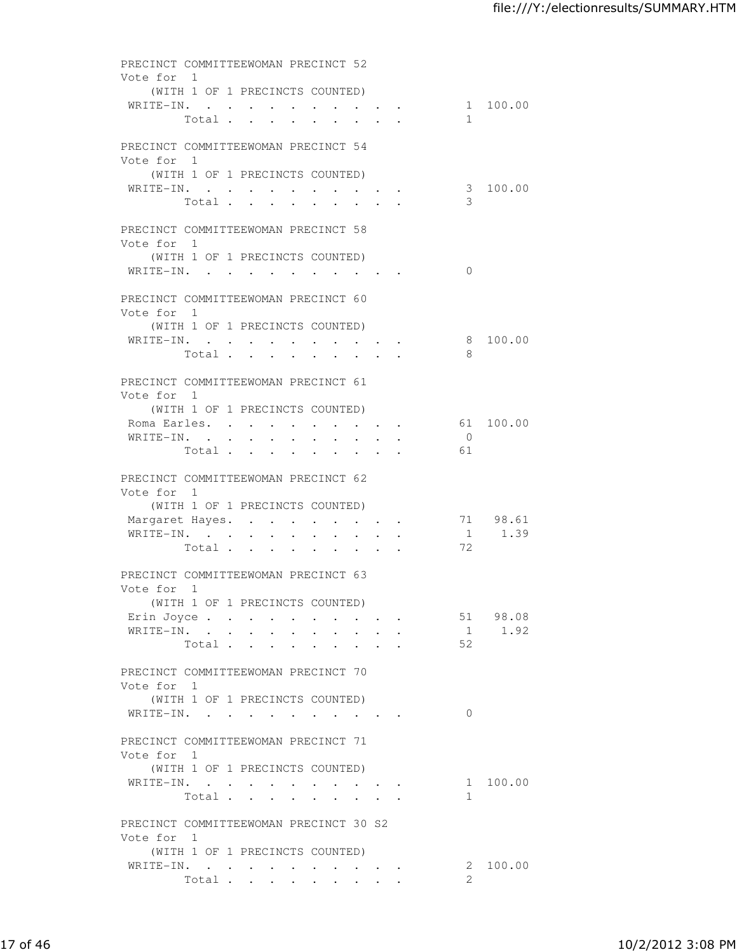| PRECINCT COMMITTEEWOMAN PRECINCT 52<br>Vote for 1    |                                          |                           |                                 |                 |                                                                                                                 |                  |                         |
|------------------------------------------------------|------------------------------------------|---------------------------|---------------------------------|-----------------|-----------------------------------------------------------------------------------------------------------------|------------------|-------------------------|
| WRITE-IN.                                            | (WITH 1 OF 1 PRECINCTS COUNTED)<br>Total |                           |                                 |                 |                                                                                                                 | $\mathbf{1}$     | 1 100.00                |
| PRECINCT COMMITTEEWOMAN PRECINCT 54<br>Vote for 1    |                                          |                           |                                 |                 |                                                                                                                 |                  |                         |
| WRITE-IN.                                            | (WITH 1 OF 1 PRECINCTS COUNTED)<br>Total |                           |                                 |                 |                                                                                                                 | 3                | 3 100.00                |
| PRECINCT COMMITTEEWOMAN PRECINCT 58<br>Vote for 1    |                                          |                           |                                 |                 |                                                                                                                 |                  |                         |
| WRITE-IN.                                            | (WITH 1 OF 1 PRECINCTS COUNTED)          |                           |                                 |                 |                                                                                                                 | $\Omega$         |                         |
| PRECINCT COMMITTEEWOMAN PRECINCT 60<br>Vote for 1    |                                          |                           |                                 |                 |                                                                                                                 |                  |                         |
| WRITE-IN.                                            | (WITH 1 OF 1 PRECINCTS COUNTED)<br>Total |                           |                                 |                 |                                                                                                                 | 8                | 8 100.00                |
| PRECINCT COMMITTEEWOMAN PRECINCT 61<br>Vote for 1    |                                          |                           |                                 |                 |                                                                                                                 |                  |                         |
| Roma Earles.                                         | (WITH 1 OF 1 PRECINCTS COUNTED)          |                           | $\mathbf{r}$ , and $\mathbf{r}$ |                 | $\cdot$ $\cdot$ $\cdot$ $\cdot$                                                                                 |                  | 61 100.00               |
| WRITE-IN.                                            | Total                                    | $\mathbf{L} = \mathbf{L}$ | $\mathbf{L}$                    | $\sim 10^{-11}$ | $\ddot{\phantom{0}}$                                                                                            | $\bigcirc$<br>61 |                         |
| PRECINCT COMMITTEEWOMAN PRECINCT 62<br>Vote for 1    | (WITH 1 OF 1 PRECINCTS COUNTED)          |                           |                                 |                 |                                                                                                                 |                  |                         |
| Margaret Hayes.<br>WRITE-IN.                         |                                          |                           |                                 |                 |                                                                                                                 | 72               | 71 98.61<br>$1 \t 1.39$ |
| PRECINCT COMMITTEEWOMAN PRECINCT 63                  | Total                                    |                           |                                 |                 |                                                                                                                 |                  |                         |
| Vote for 1                                           | (WITH 1 OF 1 PRECINCTS COUNTED)          |                           |                                 |                 |                                                                                                                 |                  |                         |
| Erin Joyce<br>WRITE-IN.                              | Total                                    |                           |                                 |                 | $\mathbf{r}$ , $\mathbf{r}$ , $\mathbf{r}$ , $\mathbf{r}$                                                       | 52               | 51 98.08<br>1 1.92      |
| PRECINCT COMMITTEEWOMAN PRECINCT 70<br>Vote for 1    |                                          |                           |                                 |                 |                                                                                                                 |                  |                         |
| WRITE-IN.                                            | (WITH 1 OF 1 PRECINCTS COUNTED)          |                           |                                 |                 | the contract of the contract of the contract of the contract of the contract of the contract of the contract of | $\Omega$         |                         |
| PRECINCT COMMITTEEWOMAN PRECINCT 71<br>Vote for 1    | (WITH 1 OF 1 PRECINCTS COUNTED)          |                           |                                 |                 |                                                                                                                 |                  |                         |
| WRITE-IN.                                            | Total                                    |                           |                                 |                 |                                                                                                                 | 1                | 1 100.00                |
| PRECINCT COMMITTEEWOMAN PRECINCT 30 S2<br>Vote for 1 |                                          |                           |                                 |                 |                                                                                                                 |                  |                         |
| WRITE-IN.                                            | (WITH 1 OF 1 PRECINCTS COUNTED)<br>Total |                           |                                 |                 |                                                                                                                 | 2.               | 2 100.00                |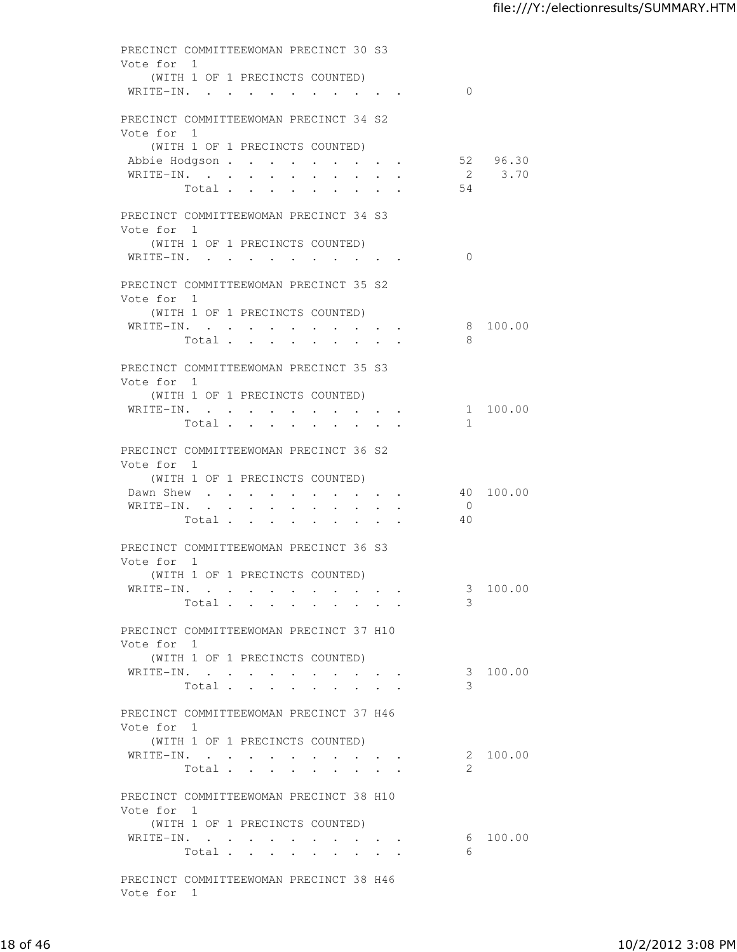| Vote for 1 | PRECINCT COMMITTEEWOMAN PRECINCT 30 S3<br>(WITH 1 OF 1 PRECINCTS COUNTED)                                                                 |                      |                    |
|------------|-------------------------------------------------------------------------------------------------------------------------------------------|----------------------|--------------------|
|            | WRITE-IN.                                                                                                                                 | $\Omega$             |                    |
| Vote for 1 | PRECINCT COMMITTEEWOMAN PRECINCT 34 S2                                                                                                    |                      |                    |
|            | (WITH 1 OF 1 PRECINCTS COUNTED)<br>Abbie Hodgson<br>WRITE-IN.<br>$\mathbf{r} = \mathbf{r} + \mathbf{r}$ , where $\mathbf{r} = \mathbf{r}$ |                      | 52 96.30<br>2 3.70 |
|            | Total                                                                                                                                     | 54                   |                    |
| Vote for 1 | PRECINCT COMMITTEEWOMAN PRECINCT 34 S3<br>(WITH 1 OF 1 PRECINCTS COUNTED)                                                                 |                      |                    |
|            | WRITE-IN.                                                                                                                                 | $\Omega$             |                    |
| Vote for 1 | PRECINCT COMMITTEEWOMAN PRECINCT 35 S2<br>(WITH 1 OF 1 PRECINCTS COUNTED)                                                                 |                      |                    |
|            | WRITE-IN.                                                                                                                                 |                      | 8 100.00           |
|            | Total                                                                                                                                     | 8                    |                    |
| Vote for 1 | PRECINCT COMMITTEEWOMAN PRECINCT 35 S3<br>(WITH 1 OF 1 PRECINCTS COUNTED)                                                                 |                      |                    |
|            | WRITE-IN.<br>$\mathcal{L}_{\text{max}}$ , and $\mathcal{L}_{\text{max}}$<br>$\bullet$ . In the case of the case of the $\bullet$          |                      | 1 100.00           |
|            | Total.<br>$\mathbf{L}$ and $\mathbf{L}$<br>$\sim$ 100 $\mu$<br>$\sim$                                                                     | $\mathbf{1}$         |                    |
| Vote for 1 | PRECINCT COMMITTEEWOMAN PRECINCT 36 S2<br>(WITH 1 OF 1 PRECINCTS COUNTED)                                                                 |                      |                    |
|            | Dawn Shew                                                                                                                                 |                      | 40 100.00          |
|            | WRITE-IN.<br>Total                                                                                                                        | $\overline{0}$<br>40 |                    |
| Vote for 1 | PRECINCT COMMITTEEWOMAN PRECINCT 36 S3                                                                                                    |                      |                    |
|            | (WITH 1 OF 1 PRECINCTS COUNTED)<br>WRITE-IN.<br>Total                                                                                     | 3<br>3               | 100.00             |
| Vote for 1 | PRECINCT COMMITTEEWOMAN PRECINCT 37 H10                                                                                                   |                      |                    |
|            | (WITH 1 OF 1 PRECINCTS COUNTED)                                                                                                           |                      |                    |
|            | WRITE-IN.<br>Total                                                                                                                        | 3<br>3               | 100.00             |
| Vote for 1 | PRECINCT COMMITTEEWOMAN PRECINCT 37 H46                                                                                                   |                      |                    |
|            | (WITH 1 OF 1 PRECINCTS COUNTED)<br>WRITE-IN.<br>$\sim$ $\sim$ $\sim$ $\sim$                                                               |                      | 2 100.00           |
|            | Total                                                                                                                                     | 2                    |                    |
| Vote for 1 | PRECINCT COMMITTEEWOMAN PRECINCT 38 H10                                                                                                   |                      |                    |
|            | (WITH 1 OF 1 PRECINCTS COUNTED)<br>WRITE-IN.<br>Total $\cdot$                                                                             | 6                    | 6 100.00           |
| Vote for 1 | PRECINCT COMMITTEEWOMAN PRECINCT 38 H46                                                                                                   |                      |                    |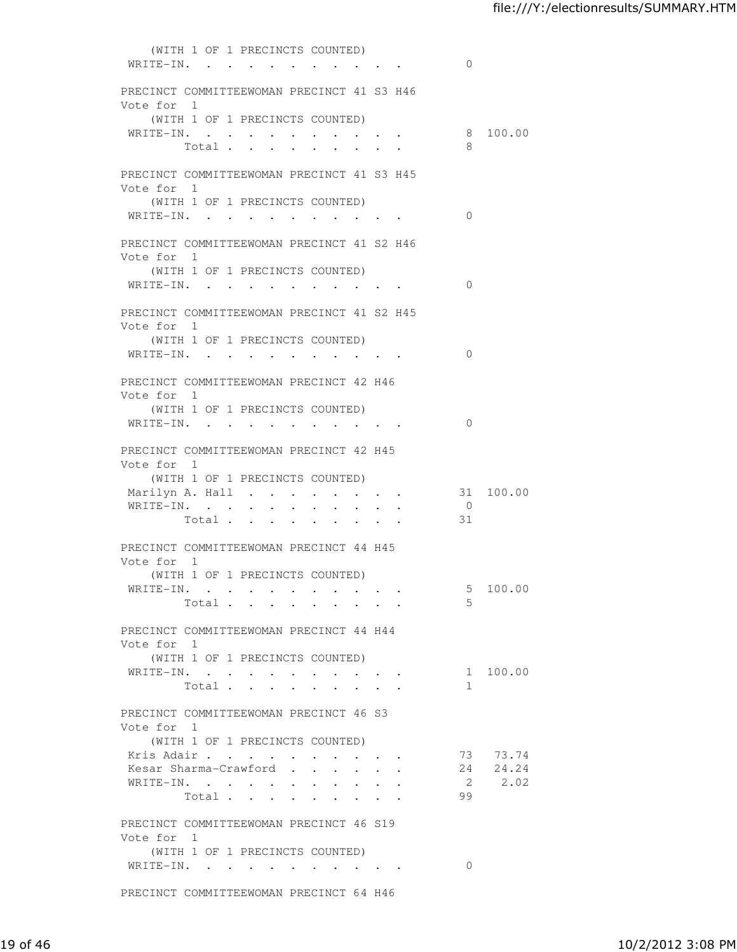(WITH 1 OF 1 PRECINCTS COUNTED) WRITE-IN. . . . . . . . . . . 0 PRECINCT COMMITTEEWOMAN PRECINCT 41 S3 H46 Vote for 1 (WITH 1 OF 1 PRECINCTS COUNTED) WRITE-IN. . . . . . . . . . . 8 100.00 Total . . . . . . . . . 8 PRECINCT COMMITTEEWOMAN PRECINCT 41 S3 H45 Vote for 1 (WITH 1 OF 1 PRECINCTS COUNTED) WRITE-IN. . . . . . . . . . . 0 PRECINCT COMMITTEEWOMAN PRECINCT 41 S2 H46 Vote for 1 (WITH 1 OF 1 PRECINCTS COUNTED) WRITE-IN. . . . . . . . . . 0 PRECINCT COMMITTEEWOMAN PRECINCT 41 S2 H45 Vote for 1 (WITH 1 OF 1 PRECINCTS COUNTED) WRITE-IN. . . . . . . . . . . 0 PRECINCT COMMITTEEWOMAN PRECINCT 42 H46 Vote for 1 (WITH 1 OF 1 PRECINCTS COUNTED) WRITE-IN. . . . . . . . . . . 0 PRECINCT COMMITTEEWOMAN PRECINCT 42 H45 Vote for 1 (WITH 1 OF 1 PRECINCTS COUNTED) Marilyn A. Hall . . . . . . . . 31 100.00 WRITE-IN. . . . . . . . . . . 0 Total . . . . . . . . . 31 PRECINCT COMMITTEEWOMAN PRECINCT 44 H45 Vote for 1 (WITH 1 OF 1 PRECINCTS COUNTED) WRITE-IN. . . . . . . . . . . 5 100.00<br>Total . . . . . . . . . 5 Total . . . . . . . . . PRECINCT COMMITTEEWOMAN PRECINCT 44 H44 Vote for 1 (WITH 1 OF 1 PRECINCTS COUNTED) WRITE-IN. . . . . . . . . . . 1 100.00 Total . . . . . . . . . 1 PRECINCT COMMITTEEWOMAN PRECINCT 46 S3 Vote for 1 (WITH 1 OF 1 PRECINCTS COUNTED) Xris Adair . . . . . . . . . . . . 73 73.74<br>Kesar Sharma-Crawford . . . . . . 24 24.24 Kesar Sharma-Crawford . . . . . . WRITE-IN. . . . . . . . . . . 2 2.02 Total . . . . . . . . . 99 PRECINCT COMMITTEEWOMAN PRECINCT 46 S19 Vote for 1 (WITH 1 OF 1 PRECINCTS COUNTED) WRITE-IN. . . . . . . . . . . 0 PRECINCT COMMITTEEWOMAN PRECINCT 64 H46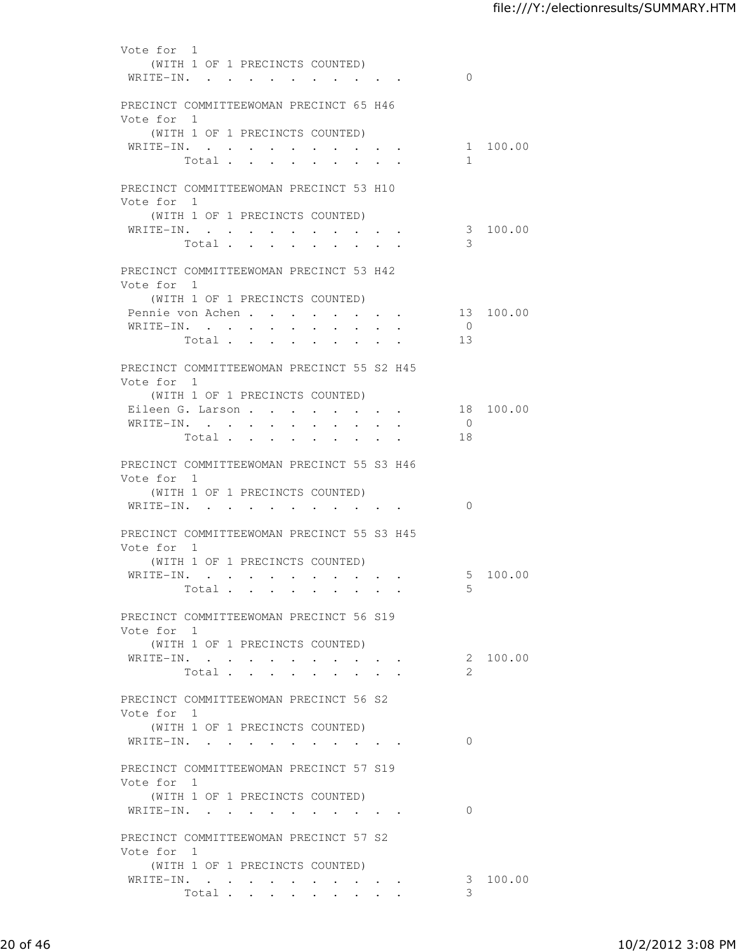| Vote for 1<br>WRITE-IN. . | (WITH 1 OF 1 PRECINCTS COUNTED)                                                                                           |                                                                                                                 | $\Omega$                          |
|---------------------------|---------------------------------------------------------------------------------------------------------------------------|-----------------------------------------------------------------------------------------------------------------|-----------------------------------|
| Vote for 1                | PRECINCT COMMITTEEWOMAN PRECINCT 65 H46                                                                                   |                                                                                                                 |                                   |
|                           | (WITH 1 OF 1 PRECINCTS COUNTED)<br>WRITE-IN.<br>Total<br>$\bullet$ .                                                      | $\bullet \qquad \bullet \qquad \bullet \qquad \bullet$                                                          | 1 100.00<br>$\mathbf{1}$          |
| Vote for 1                | PRECINCT COMMITTEEWOMAN PRECINCT 53 H10<br>(WITH 1 OF 1 PRECINCTS COUNTED)                                                |                                                                                                                 |                                   |
| WRITE-IN.                 | $\sim$<br>Total .<br>$\ddot{\phantom{0}}$<br>$\ddot{\phantom{a}}$                                                         | $\begin{array}{cccccccccccccc} \bullet & \bullet & \bullet & \bullet & \bullet & \bullet & \bullet \end{array}$ | 3 100.00<br>3                     |
| Vote for 1                | PRECINCT COMMITTEEWOMAN PRECINCT 53 H42<br>(WITH 1 OF 1 PRECINCTS COUNTED)                                                |                                                                                                                 |                                   |
|                           | Pennie von Achen<br>WRITE-IN.<br>Total                                                                                    |                                                                                                                 | 13 100.00<br>$\overline{0}$<br>13 |
| Vote for 1                | PRECINCT COMMITTEEWOMAN PRECINCT 55 S2 H45<br>(WITH 1 OF 1 PRECINCTS COUNTED)                                             |                                                                                                                 |                                   |
| WRITE-IN.                 | Eileen G. Larson<br>$\ddot{\phantom{0}}$<br>$\ddot{\phantom{0}}$<br>Total<br>$\ddot{\phantom{a}}$<br>$\ddot{\phantom{a}}$ | $\ddot{\phantom{0}}$<br>$\sim$                                                                                  | 18 100.00<br>$\overline{0}$<br>18 |
| Vote for 1                | PRECINCT COMMITTEEWOMAN PRECINCT 55 S3 H46<br>(WITH 1 OF 1 PRECINCTS COUNTED)                                             |                                                                                                                 | $\Omega$                          |
| Vote for 1                | WRITE-IN.<br>PRECINCT COMMITTEEWOMAN PRECINCT 55 S3 H45                                                                   |                                                                                                                 |                                   |
|                           | (WITH 1 OF 1 PRECINCTS COUNTED)<br>Total $\cdots$                                                                         |                                                                                                                 | 5 100.00<br>5                     |
| Vote for 1                | PRECINCT COMMITTEEWOMAN PRECINCT 56 S19<br>(WITH 1 OF 1 PRECINCTS COUNTED)                                                |                                                                                                                 |                                   |
|                           | WRITE-IN.<br>Total                                                                                                        | $\mathbf{r} = \mathbf{r} \mathbf{r} + \mathbf{r} \mathbf{r}$ .                                                  | 2 100.00<br>$\overline{2}$        |
| Vote for 1                | PRECINCT COMMITTEEWOMAN PRECINCT 56 S2<br>(WITH 1 OF 1 PRECINCTS COUNTED)                                                 |                                                                                                                 |                                   |
| WRITE-IN.                 | PRECINCT COMMITTEEWOMAN PRECINCT 57 S19                                                                                   |                                                                                                                 | $\Omega$                          |
| Vote for 1                | (WITH 1 OF 1 PRECINCTS COUNTED)<br>WRITE-IN.                                                                              |                                                                                                                 | $\Omega$                          |
| Vote for 1                | PRECINCT COMMITTEEWOMAN PRECINCT 57 S2<br>(WITH 1 OF 1 PRECINCTS COUNTED)                                                 |                                                                                                                 |                                   |
|                           | WRITE-IN.<br>Total                                                                                                        |                                                                                                                 | 3 100.00<br>3                     |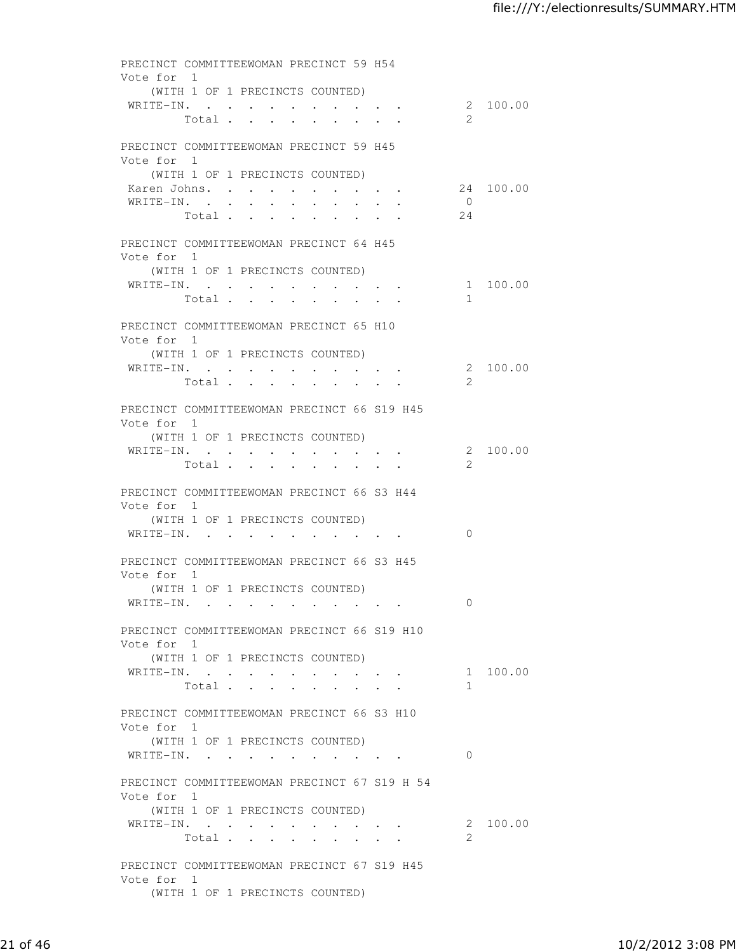PRECINCT COMMITTEEWOMAN PRECINCT 59 H54 Vote for 1 (WITH 1 OF 1 PRECINCTS COUNTED) WRITE-IN. . . . . . . . . . . 2 100.00 Total . . . . . . . . . 2 PRECINCT COMMITTEEWOMAN PRECINCT 59 H45 Vote for 1 (WITH 1 OF 1 PRECINCTS COUNTED) Karen Johns. . . . . . . . . . 24 100.00 WRITE-IN. . . . . . . . . . . 0 Total . . . . . . . . . 24 PRECINCT COMMITTEEWOMAN PRECINCT 64 H45 Vote for 1 (WITH 1 OF 1 PRECINCTS COUNTED) WRITE-IN. . . . . . . . . . . 1 100.00 Total . . . . . . . . . PRECINCT COMMITTEEWOMAN PRECINCT 65 H10 Vote for 1 (WITH 1 OF 1 PRECINCTS COUNTED) WRITE-IN. . . . . . . . . . . 2 100.00 Total . . . . . . . . . 2 PRECINCT COMMITTEEWOMAN PRECINCT 66 S19 H45 Vote for 1 (WITH 1 OF 1 PRECINCTS COUNTED) WRITE-IN. . . . . . . . . . . 2 100.00 Total . . . . . . . . . 2 PRECINCT COMMITTEEWOMAN PRECINCT 66 S3 H44 Vote for 1 (WITH 1 OF 1 PRECINCTS COUNTED) WRITE-IN. . . . . . . . . . . 0 PRECINCT COMMITTEEWOMAN PRECINCT 66 S3 H45 Vote for 1 (WITH 1 OF 1 PRECINCTS COUNTED) WRITE-IN. . . . . . . . . . 0 PRECINCT COMMITTEEWOMAN PRECINCT 66 S19 H10 Vote for 1 (WITH 1 OF 1 PRECINCTS COUNTED) WRITE-IN. . . . . . . . . . . 1 100.00 Total . . . . . . . . . 1 PRECINCT COMMITTEEWOMAN PRECINCT 66 S3 H10 Vote for 1 (WITH 1 OF 1 PRECINCTS COUNTED) WRITE-IN. . . . . . . . . . . 0 PRECINCT COMMITTEEWOMAN PRECINCT 67 S19 H 54 Vote for 1 (WITH 1 OF 1 PRECINCTS COUNTED) WRITE-IN. . . . . . . . . . . 2 100.00 Total . . . . . . . . . 2 PRECINCT COMMITTEEWOMAN PRECINCT 67 S19 H45 Vote for 1 (WITH 1 OF 1 PRECINCTS COUNTED)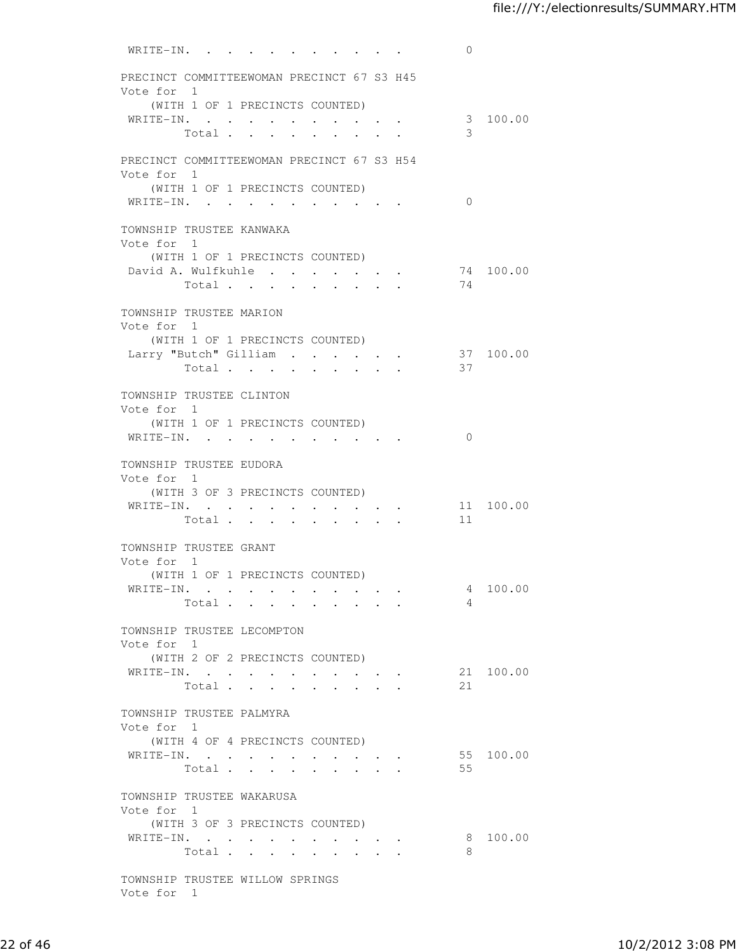WRITE-IN. . . . . . . . . . 0 PRECINCT COMMITTEEWOMAN PRECINCT 67 S3 H45 Vote for 1 (WITH 1 OF 1 PRECINCTS COUNTED) WRITE-IN. . . . . . . . . . . . . 3 100.00<br>  $T \circ t = 1$ Total  $\cdots$  . . . . . . PRECINCT COMMITTEEWOMAN PRECINCT 67 S3 H54 Vote for 1 (WITH 1 OF 1 PRECINCTS COUNTED) WRITE-IN. . . . . . . . . . . 0 TOWNSHIP TRUSTEE KANWAKA Vote for 1 (WITH 1 OF 1 PRECINCTS COUNTED) David A. Wulfkuhle . . . . . . . 74 100.00<br>Total . . . . . . . . . 74 Total . . . . . . . . . TOWNSHIP TRUSTEE MARION Vote for 1 (WITH 1 OF 1 PRECINCTS COUNTED) Larry "Butch" Gilliam . . . . . . 37 100.00 Total . . . . . . . . . 37 TOWNSHIP TRUSTEE CLINTON Vote for 1 (WITH 1 OF 1 PRECINCTS COUNTED) WRITE-IN. . . . . . . . . . . 0 TOWNSHIP TRUSTEE EUDORA Vote for 1 (WITH 3 OF 3 PRECINCTS COUNTED) WRITE-IN. . . . . . . . . . . 11 100.00 Total . . . . . . . . . 11 TOWNSHIP TRUSTEE GRANT Vote for 1 (WITH 1 OF 1 PRECINCTS COUNTED) WRITE-IN. . . . . . . . . . . 4 100.00 Total . . . . . . . . . 4 TOWNSHIP TRUSTEE LECOMPTON Vote for 1 (WITH 2 OF 2 PRECINCTS COUNTED) WRITE-IN. . . . . . . . . . . 21 100.00 Total . . . . . . . . 21 TOWNSHIP TRUSTEE PALMYRA Vote for 1 (WITH 4 OF 4 PRECINCTS COUNTED) WRITE-IN. . . . . . . . . . . 55 100.00 Total . . . . . . . . . 55 TOWNSHIP TRUSTEE WAKARUSA Vote for 1 (WITH 3 OF 3 PRECINCTS COUNTED) WRITE-IN. . . . . . . . . . . 8 100.00 Total . . . . . . . . . 8 TOWNSHIP TRUSTEE WILLOW SPRINGS

Vote for 1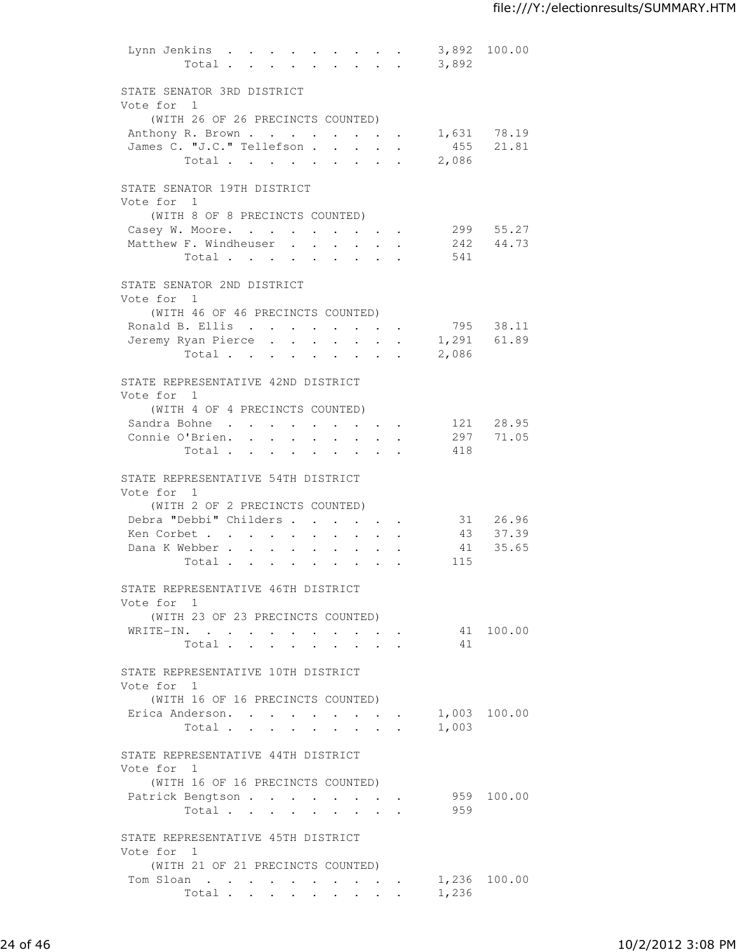| Lynn Jenkins                                     | $Total \cdot \cdot \cdot \cdot \cdot \cdot \cdot \cdot$ |                      |                                |                                                                  |        | 3,892       | 3,892 100.00 |  |
|--------------------------------------------------|---------------------------------------------------------|----------------------|--------------------------------|------------------------------------------------------------------|--------|-------------|--------------|--|
| STATE SENATOR 3RD DISTRICT                       |                                                         |                      |                                |                                                                  |        |             |              |  |
| Vote for 1<br>(WITH 26 OF 26 PRECINCTS COUNTED)  |                                                         |                      |                                |                                                                  |        |             |              |  |
| Anthony R. Brown 1,631 78.19                     |                                                         |                      |                                |                                                                  |        |             |              |  |
| James C. "J.C." Tellefson                        |                                                         |                      |                                |                                                                  |        | 455         | 21.81        |  |
|                                                  |                                                         |                      |                                |                                                                  |        | 2,086       |              |  |
|                                                  | Total                                                   |                      |                                |                                                                  |        |             |              |  |
| STATE SENATOR 19TH DISTRICT                      |                                                         |                      |                                |                                                                  |        |             |              |  |
| Vote for 1                                       |                                                         |                      |                                |                                                                  |        |             |              |  |
| (WITH 8 OF 8 PRECINCTS COUNTED)                  |                                                         |                      |                                |                                                                  |        |             |              |  |
| Casey W. Moore.                                  |                                                         |                      |                                |                                                                  |        |             | 299 55.27    |  |
| Matthew F. Windheuser                            |                                                         |                      |                                |                                                                  |        |             | 242 44.73    |  |
|                                                  | Total                                                   |                      |                                |                                                                  |        | 541         |              |  |
| STATE SENATOR 2ND DISTRICT<br>Vote for 1         |                                                         |                      |                                |                                                                  |        |             |              |  |
| (WITH 46 OF 46 PRECINCTS COUNTED)                |                                                         |                      |                                |                                                                  |        |             |              |  |
| Ronald B. Ellis                                  |                                                         |                      |                                |                                                                  |        |             | 795 38.11    |  |
|                                                  |                                                         |                      |                                |                                                                  |        |             |              |  |
| Jeremy Ryan Pierce                               |                                                         |                      |                                | $\mathbf{A}^{(1)}$ and $\mathbf{A}^{(2)}$ and $\mathbf{A}^{(3)}$ |        | 1,291 61.89 |              |  |
|                                                  | Total                                                   |                      |                                |                                                                  |        | 2,086       |              |  |
| STATE REPRESENTATIVE 42ND DISTRICT<br>Vote for 1 |                                                         |                      |                                |                                                                  |        |             |              |  |
| (WITH 4 OF 4 PRECINCTS COUNTED)                  |                                                         |                      |                                |                                                                  |        |             |              |  |
|                                                  |                                                         |                      |                                |                                                                  |        |             |              |  |
| Sandra Bohne 121 28.95                           |                                                         |                      |                                |                                                                  |        |             |              |  |
| Connie O'Brien. 297                              |                                                         |                      |                                |                                                                  |        |             | 71.05        |  |
|                                                  | Total                                                   |                      |                                |                                                                  |        | 418         |              |  |
| STATE REPRESENTATIVE 54TH DISTRICT               |                                                         |                      |                                |                                                                  |        |             |              |  |
| Vote for 1                                       |                                                         |                      |                                |                                                                  |        |             |              |  |
| (WITH 2 OF 2 PRECINCTS COUNTED)                  |                                                         |                      |                                |                                                                  |        |             |              |  |
| Debra "Debbi" Childers                           |                                                         |                      |                                | $\sim$ $\sim$ $\sim$ $\sim$ $\sim$                               | $\sim$ | 31          | 26.96        |  |
| Ken Corbet                                       |                                                         | $\sim$ $-$           | $\bullet$ .<br>$\sim$ 10 $\pm$ |                                                                  |        | 43          | 37.39        |  |
| Dana K Webber                                    |                                                         |                      | $\bullet$ .                    | $\mathbf{v} = \mathbf{v} \cdot \mathbf{v}$ .                     |        | 41          | 35.65        |  |
|                                                  | Total                                                   |                      |                                |                                                                  |        | 115         |              |  |
| STATE REPRESENTATIVE 46TH DISTRICT               |                                                         |                      |                                |                                                                  |        |             |              |  |
| Vote for 1                                       |                                                         |                      |                                |                                                                  |        |             |              |  |
| (WITH 23 OF 23 PRECINCTS COUNTED)                |                                                         |                      |                                |                                                                  |        |             |              |  |
| WRITE-IN.                                        |                                                         |                      |                                |                                                                  |        |             | 41 100.00    |  |
|                                                  | Total                                                   |                      |                                |                                                                  |        | 41          |              |  |
| STATE REPRESENTATIVE 10TH DISTRICT               |                                                         |                      |                                |                                                                  |        |             |              |  |
| Vote for 1                                       |                                                         |                      |                                |                                                                  |        |             |              |  |
| (WITH 16 OF 16 PRECINCTS COUNTED)                |                                                         |                      |                                |                                                                  |        |             |              |  |
| Erica Anderson.                                  |                                                         | <b>Service</b> State |                                |                                                                  |        |             | 1,003 100.00 |  |
|                                                  | Total.                                                  |                      |                                |                                                                  |        | 1,003       |              |  |
| STATE REPRESENTATIVE 44TH DISTRICT               |                                                         |                      |                                |                                                                  |        |             |              |  |
| Vote for 1                                       |                                                         |                      |                                |                                                                  |        |             |              |  |
| (WITH 16 OF 16 PRECINCTS COUNTED)                |                                                         |                      |                                |                                                                  |        |             |              |  |
| Patrick Bengtson                                 |                                                         |                      |                                |                                                                  |        |             | 959 100.00   |  |
|                                                  | Total                                                   |                      |                                |                                                                  |        | 959         |              |  |
| STATE REPRESENTATIVE 45TH DISTRICT               |                                                         |                      |                                |                                                                  |        |             |              |  |
| Vote for 1                                       |                                                         |                      |                                |                                                                  |        |             |              |  |
| (WITH 21 OF 21 PRECINCTS COUNTED)                |                                                         |                      |                                |                                                                  |        |             |              |  |
| Tom Sloan                                        |                                                         |                      |                                |                                                                  |        |             | 1,236 100.00 |  |
|                                                  | Total                                                   |                      |                                |                                                                  |        | 1,236       |              |  |
|                                                  |                                                         |                      |                                |                                                                  |        |             |              |  |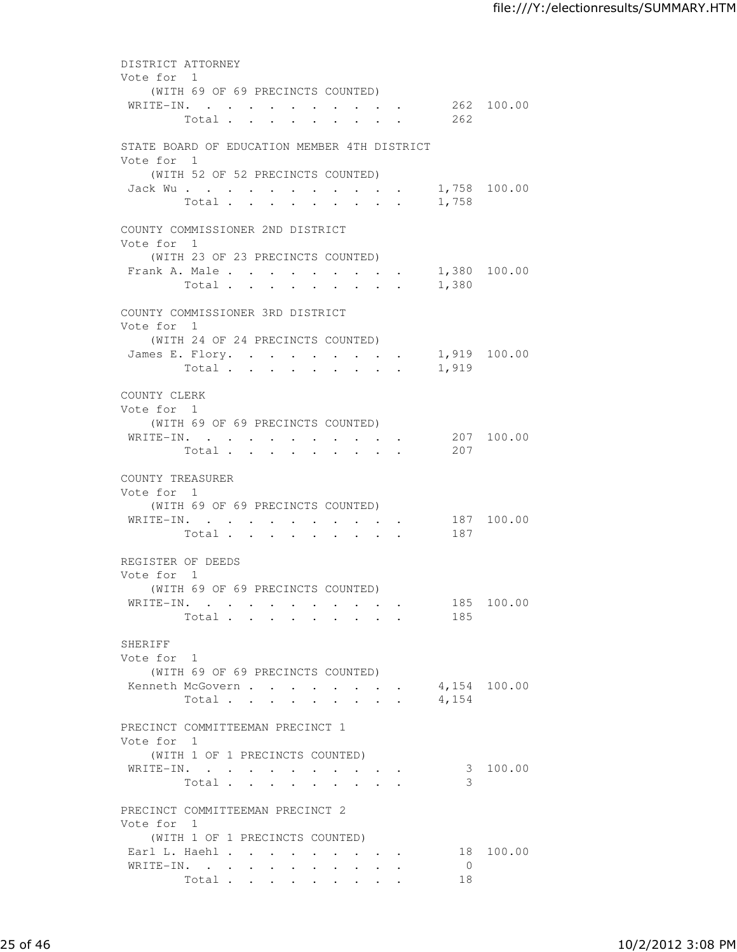| DISTRICT ATTORNEY                                         |                                          |                                |                                                                          |                           |                      |              |
|-----------------------------------------------------------|------------------------------------------|--------------------------------|--------------------------------------------------------------------------|---------------------------|----------------------|--------------|
| Vote for 1                                                |                                          |                                |                                                                          |                           |                      |              |
| (WITH 69 OF 69 PRECINCTS COUNTED)<br>WRITE-IN. 262 100.00 |                                          |                                |                                                                          |                           |                      |              |
| Total 262                                                 |                                          |                                |                                                                          |                           |                      |              |
|                                                           |                                          |                                |                                                                          |                           |                      |              |
| STATE BOARD OF EDUCATION MEMBER 4TH DISTRICT              |                                          |                                |                                                                          |                           |                      |              |
| Vote for 1                                                |                                          |                                |                                                                          |                           |                      |              |
| (WITH 52 OF 52 PRECINCTS COUNTED)                         |                                          |                                |                                                                          |                           |                      |              |
| Jack Wu.                                                  |                                          |                                |                                                                          |                           |                      | 1,758 100.00 |
| Total                                                     | $\mathbf{r}$ $\mathbf{r}$<br>$\sim$      | $\sim$                         |                                                                          |                           | 1,758                |              |
| COUNTY COMMISSIONER 2ND DISTRICT                          |                                          |                                |                                                                          |                           |                      |              |
| Vote for 1                                                |                                          |                                |                                                                          |                           |                      |              |
| (WITH 23 OF 23 PRECINCTS COUNTED)                         |                                          |                                |                                                                          |                           |                      |              |
| Frank A. Male 1,380 100.00                                |                                          |                                |                                                                          |                           |                      |              |
| Total                                                     |                                          |                                |                                                                          |                           | 1,380                |              |
|                                                           |                                          |                                |                                                                          |                           |                      |              |
| COUNTY COMMISSIONER 3RD DISTRICT                          |                                          |                                |                                                                          |                           |                      |              |
| Vote for 1                                                |                                          |                                |                                                                          |                           |                      |              |
| (WITH 24 OF 24 PRECINCTS COUNTED)                         |                                          |                                |                                                                          |                           |                      | 1,919 100.00 |
| James E. Flory.<br>Total                                  |                                          |                                | $\cdot$ $\cdot$ $\cdot$ $\cdot$ $\cdot$                                  |                           | 1,919                |              |
|                                                           |                                          |                                |                                                                          |                           |                      |              |
| COUNTY CLERK                                              |                                          |                                |                                                                          |                           |                      |              |
| Vote for 1                                                |                                          |                                |                                                                          |                           |                      |              |
| (WITH 69 OF 69 PRECINCTS COUNTED)                         |                                          |                                |                                                                          |                           |                      |              |
| WRITE-IN. 207 100.00                                      |                                          |                                |                                                                          |                           |                      |              |
| Total                                                     |                                          |                                |                                                                          |                           | 207                  |              |
|                                                           |                                          |                                |                                                                          |                           |                      |              |
| COUNTY TREASURER<br>Vote for 1                            |                                          |                                |                                                                          |                           |                      |              |
| (WITH 69 OF 69 PRECINCTS COUNTED)                         |                                          |                                |                                                                          |                           |                      |              |
| WRITE-IN.                                                 |                                          |                                |                                                                          |                           |                      | 187 100.00   |
| Total                                                     |                                          | $\ddot{\phantom{a}}$           | <b>Contract Contract Contract</b>                                        |                           | 187                  |              |
|                                                           |                                          |                                |                                                                          |                           |                      |              |
| REGISTER OF DEEDS                                         |                                          |                                |                                                                          |                           |                      |              |
| Vote for 1                                                |                                          |                                |                                                                          |                           |                      |              |
| (WITH 69 OF 69 PRECINCTS COUNTED)                         |                                          |                                |                                                                          |                           |                      |              |
| WRITE-IN.<br>Total                                        |                                          |                                |                                                                          |                           | 185<br>185           | 100.00       |
|                                                           |                                          |                                |                                                                          |                           |                      |              |
| SHERIFF                                                   |                                          |                                |                                                                          |                           |                      |              |
| Vote for 1                                                |                                          |                                |                                                                          |                           |                      |              |
| (WITH 69 OF 69 PRECINCTS COUNTED)                         |                                          |                                |                                                                          |                           |                      |              |
| Kenneth McGovern                                          |                                          |                                | $\mathbf{z} = \mathbf{z} + \mathbf{z}$ , where $\mathbf{z} = \mathbf{z}$ |                           |                      | 4,154 100.00 |
| Total                                                     | $\cdot$ $\cdot$ $\cdot$                  | $\sim$<br>$\ddot{\phantom{a}}$ |                                                                          | $\mathbf{L} = \mathbf{L}$ | 4,154                |              |
|                                                           |                                          |                                |                                                                          |                           |                      |              |
| PRECINCT COMMITTEEMAN PRECINCT 1<br>Vote for 1            |                                          |                                |                                                                          |                           |                      |              |
| (WITH 1 OF 1 PRECINCTS COUNTED)                           |                                          |                                |                                                                          |                           |                      |              |
| WRITE-IN.                                                 |                                          |                                |                                                                          |                           |                      | 3 100.00     |
| Total                                                     |                                          |                                |                                                                          |                           | 3                    |              |
|                                                           |                                          |                                |                                                                          |                           |                      |              |
| PRECINCT COMMITTEEMAN PRECINCT 2                          |                                          |                                |                                                                          |                           |                      |              |
| Vote for 1                                                |                                          |                                |                                                                          |                           |                      |              |
| (WITH 1 OF 1 PRECINCTS COUNTED)                           |                                          |                                |                                                                          |                           |                      |              |
| Earl L. Haehl                                             |                                          |                                | $\bullet$ . In the case of the $\bullet$                                 |                           |                      | 18 100.00    |
| WRITE-IN.                                                 | $\mathbf{z} = \mathbf{z} + \mathbf{z}$ . |                                |                                                                          |                           | $\overline{0}$<br>18 |              |
| Total                                                     |                                          |                                | $\bullet$ .<br><br><br><br><br><br><br><br><br><br><br><br><br><br>      |                           |                      |              |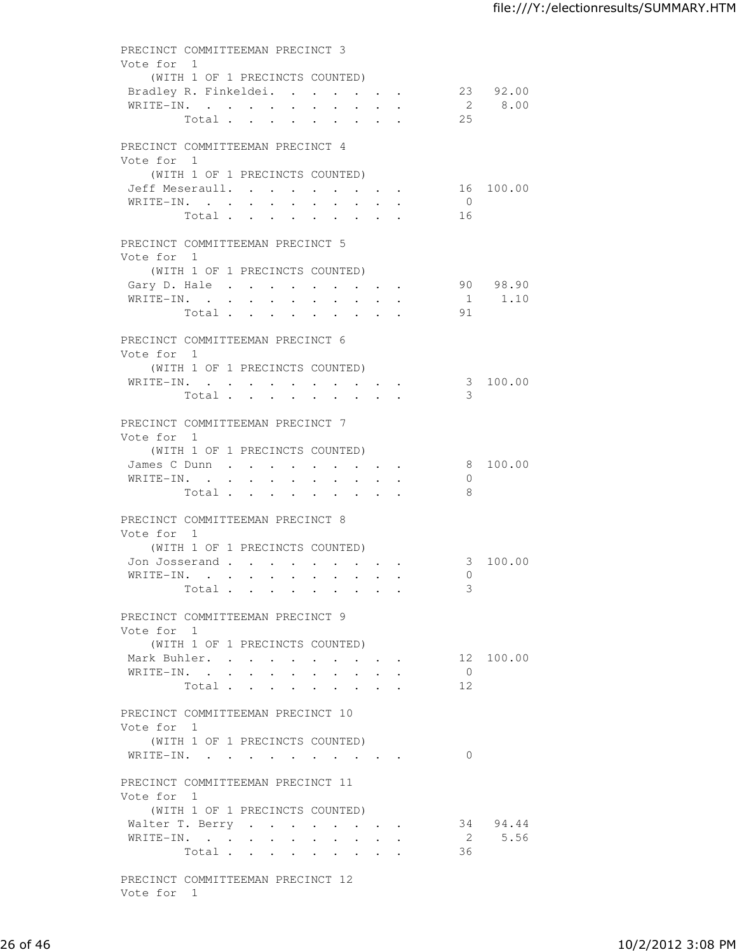| Vote for 1                        |                                 |           | PRECINCT COMMITTEEMAN PRECINCT 3 |                           |           |  |                                         |                 |                       |
|-----------------------------------|---------------------------------|-----------|----------------------------------|---------------------------|-----------|--|-----------------------------------------|-----------------|-----------------------|
|                                   |                                 |           |                                  |                           |           |  |                                         |                 |                       |
|                                   | (WITH 1 OF 1 PRECINCTS COUNTED) |           |                                  |                           |           |  |                                         |                 |                       |
| Bradley R. Finkeldei.             |                                 |           |                                  |                           |           |  |                                         |                 | 23 92.00              |
| WRITE-IN.                         |                                 |           |                                  |                           |           |  |                                         |                 | 2 8.00                |
|                                   | Total                           |           |                                  |                           |           |  |                                         | 25              |                       |
|                                   |                                 |           |                                  |                           |           |  |                                         |                 |                       |
| PRECINCT COMMITTEEMAN PRECINCT 4  |                                 |           |                                  |                           |           |  |                                         |                 |                       |
| Vote for 1                        |                                 |           |                                  |                           |           |  |                                         |                 |                       |
|                                   | (WITH 1 OF 1 PRECINCTS COUNTED) |           |                                  |                           |           |  |                                         |                 |                       |
| Jeff Meseraull.                   |                                 |           |                                  |                           |           |  |                                         |                 | 16 100.00             |
| WRITE-IN.                         |                                 |           |                                  |                           |           |  |                                         | $\overline{0}$  |                       |
|                                   | Total                           |           |                                  |                           |           |  |                                         | 16              |                       |
|                                   |                                 |           |                                  |                           |           |  |                                         |                 |                       |
| PRECINCT COMMITTEEMAN PRECINCT 5  |                                 |           |                                  |                           |           |  |                                         |                 |                       |
| Vote for 1                        |                                 |           |                                  |                           |           |  |                                         |                 |                       |
|                                   | (WITH 1 OF 1 PRECINCTS COUNTED) |           |                                  |                           |           |  |                                         |                 |                       |
| Gary D. Hale                      |                                 |           |                                  |                           |           |  |                                         |                 | 90 98.90              |
| WRITE-IN.                         |                                 |           |                                  |                           |           |  |                                         |                 | 1 1.10                |
|                                   | Total                           |           |                                  |                           |           |  |                                         | 91              |                       |
|                                   |                                 |           |                                  |                           |           |  |                                         |                 |                       |
| PRECINCT COMMITTEEMAN PRECINCT 6  |                                 |           |                                  |                           |           |  |                                         |                 |                       |
| Vote for 1                        |                                 |           |                                  |                           |           |  |                                         |                 |                       |
|                                   | (WITH 1 OF 1 PRECINCTS COUNTED) |           |                                  |                           |           |  |                                         |                 |                       |
| WRITE-IN.                         |                                 |           |                                  |                           |           |  |                                         |                 | 3 100.00              |
|                                   | Total                           |           |                                  |                           |           |  |                                         | 3               |                       |
|                                   |                                 |           |                                  |                           |           |  |                                         |                 |                       |
| PRECINCT COMMITTEEMAN PRECINCT 7  |                                 |           |                                  |                           |           |  |                                         |                 |                       |
| Vote for 1                        |                                 |           |                                  |                           |           |  |                                         |                 |                       |
|                                   | (WITH 1 OF 1 PRECINCTS COUNTED) |           |                                  |                           |           |  |                                         |                 |                       |
| James C Dunn                      |                                 |           |                                  |                           |           |  |                                         |                 | 8 100.00              |
| WRITE-IN.                         |                                 |           |                                  |                           |           |  |                                         | $\Omega$        |                       |
|                                   |                                 |           |                                  |                           |           |  |                                         | 8               |                       |
|                                   |                                 |           |                                  |                           |           |  |                                         |                 |                       |
|                                   | Total                           |           |                                  |                           |           |  |                                         |                 |                       |
| PRECINCT COMMITTEEMAN PRECINCT 8  |                                 |           |                                  |                           |           |  |                                         |                 |                       |
| Vote for 1                        |                                 |           |                                  |                           |           |  |                                         |                 |                       |
|                                   |                                 |           |                                  |                           |           |  |                                         |                 |                       |
|                                   | (WITH 1 OF 1 PRECINCTS COUNTED) |           |                                  |                           |           |  |                                         |                 |                       |
| Jon Josserand                     |                                 | $\bullet$ | $\bullet$                        |                           |           |  |                                         | $\Omega$        |                       |
| WRITE-IN.                         |                                 |           | $\bullet$                        | $\bullet$                 | $\bullet$ |  |                                         | 3               |                       |
|                                   | Total                           |           |                                  |                           |           |  |                                         |                 |                       |
| PRECINCT COMMITTEEMAN PRECINCT 9  |                                 |           |                                  |                           |           |  |                                         |                 |                       |
| Vote for 1                        |                                 |           |                                  |                           |           |  |                                         |                 |                       |
|                                   | (WITH 1 OF 1 PRECINCTS COUNTED) |           |                                  |                           |           |  |                                         |                 |                       |
|                                   |                                 |           |                                  |                           |           |  |                                         |                 |                       |
| Mark Buhler.                      |                                 |           |                                  |                           |           |  |                                         | $\bigcirc$      |                       |
| WRITE-IN.                         |                                 |           |                                  | $\mathbf{A}^{\text{max}}$ |           |  | $\cdot$ $\cdot$ $\cdot$ $\cdot$ $\cdot$ | 12 <sup>°</sup> |                       |
|                                   | Total                           |           |                                  |                           |           |  |                                         |                 | 3 100.00<br>12 100.00 |
| PRECINCT COMMITTEEMAN PRECINCT 10 |                                 |           |                                  |                           |           |  |                                         |                 |                       |
| Vote for 1                        |                                 |           |                                  |                           |           |  |                                         |                 |                       |
|                                   | (WITH 1 OF 1 PRECINCTS COUNTED) |           |                                  |                           |           |  |                                         |                 |                       |
| WRITE-IN.                         |                                 |           |                                  |                           |           |  |                                         | $\Omega$        |                       |
|                                   |                                 |           |                                  |                           |           |  |                                         |                 |                       |
| PRECINCT COMMITTEEMAN PRECINCT 11 |                                 |           |                                  |                           |           |  |                                         |                 |                       |
|                                   |                                 |           |                                  |                           |           |  |                                         |                 |                       |
| Vote for 1                        |                                 |           |                                  |                           |           |  |                                         |                 |                       |
|                                   | (WITH 1 OF 1 PRECINCTS COUNTED) |           |                                  |                           |           |  |                                         |                 |                       |
| Walter T. Berry                   |                                 |           |                                  |                           |           |  |                                         |                 | 34 94.44              |
| WRITE-IN.                         | Total                           |           |                                  |                           |           |  |                                         | 36              | 2 5.56                |

Vote for 1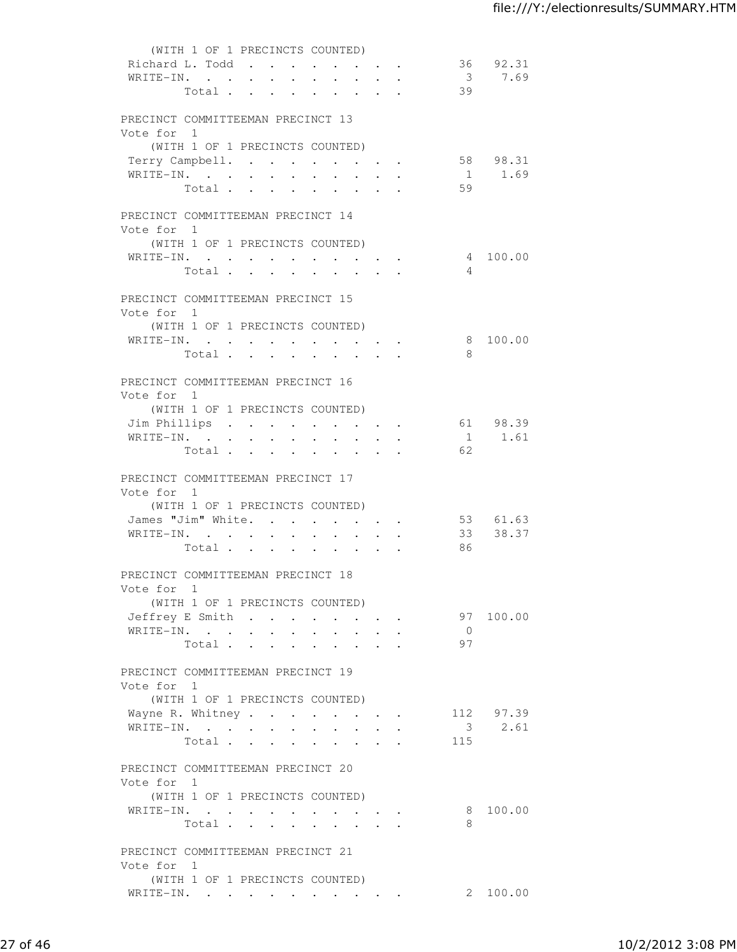| (WITH 1 OF 1 PRECINCTS COUNTED)                                                                                                                                        |  |
|------------------------------------------------------------------------------------------------------------------------------------------------------------------------|--|
| Richard L. Todd<br>36 92.31                                                                                                                                            |  |
| 37.69<br>WRITE-IN.                                                                                                                                                     |  |
| 39<br>Total                                                                                                                                                            |  |
|                                                                                                                                                                        |  |
| PRECINCT COMMITTEEMAN PRECINCT 13                                                                                                                                      |  |
| Vote for 1                                                                                                                                                             |  |
| (WITH 1 OF 1 PRECINCTS COUNTED)                                                                                                                                        |  |
| 58 98.31<br>Terry Campbell.                                                                                                                                            |  |
| WRITE-IN.<br>1.69<br>$\sim$ $-$                                                                                                                                        |  |
| 59<br>Total .<br>$\ddot{\phantom{a}}$<br>$\mathbf{L}^{\text{max}}$<br>$\bullet$ . In the case of the $\sim$<br>$\ddot{\phantom{0}}$                                    |  |
|                                                                                                                                                                        |  |
| PRECINCT COMMITTEEMAN PRECINCT 14                                                                                                                                      |  |
| Vote for 1                                                                                                                                                             |  |
| (WITH 1 OF 1 PRECINCTS COUNTED)                                                                                                                                        |  |
| WRITE-IN.<br>4 100.00                                                                                                                                                  |  |
| Total<br>$\overline{4}$                                                                                                                                                |  |
|                                                                                                                                                                        |  |
| PRECINCT COMMITTEEMAN PRECINCT 15<br>Vote for 1                                                                                                                        |  |
| (WITH 1 OF 1 PRECINCTS COUNTED)                                                                                                                                        |  |
| WRITE-IN.<br>8 100.00                                                                                                                                                  |  |
| 8<br>Total<br>$\mathbf{A}$ and $\mathbf{A}$ and $\mathbf{A}$<br>$\cdot$ $\cdot$ $\cdot$ $\cdot$ $\cdot$<br>$\bullet$ .<br><br><br><br><br><br><br><br><br><br><br><br> |  |
|                                                                                                                                                                        |  |
| PRECINCT COMMITTEEMAN PRECINCT 16                                                                                                                                      |  |
| Vote for 1                                                                                                                                                             |  |
| (WITH 1 OF 1 PRECINCTS COUNTED)                                                                                                                                        |  |
| Jim Phillips<br>61 98.39                                                                                                                                               |  |
| 1 1.61<br>WRITE-IN.                                                                                                                                                    |  |
| 62<br>Total                                                                                                                                                            |  |
|                                                                                                                                                                        |  |
| PRECINCT COMMITTEEMAN PRECINCT 17                                                                                                                                      |  |
| Vote for 1                                                                                                                                                             |  |
| (WITH 1 OF 1 PRECINCTS COUNTED)                                                                                                                                        |  |
| James "Jim" White.<br>53 61.63<br>$\mathbf{L}$<br>$\sim$<br><b>All Contracts</b>                                                                                       |  |
| 33 38.37<br>WRITE-IN.<br>$\ddot{\phantom{0}}$<br>$\bullet$ .<br>$\ddot{\phantom{0}}$                                                                                   |  |
| 86<br>Total<br>$\sim$ 100 $\pm$<br>$\cdot$ $\cdot$ $\cdot$ $\cdot$                                                                                                     |  |
|                                                                                                                                                                        |  |
| PRECINCT COMMITTEEMAN PRECINCT 18                                                                                                                                      |  |
| Vote for 1                                                                                                                                                             |  |
| (WITH 1 OF 1 PRECINCTS COUNTED)<br>97 100.00                                                                                                                           |  |
| Jeffrey E Smith<br>$\overline{0}$                                                                                                                                      |  |
| WRITE-IN.<br>97<br>Total                                                                                                                                               |  |
|                                                                                                                                                                        |  |
| PRECINCT COMMITTEEMAN PRECINCT 19                                                                                                                                      |  |
| Vote for 1                                                                                                                                                             |  |
| (WITH 1 OF 1 PRECINCTS COUNTED)                                                                                                                                        |  |
| 112 97.39<br>Wayne R. Whitney                                                                                                                                          |  |
| 3 2.61<br>$\mathtt{WRITE}\text{-}\mathtt{IN.}\quad.\quad.\quad.\quad.\quad.\quad.\quad.\quad.\quad.\quad.\quad.\quad.\quad.\quad.\quad.$                               |  |
| Total<br>115                                                                                                                                                           |  |
|                                                                                                                                                                        |  |
| PRECINCT COMMITTEEMAN PRECINCT 20                                                                                                                                      |  |
| Vote for 1                                                                                                                                                             |  |
| (WITH 1 OF 1 PRECINCTS COUNTED)                                                                                                                                        |  |
| WRITE-IN.<br>8 100.00                                                                                                                                                  |  |
| Total<br>8                                                                                                                                                             |  |
|                                                                                                                                                                        |  |
| PRECINCT COMMITTEEMAN PRECINCT 21                                                                                                                                      |  |
| Vote for 1                                                                                                                                                             |  |
| (WITH 1 OF 1 PRECINCTS COUNTED)                                                                                                                                        |  |
| WRITE-IN.<br>2 100.00                                                                                                                                                  |  |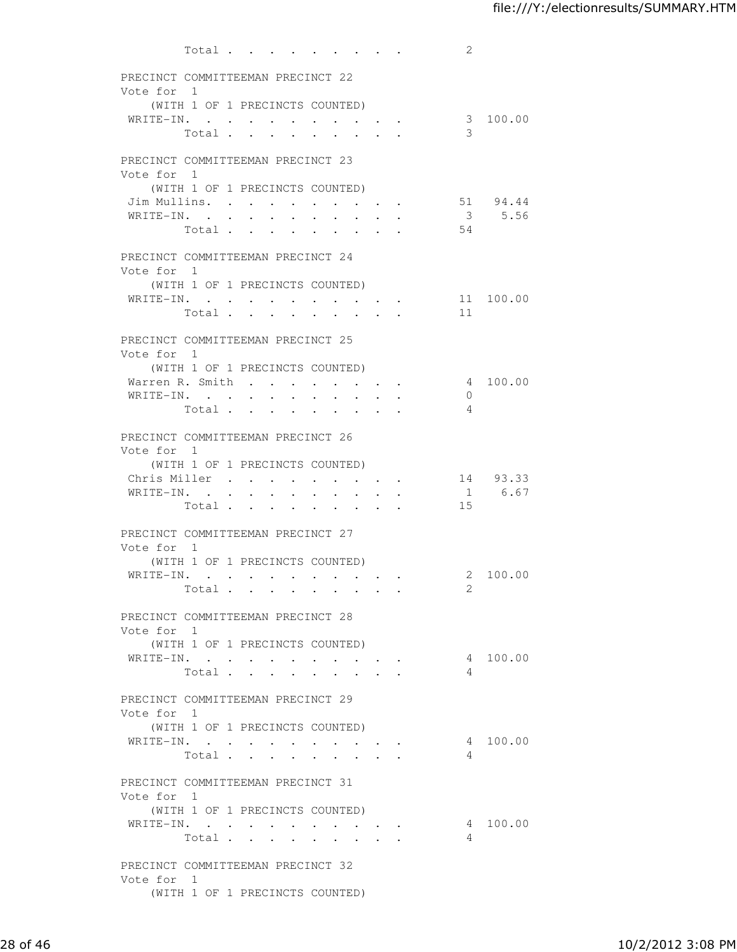|               | Total                                                                         |                                                                                                                 |                                                                                              | 2               |
|---------------|-------------------------------------------------------------------------------|-----------------------------------------------------------------------------------------------------------------|----------------------------------------------------------------------------------------------|-----------------|
|               | PRECINCT COMMITTEEMAN PRECINCT 22                                             |                                                                                                                 |                                                                                              |                 |
| Vote for 1    |                                                                               |                                                                                                                 |                                                                                              |                 |
|               | (WITH 1 OF 1 PRECINCTS COUNTED)                                               |                                                                                                                 |                                                                                              |                 |
|               | WRITE-IN.                                                                     |                                                                                                                 |                                                                                              | 3 100.00        |
|               | Total                                                                         |                                                                                                                 |                                                                                              | 3               |
|               |                                                                               |                                                                                                                 |                                                                                              |                 |
|               | PRECINCT COMMITTEEMAN PRECINCT 23                                             |                                                                                                                 |                                                                                              |                 |
| Vote for 1    |                                                                               |                                                                                                                 |                                                                                              |                 |
|               | (WITH 1 OF 1 PRECINCTS COUNTED)<br>Jim Mullins.                               |                                                                                                                 |                                                                                              | 51 94.44        |
| WRITE-IN. .   | $\sim$<br>$\mathbf{r}$                                                        | $\sim$<br>$\sim$<br>$\bullet$ . The set of $\bullet$<br>$\ddot{\phantom{a}}$                                    | <b>Service</b> State                                                                         | 3 5.56          |
|               | Total<br>$\mathbf{L}$                                                         | $\mathbf{r}$<br>$\ddot{\phantom{a}}$                                                                            |                                                                                              | 54              |
|               |                                                                               |                                                                                                                 |                                                                                              |                 |
|               | PRECINCT COMMITTEEMAN PRECINCT 24                                             |                                                                                                                 |                                                                                              |                 |
| Vote for 1    |                                                                               |                                                                                                                 |                                                                                              |                 |
|               | (WITH 1 OF 1 PRECINCTS COUNTED)                                               |                                                                                                                 |                                                                                              |                 |
|               | WRITE-IN.                                                                     |                                                                                                                 | $\mathcal{L}(\mathcal{A})$ , and $\mathcal{A}(\mathcal{A})$ , and $\mathcal{A}(\mathcal{A})$ | 11 100.00<br>11 |
|               | Total                                                                         |                                                                                                                 |                                                                                              |                 |
|               | PRECINCT COMMITTEEMAN PRECINCT 25                                             |                                                                                                                 |                                                                                              |                 |
| Vote for 1    |                                                                               |                                                                                                                 |                                                                                              |                 |
|               | (WITH 1 OF 1 PRECINCTS COUNTED)                                               |                                                                                                                 |                                                                                              |                 |
|               | Warren R. Smith                                                               | $\ddot{\phantom{0}}$                                                                                            | $\bullet$ .<br><br><br><br><br><br><br><br><br><br><br><br><br><br><br>                      | 4 100.00        |
|               | WRITE-IN.                                                                     | $\sim$ $\sim$<br>$\mathbb{R}^2$<br>$\sim$<br>$\ddot{\phantom{a}}$                                               | $\sim$                                                                                       | $\Omega$        |
|               | Total .                                                                       | the contract of the contract of the contract of the contract of the contract of the contract of the contract of |                                                                                              | $\overline{4}$  |
|               | PRECINCT COMMITTEEMAN PRECINCT 26                                             |                                                                                                                 |                                                                                              |                 |
| Vote for 1    |                                                                               |                                                                                                                 |                                                                                              |                 |
|               | (WITH 1 OF 1 PRECINCTS COUNTED)                                               |                                                                                                                 |                                                                                              |                 |
| Chris Miller. | $\ddot{\phantom{a}}$<br>$\ddot{\phantom{0}}$                                  | $\sim 100$<br>$\sim 100$                                                                                        | $\sim$ $\sim$ $\sim$ $\sim$ $\sim$                                                           | 14 93.33        |
| WRITE-IN.     | $\bullet$ .<br><br><br><br><br><br><br><br><br><br><br><br><br><br>$\sim 100$ | $\bullet$                                                                                                       |                                                                                              | 1 6.67          |
|               | Total .<br>$\bullet$<br><b>Contract Contract</b>                              | $\bullet$                                                                                                       |                                                                                              | 15              |
|               | PRECINCT COMMITTEEMAN PRECINCT 27                                             |                                                                                                                 |                                                                                              |                 |
| Vote for 1    |                                                                               |                                                                                                                 |                                                                                              |                 |
|               | (WITH 1 OF 1 PRECINCTS COUNTED)                                               |                                                                                                                 |                                                                                              |                 |
|               | WRITE-IN.                                                                     |                                                                                                                 |                                                                                              | 2 100.00        |
|               | Total $\cdots$                                                                |                                                                                                                 |                                                                                              | $\overline{2}$  |
|               |                                                                               |                                                                                                                 |                                                                                              |                 |
| Vote for 1    | PRECINCT COMMITTEEMAN PRECINCT 28                                             |                                                                                                                 |                                                                                              |                 |
|               | (WITH 1 OF 1 PRECINCTS COUNTED)                                               |                                                                                                                 |                                                                                              |                 |
|               | WRITE-IN.                                                                     |                                                                                                                 | the contract of the contract of                                                              | 4 100.00        |
|               | Total                                                                         |                                                                                                                 |                                                                                              | $\overline{4}$  |
|               |                                                                               |                                                                                                                 |                                                                                              |                 |
|               | PRECINCT COMMITTEEMAN PRECINCT 29                                             |                                                                                                                 |                                                                                              |                 |
| Vote for 1    |                                                                               |                                                                                                                 |                                                                                              |                 |
|               | (WITH 1 OF 1 PRECINCTS COUNTED)                                               |                                                                                                                 |                                                                                              |                 |
|               | WRITE-IN.<br>Total                                                            |                                                                                                                 |                                                                                              | 4 100.00<br>4   |
|               |                                                                               |                                                                                                                 |                                                                                              |                 |
|               | PRECINCT COMMITTEEMAN PRECINCT 31                                             |                                                                                                                 |                                                                                              |                 |
| Vote for 1    |                                                                               |                                                                                                                 |                                                                                              |                 |
|               | (WITH 1 OF 1 PRECINCTS COUNTED)                                               |                                                                                                                 |                                                                                              |                 |
|               | WRITE-IN.                                                                     |                                                                                                                 | and the state of the state of the                                                            | 4 100.00        |
|               | Total                                                                         |                                                                                                                 |                                                                                              | 4               |
|               | PRECINCT COMMITTEEMAN PRECINCT 32                                             |                                                                                                                 |                                                                                              |                 |
| Vote for 1    |                                                                               |                                                                                                                 |                                                                                              |                 |
|               | (WITH 1 OF 1 PRECINCTS COUNTED)                                               |                                                                                                                 |                                                                                              |                 |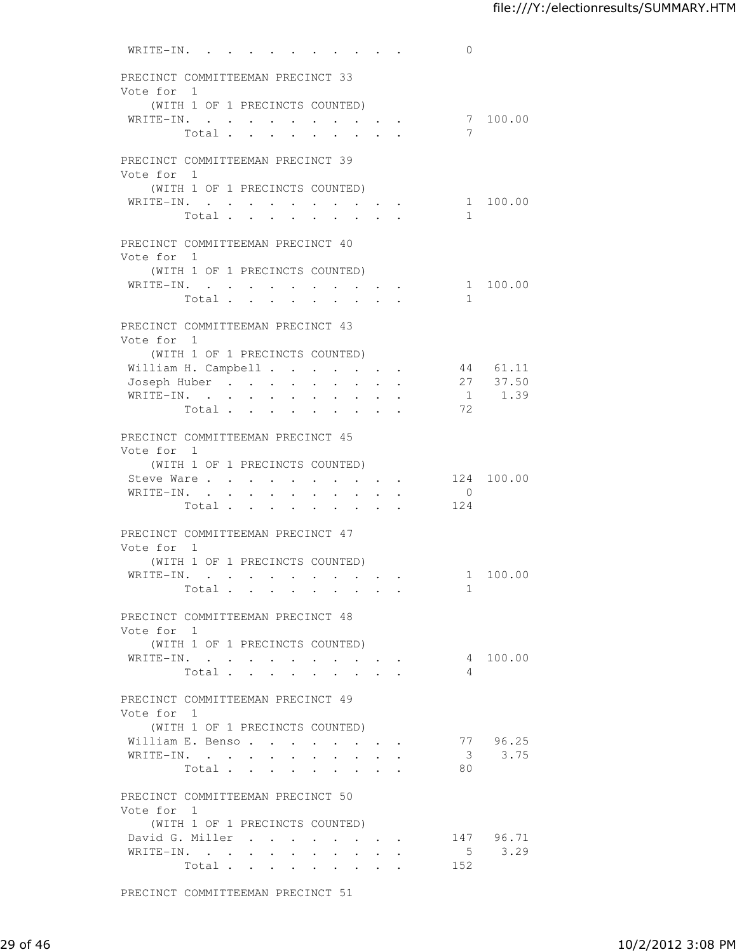| WRITE-IN.                                                                                         |                                                         |                                                                    | $\overline{0}$          |             |
|---------------------------------------------------------------------------------------------------|---------------------------------------------------------|--------------------------------------------------------------------|-------------------------|-------------|
| PRECINCT COMMITTEEMAN PRECINCT 33                                                                 |                                                         |                                                                    |                         |             |
| Vote for 1                                                                                        |                                                         |                                                                    |                         |             |
| (WITH 1 OF 1 PRECINCTS COUNTED)<br>WRITE-IN.                                                      |                                                         |                                                                    |                         | 7 100.00    |
| Total                                                                                             |                                                         |                                                                    | $7\phantom{.0}$         |             |
|                                                                                                   |                                                         |                                                                    |                         |             |
| PRECINCT COMMITTEEMAN PRECINCT 39                                                                 |                                                         |                                                                    |                         |             |
| Vote for 1                                                                                        |                                                         |                                                                    |                         |             |
| (WITH 1 OF 1 PRECINCTS COUNTED)<br>WRITE-IN.<br>$\sim$<br>$\bullet$ .<br><br><br><br><br><br><br> | $\cdot$ $\cdot$ $\cdot$ $\cdot$                         |                                                                    |                         | 1 100.00    |
| Total<br>$\ddot{\phantom{a}}$                                                                     | $\bullet$                                               |                                                                    | $\mathbf{1}$            |             |
|                                                                                                   |                                                         |                                                                    |                         |             |
| PRECINCT COMMITTEEMAN PRECINCT 40                                                                 |                                                         |                                                                    |                         |             |
| Vote for 1<br>(WITH 1 OF 1 PRECINCTS COUNTED)                                                     |                                                         |                                                                    |                         |             |
| WRITE-IN. 1 100.00                                                                                |                                                         |                                                                    |                         |             |
| Total                                                                                             |                                                         |                                                                    | $\mathbf{1}$            |             |
|                                                                                                   |                                                         |                                                                    |                         |             |
| PRECINCT COMMITTEEMAN PRECINCT 43<br>Vote for 1                                                   |                                                         |                                                                    |                         |             |
| (WITH 1 OF 1 PRECINCTS COUNTED)                                                                   |                                                         |                                                                    |                         |             |
| William H. Campbell                                                                               | $\cdot$ $\cdot$ $\cdot$                                 | <b>All Cards</b>                                                   |                         | 44 61.11    |
| Joseph Huber<br>$\ddot{\phantom{0}}$<br>$\ddot{\phantom{a}}$                                      | $\ddot{\phantom{a}}$<br>$\ddot{\phantom{a}}$            |                                                                    |                         | 27 37.50    |
| WRITE-IN.<br>$\mathbf{r}$<br>$\ddot{\phantom{a}}$                                                 | $\mathbf{r}$                                            | $\ddot{\phantom{a}}$                                               |                         | $1 \t 1.39$ |
| Total                                                                                             | $\ddot{\phantom{0}}$<br>$\sim 10^{-10}$                 | $\sim$                                                             | 72                      |             |
| PRECINCT COMMITTEEMAN PRECINCT 45                                                                 |                                                         |                                                                    |                         |             |
| Vote for 1                                                                                        |                                                         |                                                                    |                         |             |
| (WITH 1 OF 1 PRECINCTS COUNTED)                                                                   |                                                         |                                                                    |                         |             |
| Steve Ware                                                                                        |                                                         |                                                                    |                         | 124 100.00  |
| WRITE-IN.<br>Total                                                                                | $\bullet$                                               | $\mathbf{r} = \mathbf{r} + \mathbf{r} + \mathbf{r}$ .              | $\overline{0}$<br>124   |             |
|                                                                                                   |                                                         |                                                                    |                         |             |
| PRECINCT COMMITTEEMAN PRECINCT 47                                                                 |                                                         |                                                                    |                         |             |
| Vote for 1                                                                                        |                                                         |                                                                    |                         |             |
| (WITH 1 OF 1 PRECINCTS COUNTED)<br>WRITE-IN.                                                      |                                                         |                                                                    | 1 100.00                |             |
| Total                                                                                             |                                                         | $\bullet$ . In the case of the contract $\bullet$                  | 1                       |             |
|                                                                                                   |                                                         |                                                                    |                         |             |
| PRECINCT COMMITTEEMAN PRECINCT 48                                                                 |                                                         |                                                                    |                         |             |
| Vote for 1<br>(WITH 1 OF 1 PRECINCTS COUNTED)                                                     |                                                         |                                                                    |                         |             |
| WRITE-IN.                                                                                         |                                                         |                                                                    | $\overline{4}$          | 100.00      |
| Total                                                                                             |                                                         |                                                                    | 4                       |             |
|                                                                                                   |                                                         |                                                                    |                         |             |
| PRECINCT COMMITTEEMAN PRECINCT 49                                                                 |                                                         |                                                                    |                         |             |
| Vote for 1<br>(WITH 1 OF 1 PRECINCTS COUNTED)                                                     |                                                         |                                                                    |                         |             |
| William E. Benso.                                                                                 |                                                         |                                                                    |                         | 77 96.25    |
| WRITE-IN.                                                                                         |                                                         |                                                                    | $\overline{\mathbf{3}}$ | 3.75        |
| Total.                                                                                            |                                                         |                                                                    | 80                      |             |
| PRECINCT COMMITTEEMAN PRECINCT 50                                                                 |                                                         |                                                                    |                         |             |
| Vote for 1                                                                                        |                                                         |                                                                    |                         |             |
| (WITH 1 OF 1 PRECINCTS COUNTED)                                                                   |                                                         |                                                                    |                         |             |
| David G. Miller                                                                                   |                                                         | $\mathbf{r} = \mathbf{r} + \mathbf{r} + \mathbf{r} + \mathbf{r}$ . |                         | 147 96.71   |
| WRITE-IN.                                                                                         |                                                         |                                                                    | 5 <sup>5</sup>          | 3.29        |
| Total<br>$\sim 100$                                                                               | $\bullet$ . In the $\bullet$ , $\bullet$<br>$\bullet$ . | $\bullet$ .<br><br><br><br><br><br><br><br><br><br><br><br><br>    | 152                     |             |

PRECINCT COMMITTEEMAN PRECINCT 51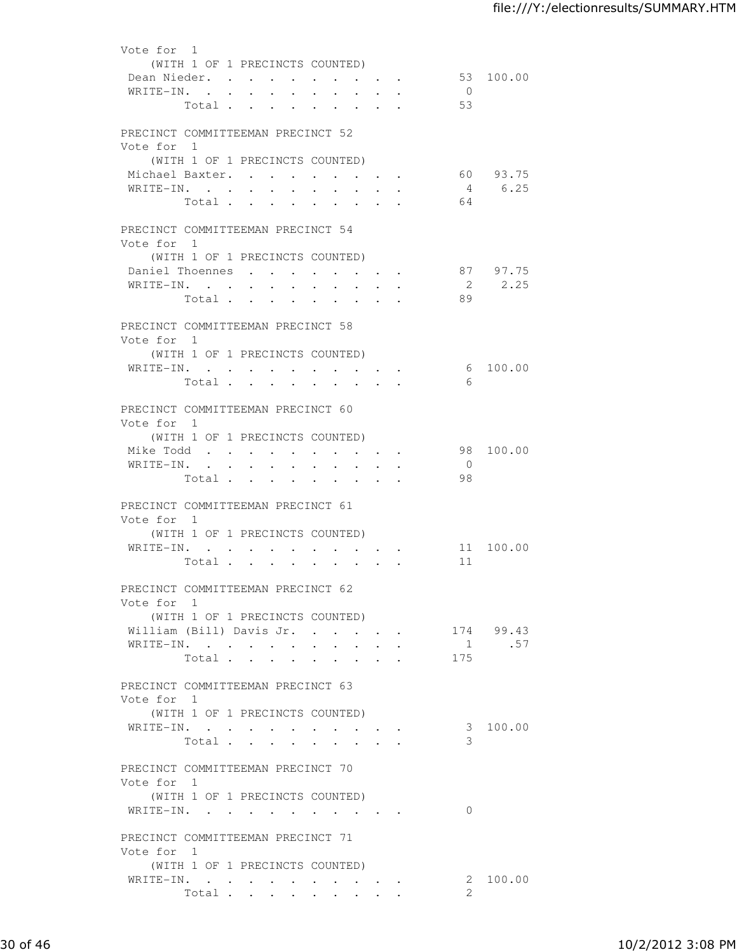| Vote for 1                        |                                 |            |                                                                                     |                                                             |        |                                                             |                  |              |                                    |               |
|-----------------------------------|---------------------------------|------------|-------------------------------------------------------------------------------------|-------------------------------------------------------------|--------|-------------------------------------------------------------|------------------|--------------|------------------------------------|---------------|
|                                   | (WITH 1 OF 1 PRECINCTS COUNTED) |            |                                                                                     |                                                             |        |                                                             |                  |              |                                    |               |
| Dean Nieder.                      |                                 |            |                                                                                     |                                                             |        |                                                             |                  |              |                                    | 53 100.00     |
|                                   |                                 |            |                                                                                     |                                                             |        |                                                             |                  |              |                                    |               |
| WRITE-IN.                         |                                 |            |                                                                                     |                                                             |        |                                                             | $\sim 10^{-11}$  | $\mathbf{A}$ | $\overline{0}$                     |               |
|                                   | Total                           |            |                                                                                     |                                                             |        |                                                             |                  |              | 53                                 |               |
|                                   |                                 |            |                                                                                     |                                                             |        |                                                             |                  |              |                                    |               |
| PRECINCT COMMITTEEMAN PRECINCT 52 |                                 |            |                                                                                     |                                                             |        |                                                             |                  |              |                                    |               |
| Vote for 1                        |                                 |            |                                                                                     |                                                             |        |                                                             |                  |              |                                    |               |
|                                   | (WITH 1 OF 1 PRECINCTS COUNTED) |            |                                                                                     |                                                             |        |                                                             |                  |              |                                    |               |
| Michael Baxter.                   |                                 |            |                                                                                     |                                                             |        |                                                             |                  |              |                                    | 60 93.75      |
| WRITE-IN.                         |                                 |            |                                                                                     |                                                             |        |                                                             |                  |              |                                    | 4 6.25        |
|                                   | Total                           |            |                                                                                     |                                                             |        |                                                             |                  |              | 64                                 |               |
|                                   |                                 |            |                                                                                     |                                                             |        |                                                             |                  |              |                                    |               |
|                                   |                                 |            |                                                                                     |                                                             |        |                                                             |                  |              |                                    |               |
| PRECINCT COMMITTEEMAN PRECINCT 54 |                                 |            |                                                                                     |                                                             |        |                                                             |                  |              |                                    |               |
| Vote for 1                        |                                 |            |                                                                                     |                                                             |        |                                                             |                  |              |                                    |               |
|                                   | (WITH 1 OF 1 PRECINCTS COUNTED) |            |                                                                                     |                                                             |        |                                                             |                  |              |                                    |               |
| Daniel Thoennes                   |                                 |            |                                                                                     |                                                             |        |                                                             |                  |              |                                    | 87 97.75      |
| WRITE-IN.                         |                                 |            |                                                                                     |                                                             |        |                                                             |                  |              |                                    | 2 2.25        |
|                                   | Total                           |            |                                                                                     |                                                             |        |                                                             |                  |              | 89                                 |               |
|                                   |                                 |            |                                                                                     |                                                             |        |                                                             |                  |              |                                    |               |
| PRECINCT COMMITTEEMAN PRECINCT 58 |                                 |            |                                                                                     |                                                             |        |                                                             |                  |              |                                    |               |
| Vote for 1                        |                                 |            |                                                                                     |                                                             |        |                                                             |                  |              |                                    |               |
|                                   |                                 |            |                                                                                     |                                                             |        |                                                             |                  |              |                                    |               |
|                                   | (WITH 1 OF 1 PRECINCTS COUNTED) |            |                                                                                     |                                                             |        |                                                             |                  |              |                                    |               |
| WRITE-IN.                         |                                 |            |                                                                                     |                                                             |        |                                                             |                  |              |                                    | 6 100.00      |
|                                   | Total                           |            |                                                                                     |                                                             |        |                                                             |                  |              | 6                                  |               |
|                                   |                                 |            |                                                                                     |                                                             |        |                                                             |                  |              |                                    |               |
| PRECINCT COMMITTEEMAN PRECINCT 60 |                                 |            |                                                                                     |                                                             |        |                                                             |                  |              |                                    |               |
| Vote for 1                        |                                 |            |                                                                                     |                                                             |        |                                                             |                  |              |                                    |               |
|                                   | (WITH 1 OF 1 PRECINCTS COUNTED) |            |                                                                                     |                                                             |        |                                                             |                  |              |                                    |               |
|                                   |                                 |            |                                                                                     |                                                             |        |                                                             |                  |              |                                    |               |
| Mike Todd                         |                                 |            |                                                                                     |                                                             |        |                                                             |                  |              |                                    | 98 100.00     |
| WRITE-IN.                         |                                 |            |                                                                                     |                                                             |        |                                                             |                  |              | $\overline{0}$                     |               |
|                                   | Total                           |            |                                                                                     |                                                             |        |                                                             |                  |              | 98                                 |               |
|                                   |                                 |            |                                                                                     |                                                             |        |                                                             |                  |              |                                    |               |
| PRECINCT COMMITTEEMAN PRECINCT 61 |                                 |            |                                                                                     |                                                             |        |                                                             |                  |              |                                    |               |
| Vote for 1                        |                                 |            |                                                                                     |                                                             |        |                                                             |                  |              |                                    |               |
|                                   | (WITH 1 OF 1 PRECINCTS COUNTED) |            |                                                                                     |                                                             |        |                                                             |                  |              |                                    |               |
| WRITE-IN.                         |                                 | $\sim$ $-$ | $\sim$                                                                              | $\bullet$ .<br><br><br><br><br><br><br><br><br><br><br><br> |        | $\bullet$ .<br><br><br><br><br><br><br><br><br><br><br><br> |                  |              |                                    | 11 100.00     |
|                                   | Total .                         | $\sim$     | $\bullet$ .<br><br><br><br><br><br><br><br><br><br><br><br><br><br><br><br><br><br> |                                                             | $\sim$ |                                                             |                  |              | 11                                 |               |
|                                   |                                 |            |                                                                                     |                                                             |        |                                                             |                  |              |                                    |               |
|                                   |                                 |            |                                                                                     |                                                             |        |                                                             |                  |              |                                    |               |
| PRECINCT COMMITTEEMAN PRECINCT 62 |                                 |            |                                                                                     |                                                             |        |                                                             |                  |              |                                    |               |
| Vote for 1                        |                                 |            |                                                                                     |                                                             |        |                                                             |                  |              |                                    |               |
|                                   | (WITH 1 OF 1 PRECINCTS COUNTED) |            |                                                                                     |                                                             |        |                                                             |                  |              |                                    |               |
|                                   |                                 |            |                                                                                     |                                                             |        |                                                             |                  |              | William (Bill) Davis Jr. 174 99.43 |               |
| WRITE-IN.                         |                                 |            |                                                                                     |                                                             |        |                                                             |                  |              |                                    | $1 \quad .57$ |
|                                   | Total                           |            |                                                                                     |                                                             |        |                                                             |                  |              | 175                                |               |
|                                   |                                 |            |                                                                                     |                                                             |        |                                                             |                  |              |                                    |               |
| PRECINCT COMMITTEEMAN PRECINCT 63 |                                 |            |                                                                                     |                                                             |        |                                                             |                  |              |                                    |               |
| Vote for 1                        |                                 |            |                                                                                     |                                                             |        |                                                             |                  |              |                                    |               |
|                                   |                                 |            |                                                                                     |                                                             |        |                                                             |                  |              |                                    |               |
|                                   | (WITH 1 OF 1 PRECINCTS COUNTED) |            |                                                                                     |                                                             |        |                                                             |                  |              |                                    |               |
| WRITE-IN.                         |                                 |            |                                                                                     |                                                             |        |                                                             |                  |              |                                    | 3 100.00      |
|                                   | Total                           |            |                                                                                     |                                                             |        |                                                             | $\sim$ 100 $\mu$ |              | 3                                  |               |
|                                   |                                 |            |                                                                                     |                                                             |        |                                                             |                  |              |                                    |               |
| PRECINCT COMMITTEEMAN PRECINCT 70 |                                 |            |                                                                                     |                                                             |        |                                                             |                  |              |                                    |               |
| Vote for 1                        |                                 |            |                                                                                     |                                                             |        |                                                             |                  |              |                                    |               |
|                                   | (WITH 1 OF 1 PRECINCTS COUNTED) |            |                                                                                     |                                                             |        |                                                             |                  |              |                                    |               |
| WRITE-IN.                         |                                 |            |                                                                                     |                                                             |        |                                                             |                  |              | $\Omega$                           |               |
|                                   |                                 |            |                                                                                     |                                                             |        |                                                             |                  |              |                                    |               |
|                                   |                                 |            |                                                                                     |                                                             |        |                                                             |                  |              |                                    |               |
| PRECINCT COMMITTEEMAN PRECINCT 71 |                                 |            |                                                                                     |                                                             |        |                                                             |                  |              |                                    |               |
| Vote for 1                        |                                 |            |                                                                                     |                                                             |        |                                                             |                  |              |                                    |               |
|                                   | (WITH 1 OF 1 PRECINCTS COUNTED) |            |                                                                                     |                                                             |        |                                                             |                  |              |                                    |               |
| WRITE-IN.                         |                                 |            |                                                                                     |                                                             |        |                                                             |                  |              |                                    | 2 100.00      |
|                                   | Total                           |            |                                                                                     |                                                             |        |                                                             |                  |              | $\mathbf{2}$                       |               |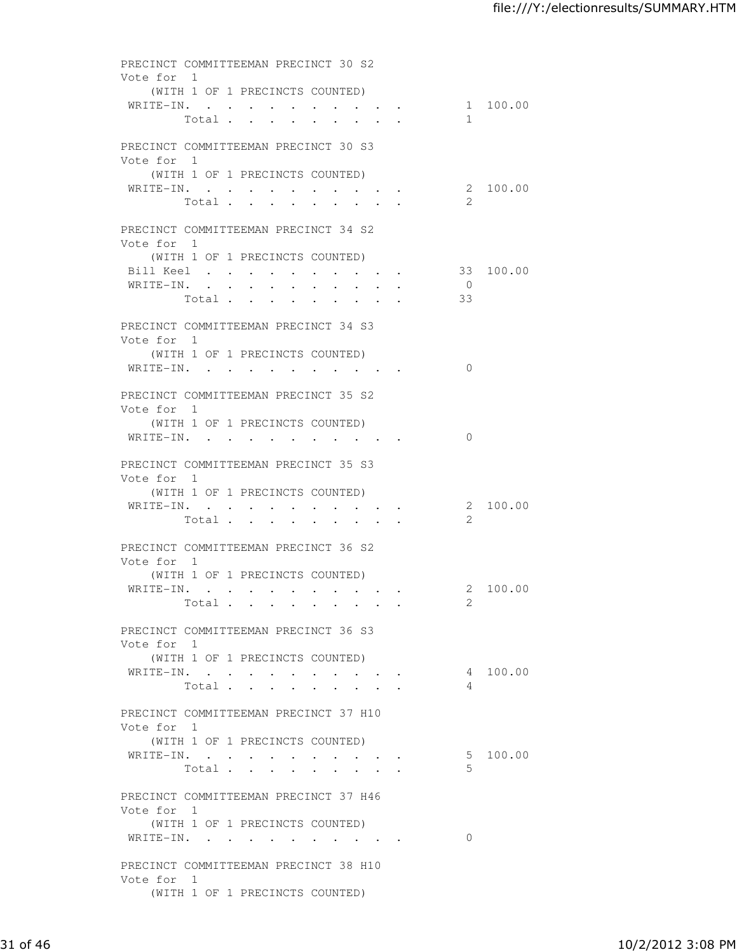| PRECINCT COMMITTEEMAN PRECINCT 30 S2                       |       |                                                                                 |  |                                 |       |                      |          |
|------------------------------------------------------------|-------|---------------------------------------------------------------------------------|--|---------------------------------|-------|----------------------|----------|
| Vote for 1<br>(WITH 1 OF 1 PRECINCTS COUNTED)<br>WRITE-IN. |       |                                                                                 |  |                                 |       |                      | 1 100.00 |
|                                                            |       | Total                                                                           |  |                                 |       | $\mathbf{1}$         |          |
| PRECINCT COMMITTEEMAN PRECINCT 30 S3<br>Vote for 1         |       |                                                                                 |  |                                 |       |                      |          |
| (WITH 1 OF 1 PRECINCTS COUNTED)                            |       |                                                                                 |  |                                 |       |                      |          |
| WRITE-IN.                                                  | Total | $\ddot{\phantom{a}}$<br>$\ddot{\phantom{0}}$                                    |  |                                 |       | 2.                   | 2 100.00 |
| PRECINCT COMMITTEEMAN PRECINCT 34 S2                       |       |                                                                                 |  |                                 |       |                      |          |
| Vote for 1<br>(WITH 1 OF 1 PRECINCTS COUNTED)              |       |                                                                                 |  |                                 |       |                      |          |
| Bill Keel 33 100.00                                        |       |                                                                                 |  |                                 |       |                      |          |
| WRITE-IN.                                                  |       |                                                                                 |  |                                 |       | $\overline{0}$<br>33 |          |
|                                                            |       |                                                                                 |  |                                 | Total |                      |          |
| PRECINCT COMMITTEEMAN PRECINCT 34 S3                       |       |                                                                                 |  |                                 |       |                      |          |
| Vote for 1<br>(WITH 1 OF 1 PRECINCTS COUNTED)              |       |                                                                                 |  |                                 |       |                      |          |
| WRITE-IN.                                                  |       |                                                                                 |  |                                 |       | $\Omega$             |          |
| PRECINCT COMMITTEEMAN PRECINCT 35 S2                       |       |                                                                                 |  |                                 |       |                      |          |
| Vote for 1<br>(WITH 1 OF 1 PRECINCTS COUNTED)              |       |                                                                                 |  |                                 |       |                      |          |
| WRITE-IN.                                                  |       |                                                                                 |  |                                 |       | $\Omega$             |          |
| PRECINCT COMMITTEEMAN PRECINCT 35 S3                       |       |                                                                                 |  |                                 |       |                      |          |
| Vote for 1<br>(WITH 1 OF 1 PRECINCTS COUNTED)              |       |                                                                                 |  |                                 |       |                      |          |
| WRITE-IN.                                                  |       | the contract of the contract of the contract of the contract of the contract of |  |                                 |       |                      | 2 100.00 |
|                                                            | Total | $\bullet$<br><b>Contract Contract</b>                                           |  |                                 |       | 2                    |          |
| PRECINCT COMMITTEEMAN PRECINCT 36 S2                       |       |                                                                                 |  |                                 |       |                      |          |
| Vote for 1                                                 |       |                                                                                 |  |                                 |       |                      |          |
| (WITH 1 OF 1 PRECINCTS COUNTED)<br>WRITE-IN.               |       |                                                                                 |  |                                 |       |                      | 2 100.00 |
|                                                            |       | Total                                                                           |  |                                 |       | 2                    |          |
|                                                            |       |                                                                                 |  |                                 |       |                      |          |
| PRECINCT COMMITTEEMAN PRECINCT 36 S3<br>Vote for 1         |       |                                                                                 |  |                                 |       |                      |          |
| (WITH 1 OF 1 PRECINCTS COUNTED)                            |       |                                                                                 |  |                                 |       |                      |          |
| WRITE-IN.                                                  |       | Total                                                                           |  |                                 |       | 4                    | 4 100.00 |
|                                                            |       |                                                                                 |  | $\cdot$ $\cdot$ $\cdot$ $\cdot$ |       |                      |          |
| PRECINCT COMMITTEEMAN PRECINCT 37 H10<br>Vote for 1        |       |                                                                                 |  |                                 |       |                      |          |
| (WITH 1 OF 1 PRECINCTS COUNTED)                            |       |                                                                                 |  |                                 |       |                      |          |
| WRITE-IN.                                                  |       |                                                                                 |  |                                 |       |                      | 5 100.00 |
|                                                            |       | Total                                                                           |  |                                 |       | .5                   |          |
| PRECINCT COMMITTEEMAN PRECINCT 37 H46                      |       |                                                                                 |  |                                 |       |                      |          |
| Vote for 1<br>(WITH 1 OF 1 PRECINCTS COUNTED)              |       |                                                                                 |  |                                 |       |                      |          |
| WRITE-IN.                                                  |       |                                                                                 |  |                                 |       | $\Omega$             |          |
| PRECINCT COMMITTEEMAN PRECINCT 38 H10                      |       |                                                                                 |  |                                 |       |                      |          |
| Vote for 1                                                 |       |                                                                                 |  |                                 |       |                      |          |
| (WITH 1 OF 1 PRECINCTS COUNTED)                            |       |                                                                                 |  |                                 |       |                      |          |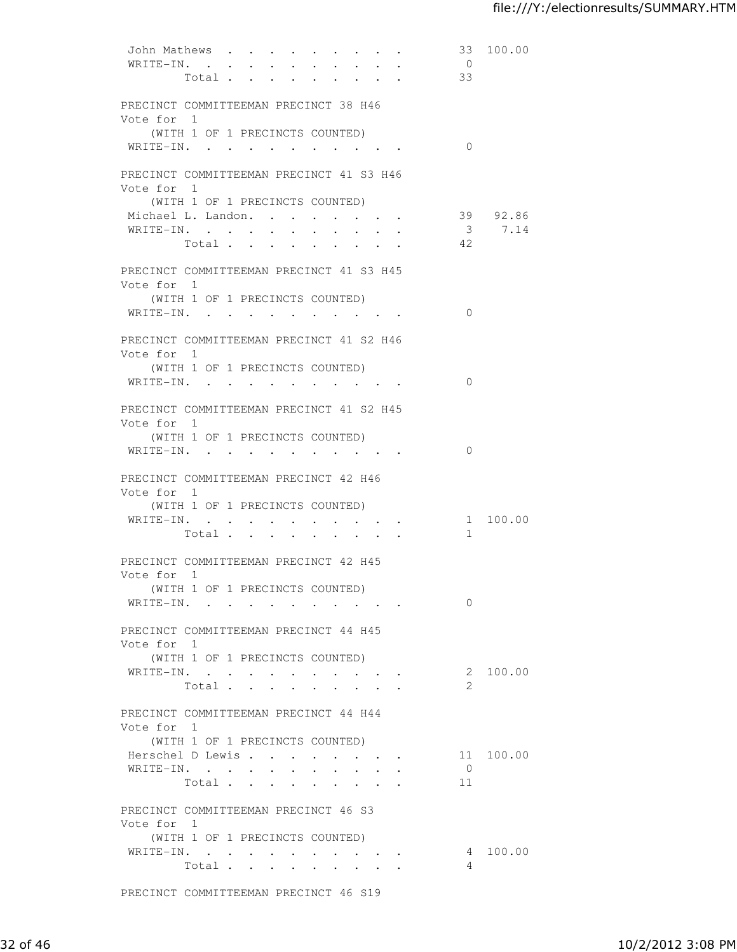| John Mathews<br>WRITE-IN.                           |                      |                                                      |                                                                                                                                | $\cdot$ $\cdot$ $\cdot$ $\cdot$ $\cdot$ |                                                                             | 33<br>$\overline{0}$ | 100.00    |
|-----------------------------------------------------|----------------------|------------------------------------------------------|--------------------------------------------------------------------------------------------------------------------------------|-----------------------------------------|-----------------------------------------------------------------------------|----------------------|-----------|
|                                                     | $\sim$<br>Total      | $\sim$                                               | $\mathbf{r} = \mathbf{r}$<br>$\cdot$ $\cdot$ $\cdot$ $\cdot$ $\cdot$ $\cdot$                                                   | $\mathbf{r} = \mathbf{r}$               |                                                                             | 33                   |           |
|                                                     |                      |                                                      |                                                                                                                                |                                         |                                                                             |                      |           |
| PRECINCT COMMITTEEMAN PRECINCT 38 H46               |                      |                                                      |                                                                                                                                |                                         |                                                                             |                      |           |
| Vote for 1                                          |                      |                                                      |                                                                                                                                |                                         |                                                                             |                      |           |
| (WITH 1 OF 1 PRECINCTS COUNTED)                     |                      |                                                      |                                                                                                                                |                                         |                                                                             |                      |           |
| WRITE-IN.                                           |                      |                                                      |                                                                                                                                |                                         |                                                                             | $\bigcirc$           |           |
| PRECINCT COMMITTEEMAN PRECINCT 41 S3 H46            |                      |                                                      |                                                                                                                                |                                         |                                                                             |                      |           |
| Vote for 1                                          |                      |                                                      |                                                                                                                                |                                         |                                                                             |                      |           |
| (WITH 1 OF 1 PRECINCTS COUNTED)                     |                      |                                                      |                                                                                                                                |                                         |                                                                             |                      |           |
| Michael L. Landon.                                  |                      |                                                      |                                                                                                                                |                                         | $\ddot{\bullet}$ $\ddot{\bullet}$ $\ddot{\bullet}$                          |                      | 39 92.86  |
| WRITE-IN.                                           |                      |                                                      |                                                                                                                                |                                         |                                                                             |                      | 3 7.14    |
|                                                     | Total                |                                                      |                                                                                                                                |                                         |                                                                             | - 42                 |           |
| PRECINCT COMMITTEEMAN PRECINCT 41 S3 H45            |                      |                                                      |                                                                                                                                |                                         |                                                                             |                      |           |
| Vote for 1                                          |                      |                                                      |                                                                                                                                |                                         |                                                                             |                      |           |
| (WITH 1 OF 1 PRECINCTS COUNTED)                     |                      |                                                      |                                                                                                                                |                                         |                                                                             |                      |           |
| WRITE-IN.                                           |                      |                                                      |                                                                                                                                |                                         |                                                                             | $\bigcirc$           |           |
|                                                     |                      |                                                      |                                                                                                                                |                                         |                                                                             |                      |           |
| PRECINCT COMMITTEEMAN PRECINCT 41 S2 H46            |                      |                                                      |                                                                                                                                |                                         |                                                                             |                      |           |
| Vote for 1<br>(WITH 1 OF 1 PRECINCTS COUNTED)       |                      |                                                      |                                                                                                                                |                                         |                                                                             |                      |           |
| WRITE-IN.                                           |                      |                                                      |                                                                                                                                |                                         |                                                                             | $\Omega$             |           |
|                                                     |                      |                                                      |                                                                                                                                |                                         |                                                                             |                      |           |
| PRECINCT COMMITTEEMAN PRECINCT 41 S2 H45            |                      |                                                      |                                                                                                                                |                                         |                                                                             |                      |           |
| Vote for 1                                          |                      |                                                      |                                                                                                                                |                                         |                                                                             |                      |           |
| (WITH 1 OF 1 PRECINCTS COUNTED)                     |                      |                                                      |                                                                                                                                |                                         |                                                                             |                      |           |
| WRITE-IN.                                           |                      |                                                      |                                                                                                                                |                                         |                                                                             | $\Omega$             |           |
| PRECINCT COMMITTEEMAN PRECINCT 42 H46               |                      |                                                      |                                                                                                                                |                                         |                                                                             |                      |           |
| Vote for 1                                          |                      |                                                      |                                                                                                                                |                                         |                                                                             |                      |           |
| (WITH 1 OF 1 PRECINCTS COUNTED)                     |                      |                                                      |                                                                                                                                |                                         |                                                                             |                      |           |
| WRITE-IN.                                           | $\ddot{\phantom{0}}$ | $\sim$ 100 $\mu$<br>$\bullet$ . The set of $\bullet$ | $\bullet$ .<br><br><br><br><br><br><br><br><br><br><br><br><br>$\bullet$ .<br><br><br><br><br><br><br><br><br><br><br><br><br> |                                         | $\cdot$ $\cdot$ $\cdot$ $\cdot$                                             |                      | 1 100.00  |
|                                                     | Total                | $\ddot{\phantom{a}}$                                 |                                                                                                                                |                                         |                                                                             | 1                    |           |
| PRECINCT COMMITTEEMAN PRECINCT 42 H45               |                      |                                                      |                                                                                                                                |                                         |                                                                             |                      |           |
| Vote for 1                                          |                      |                                                      |                                                                                                                                |                                         |                                                                             |                      |           |
| (WITH 1 OF 1 PRECINCTS COUNTED)                     |                      |                                                      |                                                                                                                                |                                         |                                                                             |                      |           |
| WRITE-IN.                                           |                      |                                                      |                                                                                                                                |                                         |                                                                             | $\Omega$             |           |
| PRECINCT COMMITTEEMAN PRECINCT 44 H45               |                      |                                                      |                                                                                                                                |                                         |                                                                             |                      |           |
| Vote for 1                                          |                      |                                                      |                                                                                                                                |                                         |                                                                             |                      |           |
| (WITH 1 OF 1 PRECINCTS COUNTED)                     |                      |                                                      |                                                                                                                                |                                         |                                                                             |                      |           |
| WRITE-IN.                                           |                      |                                                      |                                                                                                                                | and the state of the state of the       |                                                                             |                      | 2 100.00  |
|                                                     | Total                |                                                      | $\ddot{\phantom{a}}$                                                                                                           |                                         |                                                                             | 2                    |           |
|                                                     |                      |                                                      |                                                                                                                                |                                         |                                                                             |                      |           |
| PRECINCT COMMITTEEMAN PRECINCT 44 H44<br>Vote for 1 |                      |                                                      |                                                                                                                                |                                         |                                                                             |                      |           |
| (WITH 1 OF 1 PRECINCTS COUNTED)                     |                      |                                                      |                                                                                                                                |                                         |                                                                             |                      |           |
| Herschel D Lewis                                    |                      |                                                      |                                                                                                                                |                                         |                                                                             |                      | 11 100.00 |
| WRITE-IN.                                           |                      |                                                      |                                                                                                                                |                                         |                                                                             | $\overline{0}$       |           |
|                                                     | Total                |                                                      |                                                                                                                                |                                         |                                                                             | 11                   |           |
|                                                     |                      |                                                      |                                                                                                                                |                                         |                                                                             |                      |           |
| PRECINCT COMMITTEEMAN PRECINCT 46 S3<br>Vote for 1  |                      |                                                      |                                                                                                                                |                                         |                                                                             |                      |           |
| (WITH 1 OF 1 PRECINCTS COUNTED)                     |                      |                                                      |                                                                                                                                |                                         |                                                                             |                      |           |
| WRITE-IN.                                           |                      |                                                      |                                                                                                                                |                                         | $\bullet$ .<br><br><br><br><br><br><br><br><br><br><br><br><br><br><br><br> |                      | 4 100.00  |
|                                                     | Total                |                                                      | $\mathbf{r} = \mathbf{r} + \mathbf{r} + \mathbf{r} + \mathbf{r} + \mathbf{r}$                                                  |                                         |                                                                             | 4                    |           |
|                                                     |                      |                                                      |                                                                                                                                |                                         |                                                                             |                      |           |

PRECINCT COMMITTEEMAN PRECINCT 46 S19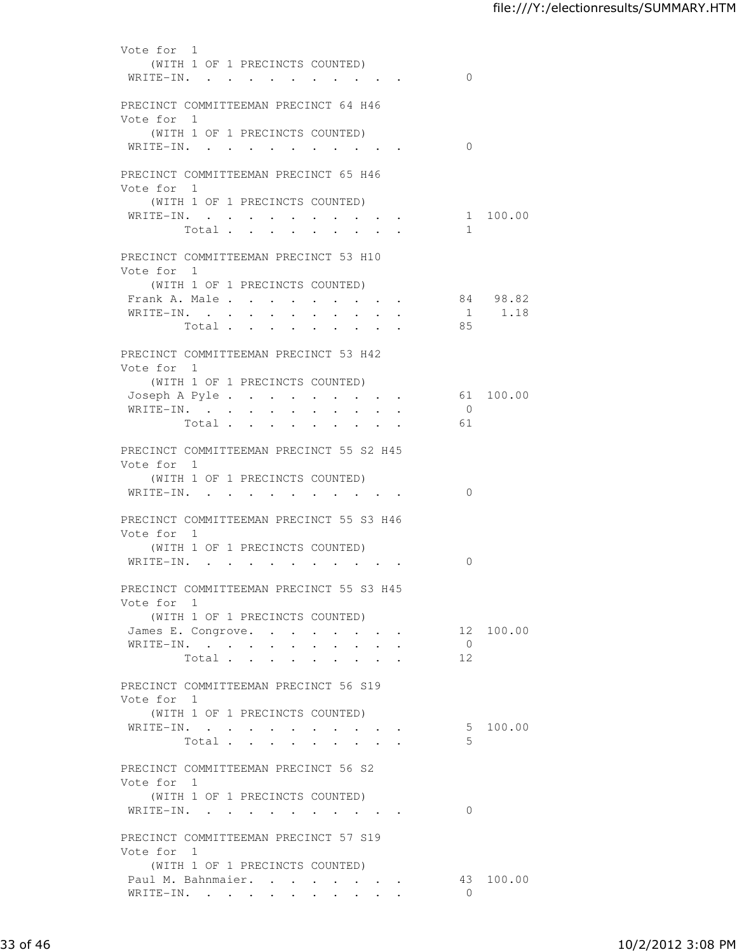| Vote for 1<br>WRITE-IN.                                            | (WITH 1 OF 1 PRECINCTS COUNTED) |                      |                                                                       |                                                                                                                                                             |                                              |               |            | $\bigcirc$           |           |
|--------------------------------------------------------------------|---------------------------------|----------------------|-----------------------------------------------------------------------|-------------------------------------------------------------------------------------------------------------------------------------------------------------|----------------------------------------------|---------------|------------|----------------------|-----------|
| PRECINCT COMMITTEEMAN PRECINCT 64 H46<br>Vote for 1                |                                 |                      |                                                                       |                                                                                                                                                             |                                              |               |            |                      |           |
| WRITE-IN.                                                          | (WITH 1 OF 1 PRECINCTS COUNTED) |                      |                                                                       |                                                                                                                                                             |                                              |               |            | $\Omega$             |           |
| PRECINCT COMMITTEEMAN PRECINCT 65 H46<br>Vote for 1                |                                 |                      |                                                                       |                                                                                                                                                             |                                              |               |            |                      |           |
| WRITE-IN.                                                          | (WITH 1 OF 1 PRECINCTS COUNTED) |                      |                                                                       |                                                                                                                                                             |                                              |               |            |                      | 1 100.00  |
|                                                                    | Total                           |                      |                                                                       |                                                                                                                                                             |                                              |               |            | 1                    |           |
| PRECINCT COMMITTEEMAN PRECINCT 53 H10<br>Vote for 1                | (WITH 1 OF 1 PRECINCTS COUNTED) |                      |                                                                       |                                                                                                                                                             |                                              |               |            |                      |           |
| Frank A. Male                                                      |                                 |                      | $\sim$                                                                | $\ddot{\phantom{0}}$                                                                                                                                        | $\ddot{\phantom{0}}$                         | $\sim$ $\sim$ | $\sim$ $-$ |                      | 84 98.82  |
| WRITE-IN.                                                          | Total                           | $\ddot{\phantom{0}}$ | $\sim$<br>$\sim$                                                      | $\ddot{\phantom{0}}$                                                                                                                                        | $\ddot{\phantom{0}}$<br>$\ddot{\phantom{0}}$ | $\sim$ $\sim$ |            | 85                   | 1 1.18    |
| PRECINCT COMMITTEEMAN PRECINCT 53 H42<br>Vote for 1                |                                 |                      |                                                                       |                                                                                                                                                             |                                              |               |            |                      |           |
|                                                                    | (WITH 1 OF 1 PRECINCTS COUNTED) |                      |                                                                       |                                                                                                                                                             |                                              |               |            |                      |           |
| Joseph A Pyle<br>WRITE-IN.                                         |                                 |                      |                                                                       |                                                                                                                                                             |                                              |               |            | $\bigcirc$           | 61 100.00 |
|                                                                    | Total                           |                      |                                                                       |                                                                                                                                                             |                                              |               |            | 61                   |           |
| PRECINCT COMMITTEEMAN PRECINCT 55 S2 H45<br>Vote for 1             |                                 |                      |                                                                       |                                                                                                                                                             |                                              |               |            |                      |           |
| WRITE-IN.                                                          | (WITH 1 OF 1 PRECINCTS COUNTED) |                      |                                                                       |                                                                                                                                                             |                                              |               |            | $\Omega$             |           |
| PRECINCT COMMITTEEMAN PRECINCT 55 S3 H46<br>Vote for 1             |                                 |                      |                                                                       |                                                                                                                                                             |                                              |               |            |                      |           |
|                                                                    | (WITH 1 OF 1 PRECINCTS COUNTED) |                      |                                                                       |                                                                                                                                                             |                                              |               |            |                      |           |
| WRITE-IN.                                                          |                                 |                      |                                                                       |                                                                                                                                                             |                                              |               |            | $\Omega$             |           |
| PRECINCT COMMITTEEMAN PRECINCT 55 S3 H45<br>Vote for 1             | (WITH 1 OF 1 PRECINCTS COUNTED) |                      |                                                                       |                                                                                                                                                             |                                              |               |            |                      |           |
| James E. Congrove.                                                 |                                 |                      |                                                                       |                                                                                                                                                             |                                              |               |            |                      | 12 100.00 |
| WRITE-IN.                                                          | Total                           |                      | $\sim$<br>$\bullet$ .<br><br><br><br><br><br><br><br><br><br><br><br> |                                                                                                                                                             |                                              |               |            | $\overline{0}$<br>12 |           |
|                                                                    |                                 |                      |                                                                       |                                                                                                                                                             |                                              |               |            |                      |           |
| PRECINCT COMMITTEEMAN PRECINCT 56 S19<br>Vote for 1                |                                 |                      |                                                                       |                                                                                                                                                             |                                              |               |            |                      |           |
| WRITE-IN.                                                          | (WITH 1 OF 1 PRECINCTS COUNTED) |                      |                                                                       |                                                                                                                                                             |                                              |               |            | 5                    | 100.00    |
|                                                                    | Total                           |                      |                                                                       |                                                                                                                                                             |                                              |               |            | .5                   |           |
| PRECINCT COMMITTEEMAN PRECINCT 56 S2<br>Vote for 1                 |                                 |                      |                                                                       |                                                                                                                                                             |                                              |               |            |                      |           |
| WRITE-IN.                                                          | (WITH 1 OF 1 PRECINCTS COUNTED) |                      |                                                                       | $\begin{array}{cccccccccccccccccc} \bullet & \bullet & \bullet & \bullet & \bullet & \bullet & \bullet & \bullet & \bullet & \bullet & \bullet \end{array}$ |                                              |               |            | $\Omega$             |           |
| PRECINCT COMMITTEEMAN PRECINCT 57 S19<br>Vote for 1                |                                 |                      |                                                                       |                                                                                                                                                             |                                              |               |            |                      |           |
| (WITH 1 OF 1 PRECINCTS COUNTED)<br>Paul M. Bahnmaier.<br>WRITE-IN. |                                 |                      |                                                                       |                                                                                                                                                             |                                              |               |            | $\overline{0}$       | 43 100.00 |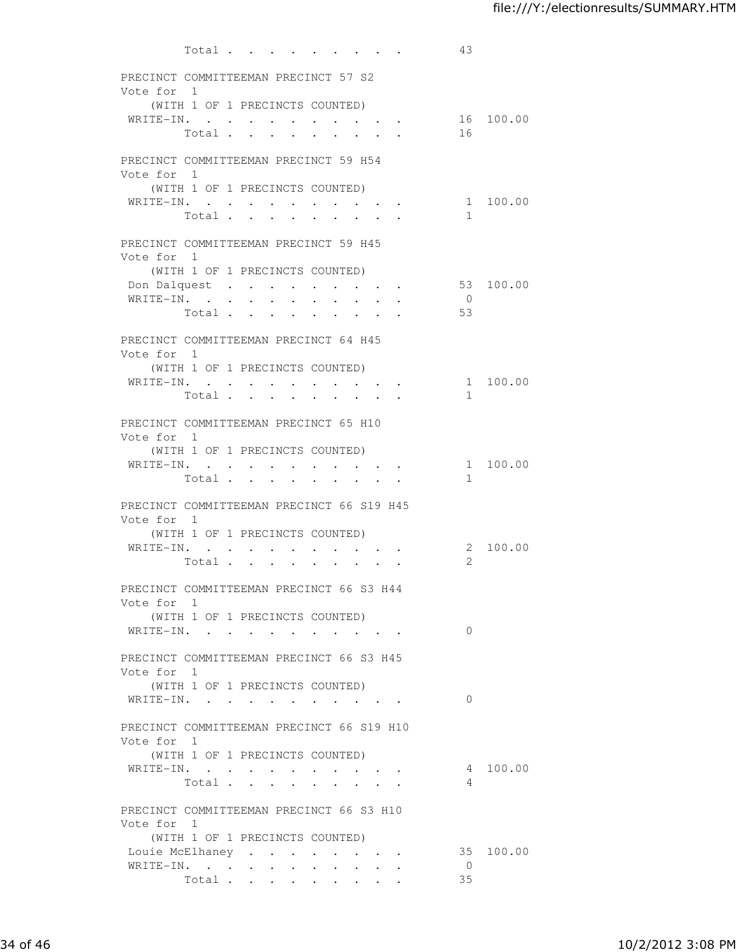| Total                                                                                                                                    | 43                   |           |
|------------------------------------------------------------------------------------------------------------------------------------------|----------------------|-----------|
| PRECINCT COMMITTEEMAN PRECINCT 57 S2                                                                                                     |                      |           |
| Vote for 1                                                                                                                               |                      |           |
| (WITH 1 OF 1 PRECINCTS COUNTED)                                                                                                          |                      |           |
| WRITE-IN.<br>Total                                                                                                                       | 16                   | 16 100.00 |
|                                                                                                                                          |                      |           |
| PRECINCT COMMITTEEMAN PRECINCT 59 H54                                                                                                    |                      |           |
| Vote for 1                                                                                                                               |                      |           |
| (WITH 1 OF 1 PRECINCTS COUNTED)                                                                                                          |                      |           |
| WRITE-IN.<br>$\sim$ $\sim$<br>$\sim$ 100 $\mu$<br>$\sim$                                                                                 |                      | 1 100.00  |
| Total<br>$\mathbf{L}$ and $\mathbf{L}$<br>$\sim$ $\sim$<br>$\mathbf{L}$<br>$\ddot{\phantom{0}}$<br>$\sim$ $\sim$                         | 1                    |           |
| PRECINCT COMMITTEEMAN PRECINCT 59 H45                                                                                                    |                      |           |
| Vote for 1                                                                                                                               |                      |           |
| (WITH 1 OF 1 PRECINCTS COUNTED)                                                                                                          |                      |           |
| Don Dalquest                                                                                                                             | 53                   | 100.00    |
| WRITE-IN.                                                                                                                                | $\overline{0}$<br>53 |           |
| Total                                                                                                                                    |                      |           |
| PRECINCT COMMITTEEMAN PRECINCT 64 H45                                                                                                    |                      |           |
| Vote for 1                                                                                                                               |                      |           |
| (WITH 1 OF 1 PRECINCTS COUNTED)                                                                                                          |                      |           |
| WRITE-IN.<br><b>Contract Contract Contract</b><br>$\sim$ $-$<br>$\mathbf{r} = \mathbf{r} + \mathbf{r}$ , where $\mathbf{r} = \mathbf{r}$ |                      | 1 100.00  |
| Total                                                                                                                                    | $\mathbf{1}$         |           |
| PRECINCT COMMITTEEMAN PRECINCT 65 H10                                                                                                    |                      |           |
| Vote for 1                                                                                                                               |                      |           |
| (WITH 1 OF 1 PRECINCTS COUNTED)                                                                                                          |                      |           |
| WRITE-IN.                                                                                                                                |                      | 1 100.00  |
| Total                                                                                                                                    | $\mathbf{1}$         |           |
| PRECINCT COMMITTEEMAN PRECINCT 66 S19 H45                                                                                                |                      |           |
| Vote for 1                                                                                                                               |                      |           |
| (WITH 1 OF 1 PRECINCTS COUNTED)                                                                                                          |                      |           |
| WRITE-IN.<br>$\ddot{\phantom{0}}$<br>$\sim 10^{-10}$<br>$\bullet$ . $\bullet$<br>$\bullet$ .                                             |                      | 2 100.00  |
| Total<br>$\mathbf{r}$ $\mathbf{r}$<br>$\mathbf{L}$                                                                                       | $\mathcal{L}$        |           |
| PRECINCT COMMITTEEMAN PRECINCT 66 S3 H44                                                                                                 |                      |           |
| Vote for 1                                                                                                                               |                      |           |
| (WITH 1 OF 1 PRECINCTS COUNTED)                                                                                                          |                      |           |
| WRITE-IN.                                                                                                                                | $\bigcirc$           |           |
|                                                                                                                                          |                      |           |
| PRECINCT COMMITTEEMAN PRECINCT 66 S3 H45                                                                                                 |                      |           |
| Vote for 1<br>(WITH 1 OF 1 PRECINCTS COUNTED)                                                                                            |                      |           |
| WRITE-IN.<br>the contract of the contract of the contract of the contract of the contract of the contract of the contract of             | $\Omega$             |           |
|                                                                                                                                          |                      |           |
| PRECINCT COMMITTEEMAN PRECINCT 66 S19 H10                                                                                                |                      |           |
| Vote for 1                                                                                                                               |                      |           |
| (WITH 1 OF 1 PRECINCTS COUNTED)                                                                                                          |                      |           |
| WRITE-IN.<br>Total                                                                                                                       | $\sim$ 4             | 4 100.00  |
|                                                                                                                                          |                      |           |
| PRECINCT COMMITTEEMAN PRECINCT 66 S3 H10                                                                                                 |                      |           |
| Vote for 1                                                                                                                               |                      |           |
| (WITH 1 OF 1 PRECINCTS COUNTED)                                                                                                          |                      |           |
| Louie McElhaney<br>$\bullet$ .<br><br><br><br><br><br><br><br><br><br><br><br><br><br><br><br>                                           |                      | 35 100.00 |
| WRITE-IN.<br>$\bullet$<br>$\sim$ $-$<br>$\sim$ 100 $\mu$<br>$\bullet$ .<br>$\sim 100$<br>$\bullet$ .<br>$\sim 10^{-11}$<br>Total         | $\overline{0}$<br>35 |           |
|                                                                                                                                          |                      |           |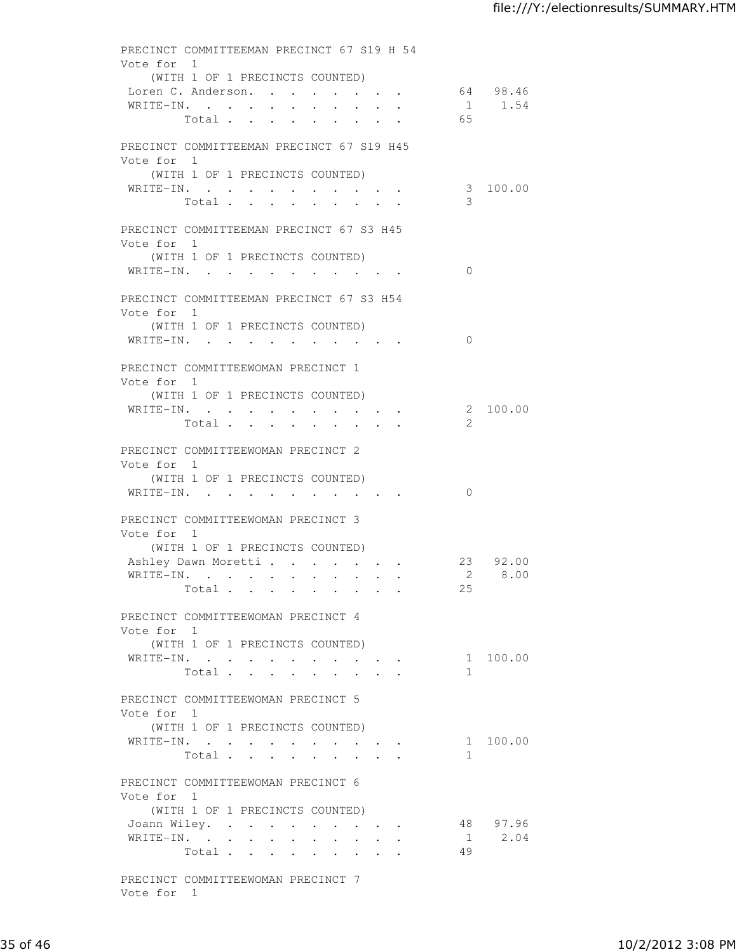| PRECINCT COMMITTEEMAN PRECINCT 67 S19 H 54<br>Vote for 1                                                             |                |             |
|----------------------------------------------------------------------------------------------------------------------|----------------|-------------|
| (WITH 1 OF 1 PRECINCTS COUNTED)                                                                                      |                |             |
| Loren C. Anderson. 64 98.46                                                                                          |                |             |
| WRITE-IN.                                                                                                            |                | 1 1.54      |
| Total                                                                                                                | 65             |             |
| PRECINCT COMMITTEEMAN PRECINCT 67 S19 H45                                                                            |                |             |
| Vote for 1                                                                                                           |                |             |
| (WITH 1 OF 1 PRECINCTS COUNTED)                                                                                      |                |             |
| WRITE-IN.<br>Total                                                                                                   | 3              | 3 100.00    |
| <b>Contractor</b><br>$\ddot{\phantom{a}}$<br><b>Service Control</b><br>$\cdot$ $\cdot$ $\cdot$                       |                |             |
| PRECINCT COMMITTEEMAN PRECINCT 67 S3 H45                                                                             |                |             |
| Vote for 1                                                                                                           |                |             |
| (WITH 1 OF 1 PRECINCTS COUNTED)                                                                                      |                |             |
| WRITE-IN.                                                                                                            | $\Omega$       |             |
| PRECINCT COMMITTEEMAN PRECINCT 67 S3 H54                                                                             |                |             |
| Vote for 1                                                                                                           |                |             |
| (WITH 1 OF 1 PRECINCTS COUNTED)                                                                                      |                |             |
| WRITE-IN.                                                                                                            | $\overline{0}$ |             |
| PRECINCT COMMITTEEWOMAN PRECINCT 1                                                                                   |                |             |
| Vote for 1                                                                                                           |                |             |
| (WITH 1 OF 1 PRECINCTS COUNTED)                                                                                      |                |             |
| WRITE-IN.                                                                                                            |                | 2 100.00    |
| Total                                                                                                                | 2              |             |
| PRECINCT COMMITTEEWOMAN PRECINCT 2                                                                                   |                |             |
| Vote for 1                                                                                                           |                |             |
| (WITH 1 OF 1 PRECINCTS COUNTED)                                                                                      |                |             |
| WRITE-IN.                                                                                                            | $\Omega$       |             |
| PRECINCT COMMITTEEWOMAN PRECINCT 3                                                                                   |                |             |
| Vote for 1                                                                                                           |                |             |
| (WITH 1 OF 1 PRECINCTS COUNTED)                                                                                      |                |             |
| Ashley Dawn Moretti                                                                                                  |                | 23 92.00    |
| WRITE-IN.<br>$\mathbf{A}^{\text{max}}$ , and $\mathbf{A}^{\text{max}}$ , and<br>$\bullet$ . In the case of $\bullet$ | 25             | 2 8.00      |
| Total $\cdots$                                                                                                       |                |             |
| PRECINCT COMMITTEEWOMAN PRECINCT 4                                                                                   |                |             |
| Vote for 1                                                                                                           |                |             |
| (WITH 1 OF 1 PRECINCTS COUNTED)                                                                                      |                | 1 100.00    |
| WRITE-IN.<br>Total                                                                                                   | $\mathbf{1}$   |             |
|                                                                                                                      |                |             |
| PRECINCT COMMITTEEWOMAN PRECINCT 5                                                                                   |                |             |
| Vote for 1                                                                                                           |                |             |
| (WITH 1 OF 1 PRECINCTS COUNTED)                                                                                      |                | 1 100.00    |
| WRITE-IN.<br>Total                                                                                                   | 1              |             |
|                                                                                                                      |                |             |
| PRECINCT COMMITTEEWOMAN PRECINCT 6                                                                                   |                |             |
| Vote for 1                                                                                                           |                |             |
| (WITH 1 OF 1 PRECINCTS COUNTED)<br>Joann Wiley.                                                                      |                | 48 97.96    |
| $\mathbf{r} = \mathbf{r} + \mathbf{r}$ , where $\mathbf{r} = \mathbf{r}$<br>WRITE-IN.                                |                | $1 \t 2.04$ |
| Total<br>$\cdot$ $\cdot$ $\cdot$ $\cdot$ $\cdot$ $\cdot$ $\cdot$                                                     | 49             |             |
|                                                                                                                      |                |             |
| PRECINCT COMMITTEEWOMAN PRECINCT 7<br>Vote for 1                                                                     |                |             |
|                                                                                                                      |                |             |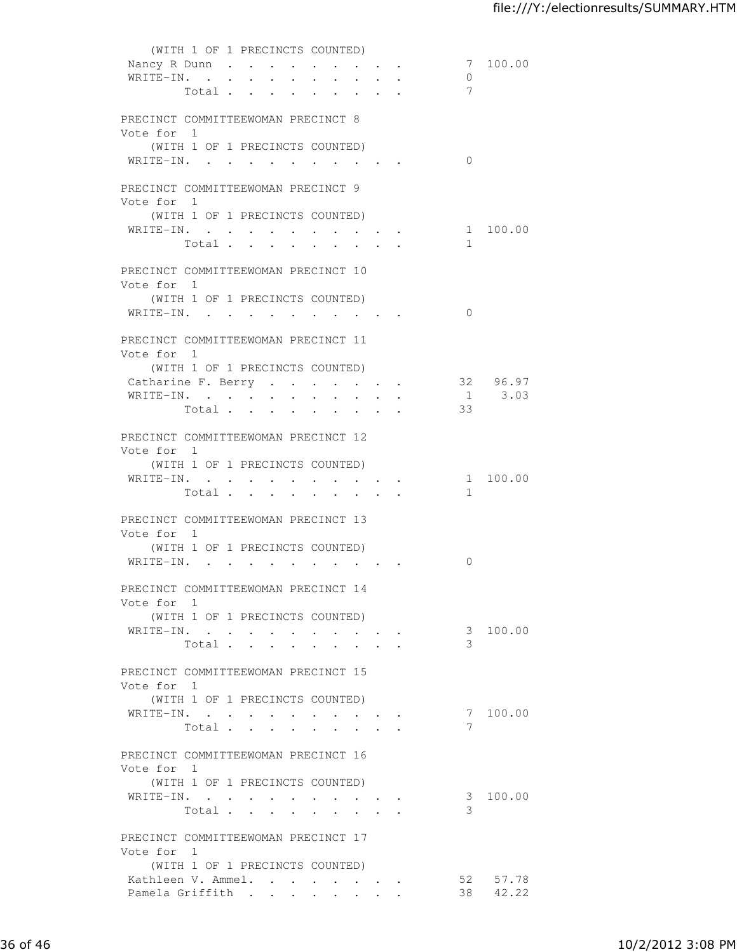|                                                                                                                                                                                                                                                                                                                                                                                                                                                                                                                                                                                                      | (WITH 1 OF 1 PRECINCTS COUNTED) |  |  |                               |  |                |          |
|------------------------------------------------------------------------------------------------------------------------------------------------------------------------------------------------------------------------------------------------------------------------------------------------------------------------------------------------------------------------------------------------------------------------------------------------------------------------------------------------------------------------------------------------------------------------------------------------------|---------------------------------|--|--|-------------------------------|--|----------------|----------|
| Nancy R Dunn                                                                                                                                                                                                                                                                                                                                                                                                                                                                                                                                                                                         |                                 |  |  |                               |  |                | 7 100.00 |
| WRITE-IN.                                                                                                                                                                                                                                                                                                                                                                                                                                                                                                                                                                                            |                                 |  |  |                               |  | $\overline{0}$ |          |
|                                                                                                                                                                                                                                                                                                                                                                                                                                                                                                                                                                                                      | Total                           |  |  |                               |  | 7              |          |
|                                                                                                                                                                                                                                                                                                                                                                                                                                                                                                                                                                                                      |                                 |  |  |                               |  |                |          |
| PRECINCT COMMITTEEWOMAN PRECINCT 8                                                                                                                                                                                                                                                                                                                                                                                                                                                                                                                                                                   |                                 |  |  |                               |  |                |          |
| Vote for 1                                                                                                                                                                                                                                                                                                                                                                                                                                                                                                                                                                                           |                                 |  |  |                               |  |                |          |
|                                                                                                                                                                                                                                                                                                                                                                                                                                                                                                                                                                                                      | (WITH 1 OF 1 PRECINCTS COUNTED) |  |  |                               |  |                |          |
| WRITE-IN.                                                                                                                                                                                                                                                                                                                                                                                                                                                                                                                                                                                            |                                 |  |  |                               |  | $\Omega$       |          |
|                                                                                                                                                                                                                                                                                                                                                                                                                                                                                                                                                                                                      |                                 |  |  |                               |  |                |          |
| PRECINCT COMMITTEEWOMAN PRECINCT 9                                                                                                                                                                                                                                                                                                                                                                                                                                                                                                                                                                   |                                 |  |  |                               |  |                |          |
| Vote for 1                                                                                                                                                                                                                                                                                                                                                                                                                                                                                                                                                                                           |                                 |  |  |                               |  |                |          |
|                                                                                                                                                                                                                                                                                                                                                                                                                                                                                                                                                                                                      | (WITH 1 OF 1 PRECINCTS COUNTED) |  |  |                               |  |                |          |
| WRITE-IN.                                                                                                                                                                                                                                                                                                                                                                                                                                                                                                                                                                                            |                                 |  |  |                               |  |                | 1 100.00 |
|                                                                                                                                                                                                                                                                                                                                                                                                                                                                                                                                                                                                      | Total                           |  |  |                               |  | $\mathbf{1}$   |          |
|                                                                                                                                                                                                                                                                                                                                                                                                                                                                                                                                                                                                      |                                 |  |  |                               |  |                |          |
| PRECINCT COMMITTEEWOMAN PRECINCT 10                                                                                                                                                                                                                                                                                                                                                                                                                                                                                                                                                                  |                                 |  |  |                               |  |                |          |
| Vote for 1                                                                                                                                                                                                                                                                                                                                                                                                                                                                                                                                                                                           |                                 |  |  |                               |  |                |          |
|                                                                                                                                                                                                                                                                                                                                                                                                                                                                                                                                                                                                      | (WITH 1 OF 1 PRECINCTS COUNTED) |  |  |                               |  |                |          |
| $\mathtt{WRTTE}\mathtt{-IN.}\qquad \qquad \centerdot\qquad \qquad \centerdot\qquad \qquad \centerdot\qquad \qquad \centerdot\qquad \qquad \centerdot\qquad \qquad \centerdot\qquad \centerdot\qquad \qquad \centerdot\qquad \qquad \centerdot\qquad \qquad \centerdot\qquad \qquad \centerdot\qquad \qquad \centerdot\qquad \qquad \centerdot\qquad \qquad \centerdot\qquad \qquad \centerdot\qquad \qquad \centerdot\qquad \qquad \centerdot\qquad \qquad \centerdot\qquad \qquad \centerdot\qquad \qquad \centerdot\qquad \qquad \centerdot\qquad \qquad \centerdot\qquad \qquad \centerdot\qquad$ |                                 |  |  |                               |  | $\bigcirc$     |          |
|                                                                                                                                                                                                                                                                                                                                                                                                                                                                                                                                                                                                      |                                 |  |  |                               |  |                |          |
| PRECINCT COMMITTEEWOMAN PRECINCT 11                                                                                                                                                                                                                                                                                                                                                                                                                                                                                                                                                                  |                                 |  |  |                               |  |                |          |
| Vote for 1                                                                                                                                                                                                                                                                                                                                                                                                                                                                                                                                                                                           |                                 |  |  |                               |  |                |          |
|                                                                                                                                                                                                                                                                                                                                                                                                                                                                                                                                                                                                      | (WITH 1 OF 1 PRECINCTS COUNTED) |  |  |                               |  |                |          |
| Catharine F. Berry                                                                                                                                                                                                                                                                                                                                                                                                                                                                                                                                                                                   |                                 |  |  |                               |  |                | 32 96.97 |
| WRITE-IN.                                                                                                                                                                                                                                                                                                                                                                                                                                                                                                                                                                                            |                                 |  |  |                               |  |                | 1 3.03   |
|                                                                                                                                                                                                                                                                                                                                                                                                                                                                                                                                                                                                      | Total                           |  |  |                               |  | 33             |          |
|                                                                                                                                                                                                                                                                                                                                                                                                                                                                                                                                                                                                      |                                 |  |  |                               |  |                |          |
| PRECINCT COMMITTEEWOMAN PRECINCT 12                                                                                                                                                                                                                                                                                                                                                                                                                                                                                                                                                                  |                                 |  |  |                               |  |                |          |
| Vote for 1                                                                                                                                                                                                                                                                                                                                                                                                                                                                                                                                                                                           |                                 |  |  |                               |  |                |          |
|                                                                                                                                                                                                                                                                                                                                                                                                                                                                                                                                                                                                      | (WITH 1 OF 1 PRECINCTS COUNTED) |  |  |                               |  |                |          |
| WRITE-IN.                                                                                                                                                                                                                                                                                                                                                                                                                                                                                                                                                                                            |                                 |  |  |                               |  |                | 1 100.00 |
|                                                                                                                                                                                                                                                                                                                                                                                                                                                                                                                                                                                                      | Total.                          |  |  |                               |  | $\mathbf{1}$   |          |
| PRECINCT COMMITTEEWOMAN PRECINCT 13                                                                                                                                                                                                                                                                                                                                                                                                                                                                                                                                                                  |                                 |  |  |                               |  |                |          |
| Vote for 1                                                                                                                                                                                                                                                                                                                                                                                                                                                                                                                                                                                           |                                 |  |  |                               |  |                |          |
|                                                                                                                                                                                                                                                                                                                                                                                                                                                                                                                                                                                                      | (WITH 1 OF 1 PRECINCTS COUNTED) |  |  |                               |  |                |          |
|                                                                                                                                                                                                                                                                                                                                                                                                                                                                                                                                                                                                      |                                 |  |  |                               |  | $\Omega$       |          |
|                                                                                                                                                                                                                                                                                                                                                                                                                                                                                                                                                                                                      |                                 |  |  |                               |  |                |          |
| PRECINCT COMMITTEEWOMAN PRECINCT 14                                                                                                                                                                                                                                                                                                                                                                                                                                                                                                                                                                  |                                 |  |  |                               |  |                |          |
| Vote for 1                                                                                                                                                                                                                                                                                                                                                                                                                                                                                                                                                                                           |                                 |  |  |                               |  |                |          |
|                                                                                                                                                                                                                                                                                                                                                                                                                                                                                                                                                                                                      | (WITH 1 OF 1 PRECINCTS COUNTED) |  |  |                               |  |                |          |
| WRITE-IN.                                                                                                                                                                                                                                                                                                                                                                                                                                                                                                                                                                                            |                                 |  |  |                               |  |                | 3 100.00 |
|                                                                                                                                                                                                                                                                                                                                                                                                                                                                                                                                                                                                      | Total                           |  |  | $\mathbf{A}$ and $\mathbf{A}$ |  | 3              |          |
|                                                                                                                                                                                                                                                                                                                                                                                                                                                                                                                                                                                                      |                                 |  |  |                               |  |                |          |
| PRECINCT COMMITTEEWOMAN PRECINCT 15                                                                                                                                                                                                                                                                                                                                                                                                                                                                                                                                                                  |                                 |  |  |                               |  |                |          |
| Vote for 1                                                                                                                                                                                                                                                                                                                                                                                                                                                                                                                                                                                           |                                 |  |  |                               |  |                |          |
|                                                                                                                                                                                                                                                                                                                                                                                                                                                                                                                                                                                                      | (WITH 1 OF 1 PRECINCTS COUNTED) |  |  |                               |  |                |          |
| WRITE-IN.                                                                                                                                                                                                                                                                                                                                                                                                                                                                                                                                                                                            |                                 |  |  |                               |  |                | 7 100.00 |
|                                                                                                                                                                                                                                                                                                                                                                                                                                                                                                                                                                                                      | Total                           |  |  |                               |  | 7              |          |
|                                                                                                                                                                                                                                                                                                                                                                                                                                                                                                                                                                                                      |                                 |  |  |                               |  |                |          |
| PRECINCT COMMITTEEWOMAN PRECINCT 16                                                                                                                                                                                                                                                                                                                                                                                                                                                                                                                                                                  |                                 |  |  |                               |  |                |          |
| Vote for 1                                                                                                                                                                                                                                                                                                                                                                                                                                                                                                                                                                                           |                                 |  |  |                               |  |                |          |
|                                                                                                                                                                                                                                                                                                                                                                                                                                                                                                                                                                                                      | (WITH 1 OF 1 PRECINCTS COUNTED) |  |  |                               |  |                |          |
| WRITE-IN.                                                                                                                                                                                                                                                                                                                                                                                                                                                                                                                                                                                            |                                 |  |  |                               |  |                | 3 100.00 |
|                                                                                                                                                                                                                                                                                                                                                                                                                                                                                                                                                                                                      | Total.                          |  |  |                               |  | 3              |          |
|                                                                                                                                                                                                                                                                                                                                                                                                                                                                                                                                                                                                      |                                 |  |  |                               |  |                |          |
| PRECINCT COMMITTEEWOMAN PRECINCT 17                                                                                                                                                                                                                                                                                                                                                                                                                                                                                                                                                                  |                                 |  |  |                               |  |                |          |
| Vote for 1                                                                                                                                                                                                                                                                                                                                                                                                                                                                                                                                                                                           |                                 |  |  |                               |  |                |          |
|                                                                                                                                                                                                                                                                                                                                                                                                                                                                                                                                                                                                      | (WITH 1 OF 1 PRECINCTS COUNTED) |  |  |                               |  |                |          |
| Kathleen V. Ammel.                                                                                                                                                                                                                                                                                                                                                                                                                                                                                                                                                                                   |                                 |  |  |                               |  |                | 52 57.78 |
| Pamela Griffith                                                                                                                                                                                                                                                                                                                                                                                                                                                                                                                                                                                      |                                 |  |  |                               |  |                | 38 42.22 |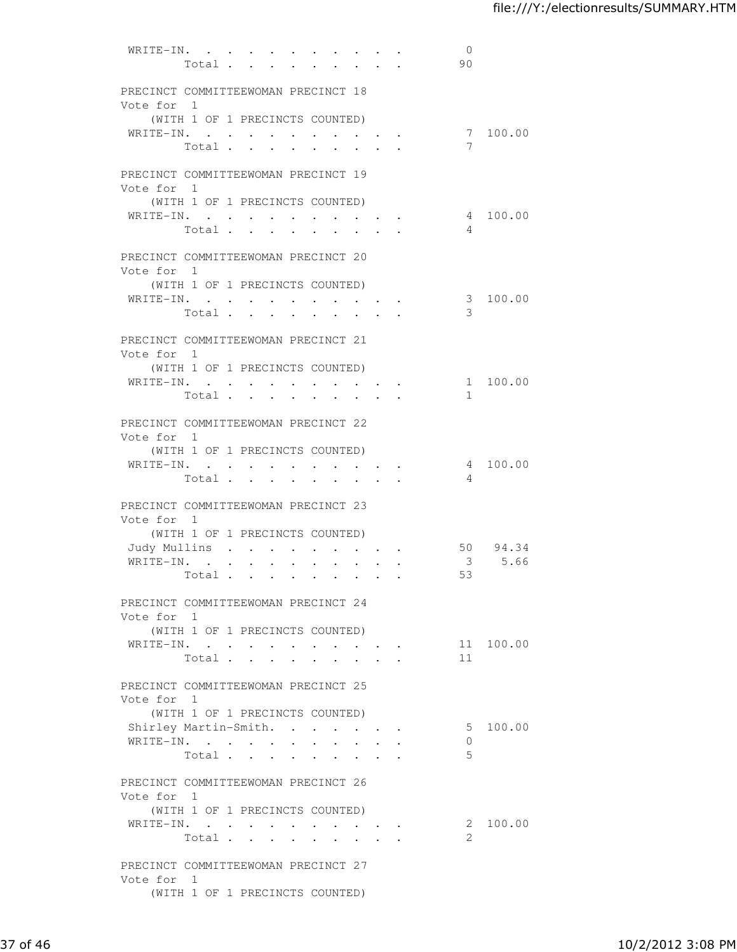| PRECINCT COMMITTEEWOMAN PRECINCT 18<br>Vote for 1<br>(WITH 1 OF 1 PRECINCTS COUNTED)<br>7 100.00<br>WRITE-IN.<br>7<br>Total<br>PRECINCT COMMITTEEWOMAN PRECINCT 19<br>Vote for 1<br>(WITH 1 OF 1 PRECINCTS COUNTED)<br>WRITE-IN.<br>4 100.00<br>Total<br>4<br>$\ddot{\phantom{0}}$<br>$\ddot{\phantom{a}}$<br>$\overline{a}$<br>PRECINCT COMMITTEEWOMAN PRECINCT 20<br>Vote for 1<br>(WITH 1 OF 1 PRECINCTS COUNTED)<br>3 100.00<br>WRITE-IN.<br>3<br>Total<br>PRECINCT COMMITTEEWOMAN PRECINCT 21<br>Vote for 1<br>(WITH 1 OF 1 PRECINCTS COUNTED)<br>WRITE-IN.<br>1 100.00<br>$\sim$<br>$\mathbf{1}$<br>Total<br>$\sim$<br>$\ddot{\phantom{a}}$<br>$\ddot{\phantom{a}}$<br>PRECINCT COMMITTEEWOMAN PRECINCT 22<br>Vote for 1<br>(WITH 1 OF 1 PRECINCTS COUNTED)<br>4 100.00<br>WRITE-IN.<br>$\overline{4}$<br>Total<br>$\bullet$<br>PRECINCT COMMITTEEWOMAN PRECINCT 23<br>Vote for 1<br>(WITH 1 OF 1 PRECINCTS COUNTED)<br>50 94.34<br>Judy Mullins<br>$\ddot{\phantom{0}}$<br>$\bullet$<br>3 5.66<br>WRITE-IN.<br>$\cdot$ $\cdot$ $\cdot$<br>$\mathbf{L}$<br>$\ddot{\phantom{0}}$<br>53<br>Total.<br>$\mathbf{r}$ . The set of $\mathbf{r}$<br>$\ddot{\phantom{1}}$<br>$\ddot{\phantom{0}}$<br>PRECINCT COMMITTEEWOMAN PRECINCT 24<br>Vote for 1<br>(WITH 1 OF 1 PRECINCTS COUNTED)<br>WRITE-IN.<br>11 100.00<br>11<br>Total<br>PRECINCT COMMITTEEWOMAN PRECINCT 25<br>Vote for 1<br>(WITH 1 OF 1 PRECINCTS COUNTED)<br>Shirley Martin-Smith.<br>5 100.00<br>WRITE-IN.<br>$\Omega$<br>5<br>Total<br>PRECINCT COMMITTEEWOMAN PRECINCT 26<br>Vote for 1<br>(WITH 1 OF 1 PRECINCTS COUNTED)<br>WRITE-IN.<br>2 100.00<br>$\mathcal{L}$<br>Total<br>PRECINCT COMMITTEEWOMAN PRECINCT 27<br>Vote for 1<br>(WITH 1 OF 1 PRECINCTS COUNTED) | WRITE-IN. | Total . |  | $\bullet$ . | $\bullet$ .<br><br><br><br><br><br><br><br><br><br><br><br> |  |  | $\overline{0}$<br>90 |  |
|-----------------------------------------------------------------------------------------------------------------------------------------------------------------------------------------------------------------------------------------------------------------------------------------------------------------------------------------------------------------------------------------------------------------------------------------------------------------------------------------------------------------------------------------------------------------------------------------------------------------------------------------------------------------------------------------------------------------------------------------------------------------------------------------------------------------------------------------------------------------------------------------------------------------------------------------------------------------------------------------------------------------------------------------------------------------------------------------------------------------------------------------------------------------------------------------------------------------------------------------------------------------------------------------------------------------------------------------------------------------------------------------------------------------------------------------------------------------------------------------------------------------------------------------------------------------------------------------------------------------------------------------------------------------------------------------------------------------------------------------|-----------|---------|--|-------------|-------------------------------------------------------------|--|--|----------------------|--|
|                                                                                                                                                                                                                                                                                                                                                                                                                                                                                                                                                                                                                                                                                                                                                                                                                                                                                                                                                                                                                                                                                                                                                                                                                                                                                                                                                                                                                                                                                                                                                                                                                                                                                                                                         |           |         |  |             |                                                             |  |  |                      |  |
|                                                                                                                                                                                                                                                                                                                                                                                                                                                                                                                                                                                                                                                                                                                                                                                                                                                                                                                                                                                                                                                                                                                                                                                                                                                                                                                                                                                                                                                                                                                                                                                                                                                                                                                                         |           |         |  |             |                                                             |  |  |                      |  |
|                                                                                                                                                                                                                                                                                                                                                                                                                                                                                                                                                                                                                                                                                                                                                                                                                                                                                                                                                                                                                                                                                                                                                                                                                                                                                                                                                                                                                                                                                                                                                                                                                                                                                                                                         |           |         |  |             |                                                             |  |  |                      |  |
|                                                                                                                                                                                                                                                                                                                                                                                                                                                                                                                                                                                                                                                                                                                                                                                                                                                                                                                                                                                                                                                                                                                                                                                                                                                                                                                                                                                                                                                                                                                                                                                                                                                                                                                                         |           |         |  |             |                                                             |  |  |                      |  |
|                                                                                                                                                                                                                                                                                                                                                                                                                                                                                                                                                                                                                                                                                                                                                                                                                                                                                                                                                                                                                                                                                                                                                                                                                                                                                                                                                                                                                                                                                                                                                                                                                                                                                                                                         |           |         |  |             |                                                             |  |  |                      |  |
|                                                                                                                                                                                                                                                                                                                                                                                                                                                                                                                                                                                                                                                                                                                                                                                                                                                                                                                                                                                                                                                                                                                                                                                                                                                                                                                                                                                                                                                                                                                                                                                                                                                                                                                                         |           |         |  |             |                                                             |  |  |                      |  |
|                                                                                                                                                                                                                                                                                                                                                                                                                                                                                                                                                                                                                                                                                                                                                                                                                                                                                                                                                                                                                                                                                                                                                                                                                                                                                                                                                                                                                                                                                                                                                                                                                                                                                                                                         |           |         |  |             |                                                             |  |  |                      |  |
|                                                                                                                                                                                                                                                                                                                                                                                                                                                                                                                                                                                                                                                                                                                                                                                                                                                                                                                                                                                                                                                                                                                                                                                                                                                                                                                                                                                                                                                                                                                                                                                                                                                                                                                                         |           |         |  |             |                                                             |  |  |                      |  |
|                                                                                                                                                                                                                                                                                                                                                                                                                                                                                                                                                                                                                                                                                                                                                                                                                                                                                                                                                                                                                                                                                                                                                                                                                                                                                                                                                                                                                                                                                                                                                                                                                                                                                                                                         |           |         |  |             |                                                             |  |  |                      |  |
|                                                                                                                                                                                                                                                                                                                                                                                                                                                                                                                                                                                                                                                                                                                                                                                                                                                                                                                                                                                                                                                                                                                                                                                                                                                                                                                                                                                                                                                                                                                                                                                                                                                                                                                                         |           |         |  |             |                                                             |  |  |                      |  |
|                                                                                                                                                                                                                                                                                                                                                                                                                                                                                                                                                                                                                                                                                                                                                                                                                                                                                                                                                                                                                                                                                                                                                                                                                                                                                                                                                                                                                                                                                                                                                                                                                                                                                                                                         |           |         |  |             |                                                             |  |  |                      |  |
|                                                                                                                                                                                                                                                                                                                                                                                                                                                                                                                                                                                                                                                                                                                                                                                                                                                                                                                                                                                                                                                                                                                                                                                                                                                                                                                                                                                                                                                                                                                                                                                                                                                                                                                                         |           |         |  |             |                                                             |  |  |                      |  |
|                                                                                                                                                                                                                                                                                                                                                                                                                                                                                                                                                                                                                                                                                                                                                                                                                                                                                                                                                                                                                                                                                                                                                                                                                                                                                                                                                                                                                                                                                                                                                                                                                                                                                                                                         |           |         |  |             |                                                             |  |  |                      |  |
|                                                                                                                                                                                                                                                                                                                                                                                                                                                                                                                                                                                                                                                                                                                                                                                                                                                                                                                                                                                                                                                                                                                                                                                                                                                                                                                                                                                                                                                                                                                                                                                                                                                                                                                                         |           |         |  |             |                                                             |  |  |                      |  |
|                                                                                                                                                                                                                                                                                                                                                                                                                                                                                                                                                                                                                                                                                                                                                                                                                                                                                                                                                                                                                                                                                                                                                                                                                                                                                                                                                                                                                                                                                                                                                                                                                                                                                                                                         |           |         |  |             |                                                             |  |  |                      |  |
|                                                                                                                                                                                                                                                                                                                                                                                                                                                                                                                                                                                                                                                                                                                                                                                                                                                                                                                                                                                                                                                                                                                                                                                                                                                                                                                                                                                                                                                                                                                                                                                                                                                                                                                                         |           |         |  |             |                                                             |  |  |                      |  |
|                                                                                                                                                                                                                                                                                                                                                                                                                                                                                                                                                                                                                                                                                                                                                                                                                                                                                                                                                                                                                                                                                                                                                                                                                                                                                                                                                                                                                                                                                                                                                                                                                                                                                                                                         |           |         |  |             |                                                             |  |  |                      |  |
|                                                                                                                                                                                                                                                                                                                                                                                                                                                                                                                                                                                                                                                                                                                                                                                                                                                                                                                                                                                                                                                                                                                                                                                                                                                                                                                                                                                                                                                                                                                                                                                                                                                                                                                                         |           |         |  |             |                                                             |  |  |                      |  |
|                                                                                                                                                                                                                                                                                                                                                                                                                                                                                                                                                                                                                                                                                                                                                                                                                                                                                                                                                                                                                                                                                                                                                                                                                                                                                                                                                                                                                                                                                                                                                                                                                                                                                                                                         |           |         |  |             |                                                             |  |  |                      |  |
|                                                                                                                                                                                                                                                                                                                                                                                                                                                                                                                                                                                                                                                                                                                                                                                                                                                                                                                                                                                                                                                                                                                                                                                                                                                                                                                                                                                                                                                                                                                                                                                                                                                                                                                                         |           |         |  |             |                                                             |  |  |                      |  |
|                                                                                                                                                                                                                                                                                                                                                                                                                                                                                                                                                                                                                                                                                                                                                                                                                                                                                                                                                                                                                                                                                                                                                                                                                                                                                                                                                                                                                                                                                                                                                                                                                                                                                                                                         |           |         |  |             |                                                             |  |  |                      |  |
|                                                                                                                                                                                                                                                                                                                                                                                                                                                                                                                                                                                                                                                                                                                                                                                                                                                                                                                                                                                                                                                                                                                                                                                                                                                                                                                                                                                                                                                                                                                                                                                                                                                                                                                                         |           |         |  |             |                                                             |  |  |                      |  |
|                                                                                                                                                                                                                                                                                                                                                                                                                                                                                                                                                                                                                                                                                                                                                                                                                                                                                                                                                                                                                                                                                                                                                                                                                                                                                                                                                                                                                                                                                                                                                                                                                                                                                                                                         |           |         |  |             |                                                             |  |  |                      |  |
|                                                                                                                                                                                                                                                                                                                                                                                                                                                                                                                                                                                                                                                                                                                                                                                                                                                                                                                                                                                                                                                                                                                                                                                                                                                                                                                                                                                                                                                                                                                                                                                                                                                                                                                                         |           |         |  |             |                                                             |  |  |                      |  |
|                                                                                                                                                                                                                                                                                                                                                                                                                                                                                                                                                                                                                                                                                                                                                                                                                                                                                                                                                                                                                                                                                                                                                                                                                                                                                                                                                                                                                                                                                                                                                                                                                                                                                                                                         |           |         |  |             |                                                             |  |  |                      |  |
|                                                                                                                                                                                                                                                                                                                                                                                                                                                                                                                                                                                                                                                                                                                                                                                                                                                                                                                                                                                                                                                                                                                                                                                                                                                                                                                                                                                                                                                                                                                                                                                                                                                                                                                                         |           |         |  |             |                                                             |  |  |                      |  |
|                                                                                                                                                                                                                                                                                                                                                                                                                                                                                                                                                                                                                                                                                                                                                                                                                                                                                                                                                                                                                                                                                                                                                                                                                                                                                                                                                                                                                                                                                                                                                                                                                                                                                                                                         |           |         |  |             |                                                             |  |  |                      |  |
|                                                                                                                                                                                                                                                                                                                                                                                                                                                                                                                                                                                                                                                                                                                                                                                                                                                                                                                                                                                                                                                                                                                                                                                                                                                                                                                                                                                                                                                                                                                                                                                                                                                                                                                                         |           |         |  |             |                                                             |  |  |                      |  |
|                                                                                                                                                                                                                                                                                                                                                                                                                                                                                                                                                                                                                                                                                                                                                                                                                                                                                                                                                                                                                                                                                                                                                                                                                                                                                                                                                                                                                                                                                                                                                                                                                                                                                                                                         |           |         |  |             |                                                             |  |  |                      |  |
|                                                                                                                                                                                                                                                                                                                                                                                                                                                                                                                                                                                                                                                                                                                                                                                                                                                                                                                                                                                                                                                                                                                                                                                                                                                                                                                                                                                                                                                                                                                                                                                                                                                                                                                                         |           |         |  |             |                                                             |  |  |                      |  |
|                                                                                                                                                                                                                                                                                                                                                                                                                                                                                                                                                                                                                                                                                                                                                                                                                                                                                                                                                                                                                                                                                                                                                                                                                                                                                                                                                                                                                                                                                                                                                                                                                                                                                                                                         |           |         |  |             |                                                             |  |  |                      |  |
|                                                                                                                                                                                                                                                                                                                                                                                                                                                                                                                                                                                                                                                                                                                                                                                                                                                                                                                                                                                                                                                                                                                                                                                                                                                                                                                                                                                                                                                                                                                                                                                                                                                                                                                                         |           |         |  |             |                                                             |  |  |                      |  |
|                                                                                                                                                                                                                                                                                                                                                                                                                                                                                                                                                                                                                                                                                                                                                                                                                                                                                                                                                                                                                                                                                                                                                                                                                                                                                                                                                                                                                                                                                                                                                                                                                                                                                                                                         |           |         |  |             |                                                             |  |  |                      |  |
|                                                                                                                                                                                                                                                                                                                                                                                                                                                                                                                                                                                                                                                                                                                                                                                                                                                                                                                                                                                                                                                                                                                                                                                                                                                                                                                                                                                                                                                                                                                                                                                                                                                                                                                                         |           |         |  |             |                                                             |  |  |                      |  |
|                                                                                                                                                                                                                                                                                                                                                                                                                                                                                                                                                                                                                                                                                                                                                                                                                                                                                                                                                                                                                                                                                                                                                                                                                                                                                                                                                                                                                                                                                                                                                                                                                                                                                                                                         |           |         |  |             |                                                             |  |  |                      |  |
|                                                                                                                                                                                                                                                                                                                                                                                                                                                                                                                                                                                                                                                                                                                                                                                                                                                                                                                                                                                                                                                                                                                                                                                                                                                                                                                                                                                                                                                                                                                                                                                                                                                                                                                                         |           |         |  |             |                                                             |  |  |                      |  |
|                                                                                                                                                                                                                                                                                                                                                                                                                                                                                                                                                                                                                                                                                                                                                                                                                                                                                                                                                                                                                                                                                                                                                                                                                                                                                                                                                                                                                                                                                                                                                                                                                                                                                                                                         |           |         |  |             |                                                             |  |  |                      |  |
|                                                                                                                                                                                                                                                                                                                                                                                                                                                                                                                                                                                                                                                                                                                                                                                                                                                                                                                                                                                                                                                                                                                                                                                                                                                                                                                                                                                                                                                                                                                                                                                                                                                                                                                                         |           |         |  |             |                                                             |  |  |                      |  |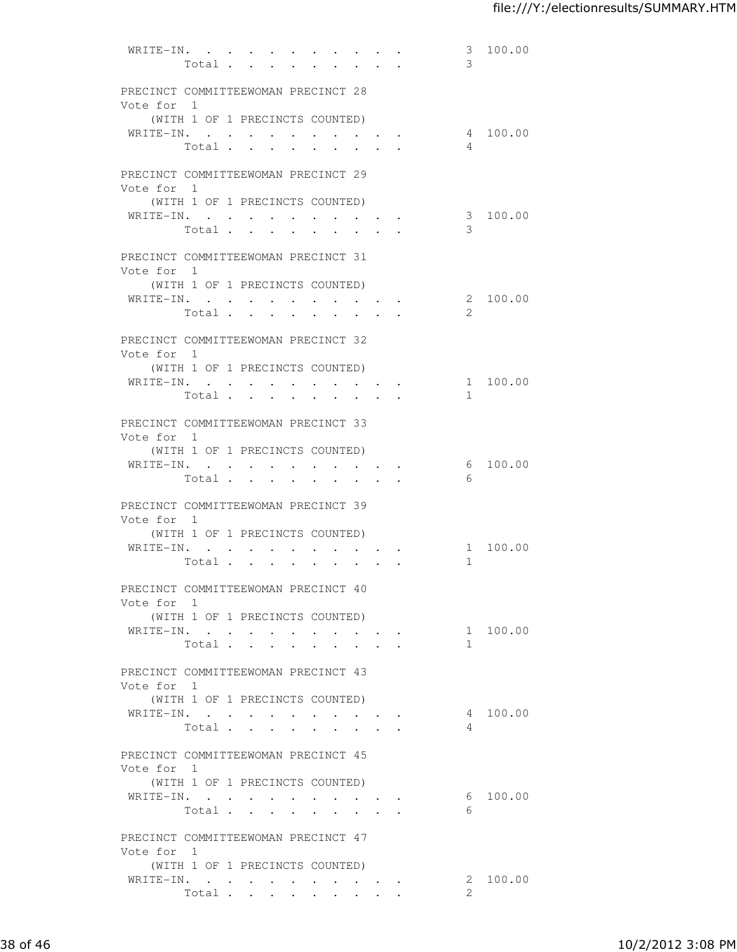| WRITE-IN.                                         | Total          |                      |                                     |  | $\bullet$ . |                                   |                                          | 3<br>3         | 100.00   |
|---------------------------------------------------|----------------|----------------------|-------------------------------------|--|-------------|-----------------------------------|------------------------------------------|----------------|----------|
| PRECINCT COMMITTEEWOMAN PRECINCT 28<br>Vote for 1 |                |                      |                                     |  |             |                                   |                                          |                |          |
| (WITH 1 OF 1 PRECINCTS COUNTED)                   |                |                      |                                     |  |             |                                   |                                          |                |          |
| WRITE-IN.                                         | Total          |                      |                                     |  |             |                                   |                                          | $\overline{4}$ | 4 100.00 |
| PRECINCT COMMITTEEWOMAN PRECINCT 29<br>Vote for 1 |                |                      |                                     |  |             |                                   |                                          |                |          |
| (WITH 1 OF 1 PRECINCTS COUNTED)                   |                |                      |                                     |  |             |                                   |                                          |                |          |
| WRITE-IN.                                         | Total          |                      | <b>Contract Contract Contract</b>   |  |             | <b>Contract Contract Contract</b> |                                          | 3              | 3 100.00 |
| PRECINCT COMMITTEEWOMAN PRECINCT 31<br>Vote for 1 |                |                      |                                     |  |             |                                   |                                          |                |          |
| (WITH 1 OF 1 PRECINCTS COUNTED)                   |                |                      |                                     |  |             |                                   |                                          |                |          |
| WRITE-IN.                                         |                |                      |                                     |  |             |                                   |                                          |                | 2 100.00 |
|                                                   | Total          |                      |                                     |  |             |                                   |                                          | 2              |          |
| PRECINCT COMMITTEEWOMAN PRECINCT 32<br>Vote for 1 |                |                      |                                     |  |             |                                   |                                          |                |          |
| (WITH 1 OF 1 PRECINCTS COUNTED)                   |                |                      |                                     |  |             |                                   |                                          |                |          |
| WRITE-IN.                                         | Total $\cdots$ |                      | $\sim$ $\sim$ $\sim$ $\sim$         |  |             | $\sim$ $\sim$                     |                                          | $\mathbf{1}$   | 1 100.00 |
| PRECINCT COMMITTEEWOMAN PRECINCT 33<br>Vote for 1 |                |                      |                                     |  |             |                                   |                                          |                |          |
| (WITH 1 OF 1 PRECINCTS COUNTED)                   |                |                      |                                     |  |             |                                   |                                          |                |          |
| WRITE-IN.                                         | Total          |                      |                                     |  |             |                                   |                                          | - 6            | 6 100.00 |
| PRECINCT COMMITTEEWOMAN PRECINCT 39<br>Vote for 1 |                |                      |                                     |  |             |                                   |                                          |                |          |
| (WITH 1 OF 1 PRECINCTS COUNTED)                   |                |                      |                                     |  |             |                                   |                                          |                |          |
| WRITE-IN.                                         |                | $\ddot{\phantom{0}}$ | $\bullet$ .<br><br><br><br><br><br> |  |             |                                   |                                          |                | 1 100.00 |
|                                                   | Total          |                      |                                     |  |             |                                   |                                          | 1              |          |
| PRECINCT COMMITTEEWOMAN PRECINCT 40<br>Vote for 1 |                |                      |                                     |  |             |                                   |                                          |                |          |
| (WITH 1 OF 1 PRECINCTS COUNTED)                   |                |                      |                                     |  |             |                                   |                                          |                |          |
| WRITE-IN.                                         |                |                      |                                     |  |             |                                   |                                          | 1              | 1 100.00 |
|                                                   | Total          |                      |                                     |  |             |                                   |                                          |                |          |
| PRECINCT COMMITTEEWOMAN PRECINCT 43<br>Vote for 1 |                |                      |                                     |  |             |                                   |                                          |                |          |
| (WITH 1 OF 1 PRECINCTS COUNTED)<br>WRITE-IN.      |                |                      |                                     |  |             |                                   |                                          |                | 4 100.00 |
|                                                   | Total          |                      | <b>Contract Contract Contract</b>   |  |             |                                   |                                          | $\overline{4}$ |          |
| PRECINCT COMMITTEEWOMAN PRECINCT 45<br>Vote for 1 |                |                      |                                     |  |             |                                   |                                          |                |          |
| (WITH 1 OF 1 PRECINCTS COUNTED)                   |                |                      |                                     |  |             |                                   |                                          |                |          |
| WRITE-IN.                                         |                |                      |                                     |  |             |                                   |                                          |                | 6 100.00 |
|                                                   | Total          |                      |                                     |  |             |                                   |                                          | - 6            |          |
| PRECINCT COMMITTEEWOMAN PRECINCT 47<br>Vote for 1 |                |                      |                                     |  |             |                                   |                                          |                |          |
| (WITH 1 OF 1 PRECINCTS COUNTED)                   |                |                      |                                     |  |             |                                   |                                          |                |          |
| WRITE-IN.                                         | Total          |                      |                                     |  |             |                                   | $\bullet$ . In the case of the $\bullet$ | $\mathcal{L}$  | 2 100.00 |
|                                                   |                |                      |                                     |  |             |                                   |                                          |                |          |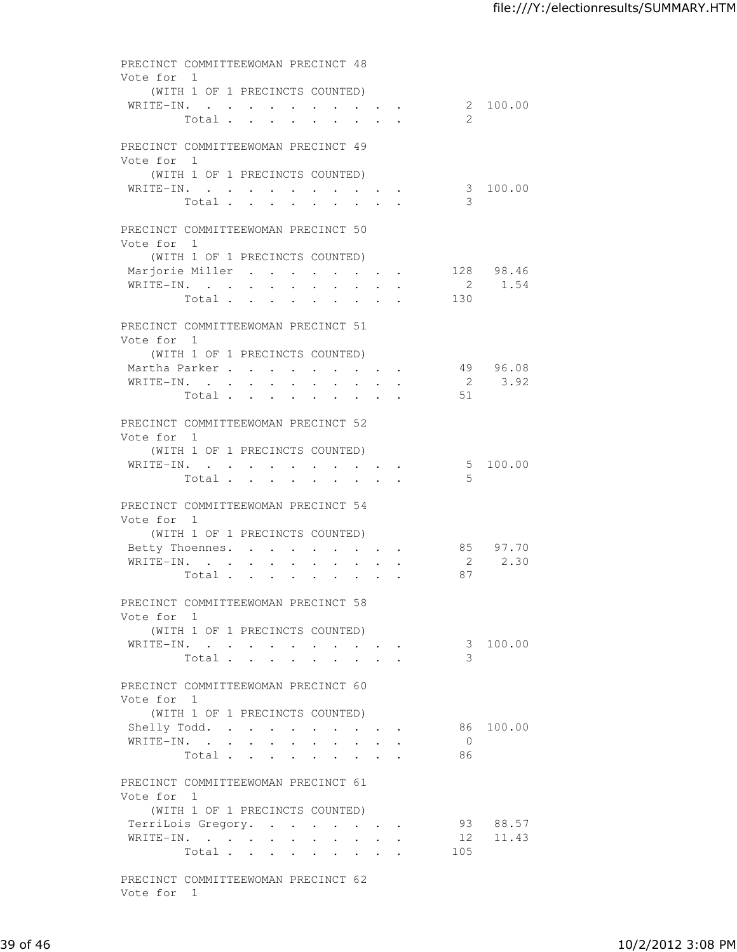| PRECINCT COMMITTEEWOMAN PRECINCT 48<br>Vote for 1 |                                          |                           |                      |                                                    |                                                 |                             |                |                    |
|---------------------------------------------------|------------------------------------------|---------------------------|----------------------|----------------------------------------------------|-------------------------------------------------|-----------------------------|----------------|--------------------|
| WRITE-IN.                                         | (WITH 1 OF 1 PRECINCTS COUNTED)<br>Total |                           |                      |                                                    |                                                 |                             | 2              | 2 100.00           |
| PRECINCT COMMITTEEWOMAN PRECINCT 49<br>Vote for 1 |                                          |                           |                      |                                                    |                                                 |                             |                |                    |
| WRITE-IN.                                         | (WITH 1 OF 1 PRECINCTS COUNTED)          |                           |                      |                                                    |                                                 |                             |                | 3 100.00           |
|                                                   | Total                                    |                           |                      |                                                    |                                                 | $\mathbf{r}$ , $\mathbf{r}$ | 3              |                    |
| PRECINCT COMMITTEEWOMAN PRECINCT 50<br>Vote for 1 |                                          |                           |                      |                                                    |                                                 |                             |                |                    |
| Marjorie Miller 128 98.46                         | (WITH 1 OF 1 PRECINCTS COUNTED)          |                           |                      |                                                    |                                                 |                             |                |                    |
| WRITE-IN.                                         |                                          |                           |                      |                                                    |                                                 |                             |                | 2 1.54             |
|                                                   | Total                                    |                           |                      |                                                    |                                                 |                             | 130            |                    |
| PRECINCT COMMITTEEWOMAN PRECINCT 51<br>Vote for 1 |                                          |                           |                      |                                                    |                                                 |                             |                |                    |
|                                                   | (WITH 1 OF 1 PRECINCTS COUNTED)          |                           |                      |                                                    |                                                 |                             |                |                    |
| Martha Parker                                     |                                          |                           |                      | $\mathbf{r}$ , and $\mathbf{r}$ , and $\mathbf{r}$ |                                                 |                             |                | 49 96.08           |
| WRITE-IN.                                         |                                          | $\mathbf{L}^{\text{max}}$ | $\ddot{\phantom{0}}$ |                                                    |                                                 |                             | $\overline{2}$ | 3.92               |
|                                                   | Total                                    |                           |                      | $\sim$ $-$<br>$\sim$                               |                                                 |                             | 51             |                    |
| PRECINCT COMMITTEEWOMAN PRECINCT 52<br>Vote for 1 |                                          |                           |                      |                                                    |                                                 |                             |                |                    |
|                                                   | (WITH 1 OF 1 PRECINCTS COUNTED)          |                           |                      |                                                    |                                                 |                             |                |                    |
| WRITE-IN.                                         | Total                                    |                           |                      |                                                    |                                                 |                             | .5             | 5 100.00           |
| PRECINCT COMMITTEEWOMAN PRECINCT 54<br>Vote for 1 |                                          |                           |                      |                                                    |                                                 |                             |                |                    |
|                                                   | (WITH 1 OF 1 PRECINCTS COUNTED)          |                           |                      |                                                    |                                                 |                             |                |                    |
| Betty Thoennes.<br>WRITE-IN.                      |                                          |                           |                      | $\cdot$ $\cdot$ $\cdot$ $\cdot$ $\cdot$ $\cdot$    |                                                 |                             |                | 85 97.70<br>2 2.30 |
|                                                   | Total                                    | $\ddot{\phantom{0}}$      | $\bullet$ .          | $\sim$ $\sim$                                      |                                                 | $\bullet$ .                 | 87             |                    |
| PRECINCT COMMITTEEWOMAN PRECINCT 58<br>Vote for 1 |                                          |                           |                      |                                                    |                                                 |                             |                |                    |
|                                                   | (WITH 1 OF 1 PRECINCTS COUNTED)          |                           |                      |                                                    |                                                 |                             |                |                    |
| WRITE-IN.                                         |                                          |                           |                      |                                                    |                                                 |                             |                | 3 100.00           |
|                                                   | Total                                    |                           |                      |                                                    |                                                 |                             | 3              |                    |
| PRECINCT COMMITTEEWOMAN PRECINCT 60<br>Vote for 1 |                                          |                           |                      |                                                    |                                                 |                             |                |                    |
|                                                   | (WITH 1 OF 1 PRECINCTS COUNTED)          |                           |                      |                                                    |                                                 |                             |                |                    |
|                                                   | Shelly Todd.                             |                           | $\bullet$ .          |                                                    |                                                 |                             |                | 86 100.00          |
| WRITE-IN.                                         |                                          |                           |                      |                                                    |                                                 | $\ddot{\phantom{0}}$        | $\overline{0}$ |                    |
|                                                   | Total                                    |                           |                      |                                                    |                                                 |                             | 86             |                    |
| PRECINCT COMMITTEEWOMAN PRECINCT 61<br>Vote for 1 |                                          |                           |                      |                                                    |                                                 |                             |                |                    |
|                                                   | (WITH 1 OF 1 PRECINCTS COUNTED)          |                           |                      |                                                    |                                                 |                             |                |                    |
|                                                   | TerriLois Gregory.                       |                           |                      |                                                    |                                                 |                             |                | 93 88.57           |
| WRITE-IN.                                         |                                          |                           |                      |                                                    | $\cdot$ $\cdot$ $\cdot$ $\cdot$ $\cdot$ $\cdot$ |                             |                | 12 11.43           |
|                                                   | Total                                    |                           |                      |                                                    |                                                 |                             | 105            |                    |
| PRECINCT COMMITTEEWOMAN PRECINCT 62<br>Vote for 1 |                                          |                           |                      |                                                    |                                                 |                             |                |                    |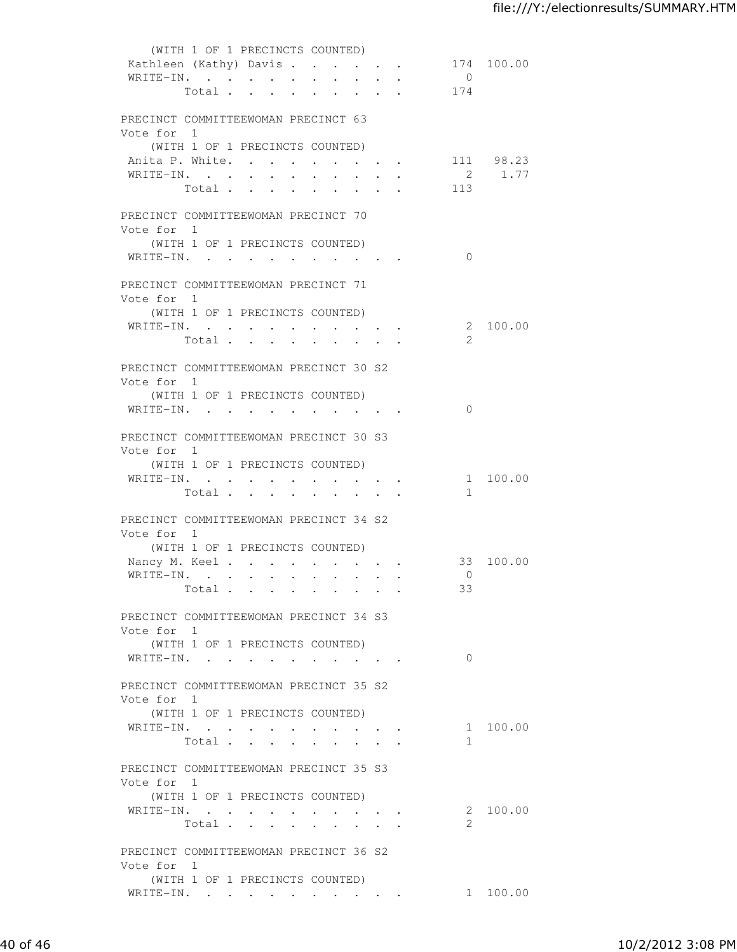|                                                                                                                                                           | (WITH 1 OF 1 PRECINCTS COUNTED) |  |                      |                      |                        |                                                             |                                                                       |  |                |           |
|-----------------------------------------------------------------------------------------------------------------------------------------------------------|---------------------------------|--|----------------------|----------------------|------------------------|-------------------------------------------------------------|-----------------------------------------------------------------------|--|----------------|-----------|
| Kathleen (Kathy) Davis 174 100.00                                                                                                                         |                                 |  |                      |                      |                        |                                                             |                                                                       |  |                |           |
| WRITE-IN.                                                                                                                                                 |                                 |  |                      |                      |                        |                                                             |                                                                       |  | $\overline{0}$ |           |
|                                                                                                                                                           | Total                           |  |                      |                      |                        |                                                             |                                                                       |  | 174            |           |
|                                                                                                                                                           |                                 |  |                      |                      |                        |                                                             |                                                                       |  |                |           |
| PRECINCT COMMITTEEWOMAN PRECINCT 63                                                                                                                       |                                 |  |                      |                      |                        |                                                             |                                                                       |  |                |           |
| Vote for 1                                                                                                                                                |                                 |  |                      |                      |                        |                                                             |                                                                       |  |                |           |
|                                                                                                                                                           | (WITH 1 OF 1 PRECINCTS COUNTED) |  |                      |                      |                        |                                                             |                                                                       |  |                |           |
| Anita P. White.                                                                                                                                           |                                 |  |                      |                      |                        |                                                             |                                                                       |  |                | 111 98.23 |
|                                                                                                                                                           |                                 |  |                      |                      |                        |                                                             |                                                                       |  |                |           |
| WRITE-IN.                                                                                                                                                 |                                 |  |                      |                      |                        |                                                             |                                                                       |  |                | 2 1.77    |
|                                                                                                                                                           | Total                           |  | $\ddot{\phantom{a}}$ | $\ddot{\phantom{0}}$ | $\ddot{\phantom{a}}$   | $\bullet$ .<br><br><br><br><br><br><br><br><br><br><br><br> |                                                                       |  | 113            |           |
|                                                                                                                                                           |                                 |  |                      |                      |                        |                                                             |                                                                       |  |                |           |
| PRECINCT COMMITTEEWOMAN PRECINCT 70                                                                                                                       |                                 |  |                      |                      |                        |                                                             |                                                                       |  |                |           |
| Vote for 1                                                                                                                                                |                                 |  |                      |                      |                        |                                                             |                                                                       |  |                |           |
|                                                                                                                                                           | (WITH 1 OF 1 PRECINCTS COUNTED) |  |                      |                      |                        |                                                             |                                                                       |  |                |           |
|                                                                                                                                                           |                                 |  |                      |                      |                        |                                                             |                                                                       |  | $\overline{0}$ |           |
|                                                                                                                                                           |                                 |  |                      |                      |                        |                                                             |                                                                       |  |                |           |
| PRECINCT COMMITTEEWOMAN PRECINCT 71                                                                                                                       |                                 |  |                      |                      |                        |                                                             |                                                                       |  |                |           |
| Vote for 1                                                                                                                                                |                                 |  |                      |                      |                        |                                                             |                                                                       |  |                |           |
|                                                                                                                                                           | (WITH 1 OF 1 PRECINCTS COUNTED) |  |                      |                      |                        |                                                             |                                                                       |  |                |           |
| WRITE-IN.                                                                                                                                                 |                                 |  |                      |                      |                        |                                                             |                                                                       |  |                | 2 100.00  |
|                                                                                                                                                           | Total                           |  |                      |                      |                        |                                                             |                                                                       |  | $\mathcal{L}$  |           |
|                                                                                                                                                           |                                 |  |                      |                      |                        |                                                             |                                                                       |  |                |           |
| PRECINCT COMMITTEEWOMAN PRECINCT 30 S2                                                                                                                    |                                 |  |                      |                      |                        |                                                             |                                                                       |  |                |           |
| Vote for 1                                                                                                                                                |                                 |  |                      |                      |                        |                                                             |                                                                       |  |                |           |
|                                                                                                                                                           | (WITH 1 OF 1 PRECINCTS COUNTED) |  |                      |                      |                        |                                                             |                                                                       |  |                |           |
| WRITE-IN.                                                                                                                                                 |                                 |  |                      |                      |                        |                                                             |                                                                       |  | $\Omega$       |           |
|                                                                                                                                                           |                                 |  |                      |                      |                        |                                                             |                                                                       |  |                |           |
| PRECINCT COMMITTEEWOMAN PRECINCT 30 S3                                                                                                                    |                                 |  |                      |                      |                        |                                                             |                                                                       |  |                |           |
| Vote for 1                                                                                                                                                |                                 |  |                      |                      |                        |                                                             |                                                                       |  |                |           |
|                                                                                                                                                           | (WITH 1 OF 1 PRECINCTS COUNTED) |  |                      |                      |                        |                                                             |                                                                       |  |                |           |
| WRITE-IN.                                                                                                                                                 |                                 |  |                      |                      |                        |                                                             |                                                                       |  |                | 1 100.00  |
|                                                                                                                                                           | Total                           |  |                      |                      |                        |                                                             |                                                                       |  | $\mathbf{1}$   |           |
|                                                                                                                                                           |                                 |  |                      |                      |                        |                                                             |                                                                       |  |                |           |
| PRECINCT COMMITTEEWOMAN PRECINCT 34 S2                                                                                                                    |                                 |  |                      |                      |                        |                                                             |                                                                       |  |                |           |
| Vote for 1                                                                                                                                                |                                 |  |                      |                      |                        |                                                             |                                                                       |  |                |           |
|                                                                                                                                                           | (WITH 1 OF 1 PRECINCTS COUNTED) |  |                      |                      |                        |                                                             |                                                                       |  |                |           |
| Nancy M. Keel.                                                                                                                                            |                                 |  |                      |                      |                        |                                                             |                                                                       |  |                | 33 100.00 |
| WRITE-IN.                                                                                                                                                 |                                 |  |                      |                      | <b>Service Control</b> | <b>Contract Contract</b>                                    |                                                                       |  | $\overline{0}$ |           |
|                                                                                                                                                           | Total                           |  |                      |                      |                        |                                                             |                                                                       |  | 33             |           |
|                                                                                                                                                           |                                 |  |                      |                      |                        |                                                             |                                                                       |  |                |           |
| PRECINCT COMMITTEEWOMAN PRECINCT 34 S3                                                                                                                    |                                 |  |                      |                      |                        |                                                             |                                                                       |  |                |           |
| Vote for 1                                                                                                                                                |                                 |  |                      |                      |                        |                                                             |                                                                       |  |                |           |
|                                                                                                                                                           | (WITH 1 OF 1 PRECINCTS COUNTED) |  |                      |                      |                        |                                                             |                                                                       |  |                |           |
| WRITE-IN.                                                                                                                                                 |                                 |  |                      |                      |                        |                                                             |                                                                       |  | $\Omega$       |           |
|                                                                                                                                                           |                                 |  |                      |                      |                        |                                                             |                                                                       |  |                |           |
| PRECINCT COMMITTEEWOMAN PRECINCT 35 S2                                                                                                                    |                                 |  |                      |                      |                        |                                                             |                                                                       |  |                |           |
| Vote for 1                                                                                                                                                |                                 |  |                      |                      |                        |                                                             |                                                                       |  |                |           |
|                                                                                                                                                           | (WITH 1 OF 1 PRECINCTS COUNTED) |  |                      |                      |                        |                                                             |                                                                       |  |                |           |
| WRITE-IN.                                                                                                                                                 |                                 |  |                      |                      |                        |                                                             |                                                                       |  |                | 1 100.00  |
|                                                                                                                                                           | Total                           |  |                      |                      |                        |                                                             |                                                                       |  | $\mathbf{1}$   |           |
|                                                                                                                                                           |                                 |  |                      |                      |                        |                                                             |                                                                       |  |                |           |
| PRECINCT COMMITTEEWOMAN PRECINCT 35 S3                                                                                                                    |                                 |  |                      |                      |                        |                                                             |                                                                       |  |                |           |
| Vote for 1                                                                                                                                                |                                 |  |                      |                      |                        |                                                             |                                                                       |  |                |           |
|                                                                                                                                                           | (WITH 1 OF 1 PRECINCTS COUNTED) |  |                      |                      |                        |                                                             |                                                                       |  |                |           |
| $\mathtt{WRTTE-IN.} \qquad \qquad \centerdot \qquad \centerdot \qquad \centerdot \qquad \centerdot \qquad \centerdot \qquad \centerdot \qquad \centerdot$ |                                 |  |                      |                      |                        |                                                             | $\mathbf{A}$ , and $\mathbf{A}$ , and $\mathbf{A}$ , and $\mathbf{A}$ |  |                | 2 100.00  |
|                                                                                                                                                           | Total                           |  |                      |                      |                        |                                                             |                                                                       |  | 2.             |           |
|                                                                                                                                                           |                                 |  |                      |                      |                        |                                                             |                                                                       |  |                |           |
| PRECINCT COMMITTEEWOMAN PRECINCT 36 S2                                                                                                                    |                                 |  |                      |                      |                        |                                                             |                                                                       |  |                |           |
| Vote for 1                                                                                                                                                |                                 |  |                      |                      |                        |                                                             |                                                                       |  |                |           |
|                                                                                                                                                           | (WITH 1 OF 1 PRECINCTS COUNTED) |  |                      |                      |                        |                                                             |                                                                       |  |                |           |
| WRITE-IN.                                                                                                                                                 |                                 |  |                      |                      |                        |                                                             |                                                                       |  |                | 1 100.00  |
|                                                                                                                                                           |                                 |  |                      |                      |                        |                                                             |                                                                       |  |                |           |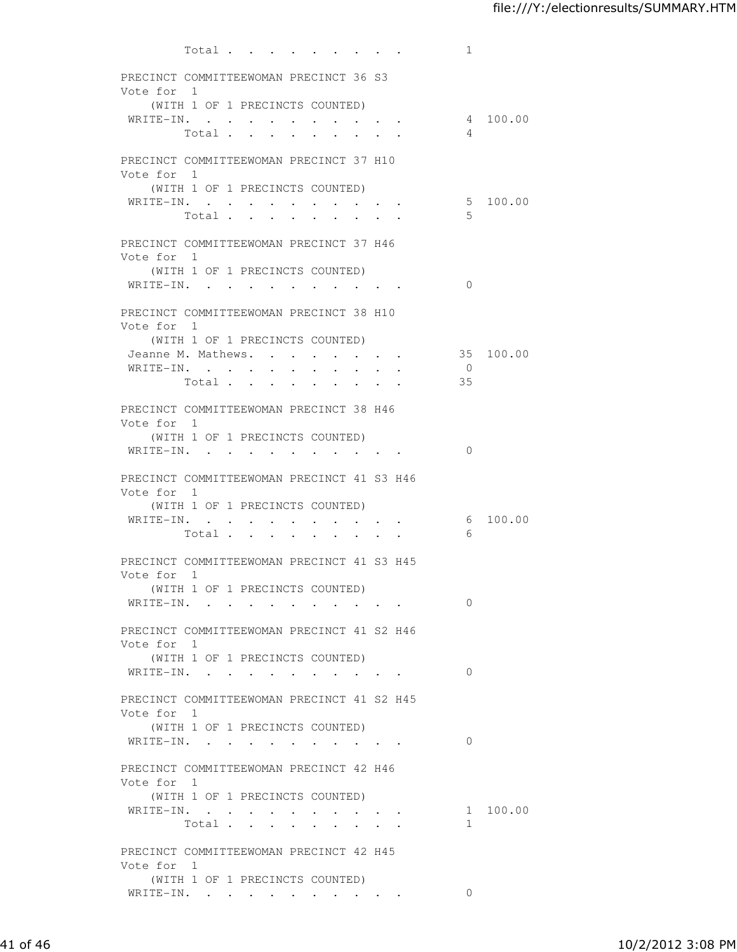|                                                          |                                 | Total $\cdots$                 |                                                                                               |                                 |                      | $\bullet$ .<br><br><br><br><br><br><br><br><br><br><br><br><br><br><br><br> |               | 1              |           |
|----------------------------------------------------------|---------------------------------|--------------------------------|-----------------------------------------------------------------------------------------------|---------------------------------|----------------------|-----------------------------------------------------------------------------|---------------|----------------|-----------|
| PRECINCT COMMITTEEWOMAN PRECINCT 36 S3                   |                                 |                                |                                                                                               |                                 |                      |                                                                             |               |                |           |
| Vote for 1                                               |                                 |                                |                                                                                               |                                 |                      |                                                                             |               |                |           |
|                                                          | (WITH 1 OF 1 PRECINCTS COUNTED) |                                |                                                                                               |                                 |                      |                                                                             |               |                |           |
| WRITE-IN.                                                |                                 |                                |                                                                                               |                                 |                      |                                                                             |               |                | 4 100.00  |
|                                                          |                                 | Total                          |                                                                                               |                                 |                      |                                                                             |               | 4              |           |
| PRECINCT COMMITTEEWOMAN PRECINCT 37 H10                  |                                 |                                |                                                                                               |                                 |                      |                                                                             |               |                |           |
| Vote for 1                                               |                                 |                                |                                                                                               |                                 |                      |                                                                             |               |                |           |
|                                                          | (WITH 1 OF 1 PRECINCTS COUNTED) |                                |                                                                                               |                                 |                      |                                                                             |               |                |           |
| WRITE-IN.                                                |                                 | $\sim$<br>Total                | $\bullet$ .<br><br><br><br><br><br><br><br><br><br><br><br><br><br><br><br><br><br><br>$\sim$ | $\bullet$ .<br><br><br><br><br> |                      |                                                                             |               | .5             | 5 100.00  |
|                                                          |                                 |                                |                                                                                               |                                 |                      |                                                                             |               |                |           |
| PRECINCT COMMITTEEWOMAN PRECINCT 37 H46                  |                                 |                                |                                                                                               |                                 |                      |                                                                             |               |                |           |
| Vote for 1                                               | (WITH 1 OF 1 PRECINCTS COUNTED) |                                |                                                                                               |                                 |                      |                                                                             |               |                |           |
| WRITE-IN.                                                |                                 |                                |                                                                                               |                                 |                      |                                                                             |               | $\Omega$       |           |
|                                                          |                                 |                                |                                                                                               |                                 |                      |                                                                             |               |                |           |
| PRECINCT COMMITTEEWOMAN PRECINCT 38 H10<br>Vote for 1    |                                 |                                |                                                                                               |                                 |                      |                                                                             |               |                |           |
|                                                          | (WITH 1 OF 1 PRECINCTS COUNTED) |                                |                                                                                               |                                 |                      |                                                                             |               |                |           |
| Jeanne M. Mathews.                                       |                                 |                                |                                                                                               | $\mathbf{L}$ and $\mathbf{L}$   |                      | $\mathbf{z} = \mathbf{z} + \mathbf{z} + \mathbf{z}$                         |               |                | 35 100.00 |
| WRITE-IN.                                                |                                 | $\ddot{\phantom{0}}$           | $\ddot{\phantom{0}}$                                                                          | $\ddot{\phantom{0}}$            | $\ddot{\phantom{0}}$ |                                                                             |               | $\overline{0}$ |           |
|                                                          | Total                           | $\ddot{\phantom{0}}$           | $\sim 10^{-10}$                                                                               | $\bullet$ .                     | $\bullet$ .          |                                                                             |               | 35             |           |
| PRECINCT COMMITTEEWOMAN PRECINCT 38 H46                  |                                 |                                |                                                                                               |                                 |                      |                                                                             |               |                |           |
| Vote for 1                                               |                                 |                                |                                                                                               |                                 |                      |                                                                             |               |                |           |
|                                                          | (WITH 1 OF 1 PRECINCTS COUNTED) |                                |                                                                                               |                                 |                      |                                                                             |               |                |           |
| WRITE-IN.                                                |                                 |                                |                                                                                               |                                 |                      |                                                                             |               | $\Omega$       |           |
| PRECINCT COMMITTEEWOMAN PRECINCT 41 S3 H46               |                                 |                                |                                                                                               |                                 |                      |                                                                             |               |                |           |
| Vote for 1                                               |                                 |                                |                                                                                               |                                 |                      |                                                                             |               |                |           |
| WRITE-IN.                                                | (WITH 1 OF 1 PRECINCTS COUNTED) | $\sim$                         |                                                                                               |                                 | $\sim$ $\sim$        |                                                                             |               |                | 6 100.00  |
|                                                          | Total .                         | $\sim$<br>$\ddot{\phantom{a}}$ | $\sim 10^{-11}$<br>$\ddot{\phantom{0}}$                                                       | $\sim$ 100 $\pm$                |                      | $\mathbf{z} = \mathbf{z} + \mathbf{z}$ . The $\mathbf{z}$                   | $\sim$        | 6              |           |
|                                                          |                                 |                                |                                                                                               |                                 |                      |                                                                             |               |                |           |
| PRECINCT COMMITTEEWOMAN PRECINCT 41 S3 H45<br>Vote for 1 |                                 |                                |                                                                                               |                                 |                      |                                                                             |               |                |           |
|                                                          | (WITH 1 OF 1 PRECINCTS COUNTED) |                                |                                                                                               |                                 |                      |                                                                             |               |                |           |
| WRITE-IN.                                                |                                 |                                |                                                                                               |                                 |                      |                                                                             |               | $\Omega$       |           |
| PRECINCT COMMITTEEWOMAN PRECINCT 41 S2 H46               |                                 |                                |                                                                                               |                                 |                      |                                                                             |               |                |           |
| Vote for 1                                               |                                 |                                |                                                                                               |                                 |                      |                                                                             |               |                |           |
|                                                          | (WITH 1 OF 1 PRECINCTS COUNTED) |                                |                                                                                               |                                 |                      |                                                                             |               |                |           |
| WRITE-IN.                                                |                                 |                                |                                                                                               |                                 |                      |                                                                             |               | $\Omega$       |           |
| PRECINCT COMMITTEEWOMAN PRECINCT 41 S2 H45               |                                 |                                |                                                                                               |                                 |                      |                                                                             |               |                |           |
| Vote for 1                                               |                                 |                                |                                                                                               |                                 |                      |                                                                             |               |                |           |
|                                                          | (WITH 1 OF 1 PRECINCTS COUNTED) |                                |                                                                                               |                                 |                      |                                                                             |               |                |           |
| WRITE-IN.                                                |                                 |                                |                                                                                               |                                 |                      |                                                                             |               | $\Omega$       |           |
| PRECINCT COMMITTEEWOMAN PRECINCT 42 H46                  |                                 |                                |                                                                                               |                                 |                      |                                                                             |               |                |           |
| Vote for 1                                               |                                 |                                |                                                                                               |                                 |                      |                                                                             |               |                |           |
|                                                          | (WITH 1 OF 1 PRECINCTS COUNTED) |                                |                                                                                               |                                 |                      |                                                                             |               |                |           |
| WRITE-IN.                                                |                                 |                                |                                                                                               |                                 |                      |                                                                             | Total $\cdot$ | $\mathbf{1}$   | 1 100.00  |
|                                                          |                                 |                                |                                                                                               |                                 |                      |                                                                             |               |                |           |
| PRECINCT COMMITTEEWOMAN PRECINCT 42 H45                  |                                 |                                |                                                                                               |                                 |                      |                                                                             |               |                |           |
| Vote for 1                                               |                                 |                                |                                                                                               |                                 |                      |                                                                             |               |                |           |
| WRITE-IN.                                                | (WITH 1 OF 1 PRECINCTS COUNTED) |                                |                                                                                               |                                 |                      |                                                                             |               | $\Omega$       |           |
|                                                          |                                 |                                |                                                                                               |                                 |                      |                                                                             |               |                |           |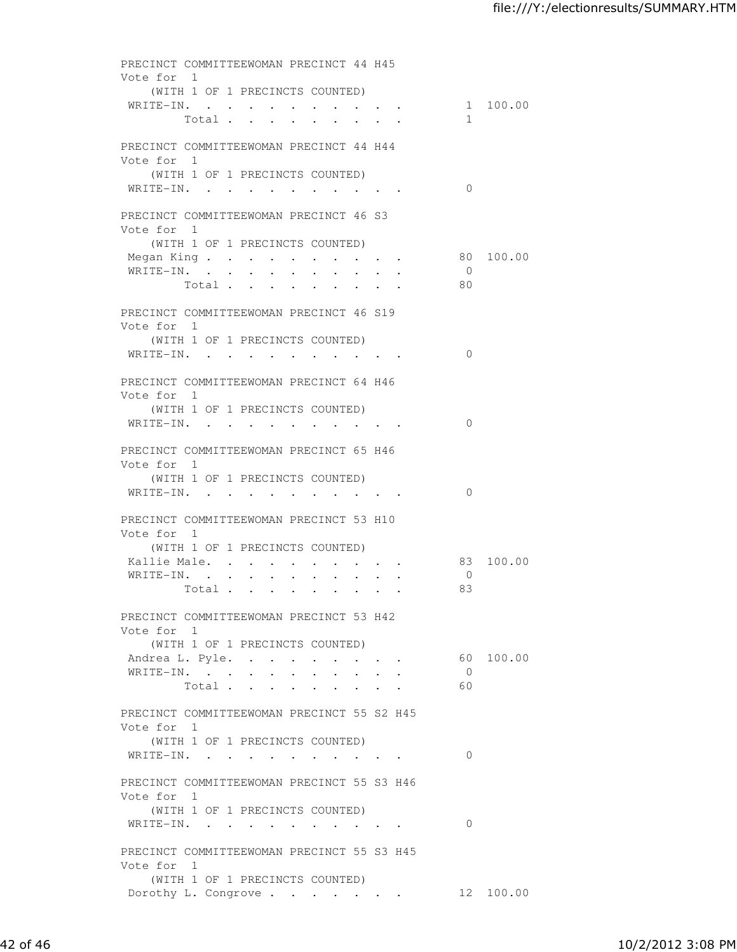| PRECINCT COMMITTEEWOMAN PRECINCT 44 H45               |                                 |        |                                                 |                      |           |
|-------------------------------------------------------|---------------------------------|--------|-------------------------------------------------|----------------------|-----------|
| Vote for 1                                            |                                 |        |                                                 |                      |           |
|                                                       | (WITH 1 OF 1 PRECINCTS COUNTED) |        |                                                 | WRITE-IN. 1 100.00   |           |
|                                                       | Total                           |        |                                                 | $\mathbf{1}$         |           |
|                                                       |                                 |        |                                                 |                      |           |
| PRECINCT COMMITTEEWOMAN PRECINCT 44 H44<br>Vote for 1 |                                 |        |                                                 |                      |           |
|                                                       | (WITH 1 OF 1 PRECINCTS COUNTED) |        |                                                 |                      |           |
| WRITE-IN.                                             |                                 |        |                                                 | $\Omega$             |           |
|                                                       |                                 |        |                                                 |                      |           |
| PRECINCT COMMITTEEWOMAN PRECINCT 46 S3<br>Vote for 1  |                                 |        |                                                 |                      |           |
|                                                       | (WITH 1 OF 1 PRECINCTS COUNTED) |        |                                                 |                      |           |
|                                                       |                                 |        |                                                 | Megan King 80 100.00 |           |
| WRITE-IN.                                             |                                 |        |                                                 | $\overline{0}$       |           |
|                                                       | Total                           |        |                                                 | 80                   |           |
| PRECINCT COMMITTEEWOMAN PRECINCT 46 S19               |                                 |        |                                                 |                      |           |
| Vote for 1                                            |                                 |        |                                                 |                      |           |
|                                                       | (WITH 1 OF 1 PRECINCTS COUNTED) |        |                                                 |                      |           |
| WRITE-IN.                                             |                                 |        |                                                 | $\Omega$             |           |
|                                                       |                                 |        |                                                 |                      |           |
| PRECINCT COMMITTEEWOMAN PRECINCT 64 H46<br>Vote for 1 |                                 |        |                                                 |                      |           |
|                                                       | (WITH 1 OF 1 PRECINCTS COUNTED) |        |                                                 |                      |           |
| WRITE-IN.                                             |                                 |        |                                                 | $\Omega$             |           |
|                                                       |                                 |        |                                                 |                      |           |
| PRECINCT COMMITTEEWOMAN PRECINCT 65 H46<br>Vote for 1 |                                 |        |                                                 |                      |           |
|                                                       | (WITH 1 OF 1 PRECINCTS COUNTED) |        |                                                 |                      |           |
| WRITE-IN.                                             |                                 |        |                                                 | $\Omega$             |           |
|                                                       |                                 |        |                                                 |                      |           |
| PRECINCT COMMITTEEWOMAN PRECINCT 53 H10<br>Vote for 1 |                                 |        |                                                 |                      |           |
|                                                       | (WITH 1 OF 1 PRECINCTS COUNTED) |        |                                                 |                      |           |
| Kallie Male.                                          |                                 | $\sim$ | $\bullet$ .<br>$\bullet$ . The set of $\bullet$ |                      | 83 100.00 |
| WRITE-IN.                                             |                                 |        |                                                 | $\overline{0}$       |           |
|                                                       | Total                           |        | $\mathbf{z} = \mathbf{z} + \mathbf{z}$ .        | 83                   |           |
| PRECINCT COMMITTEEWOMAN PRECINCT 53 H42               |                                 |        |                                                 |                      |           |
| Vote for 1                                            |                                 |        |                                                 |                      |           |
|                                                       | (WITH 1 OF 1 PRECINCTS COUNTED) |        |                                                 |                      |           |
| Andrea L. Pyle.                                       |                                 |        |                                                 |                      | 60 100.00 |
| WRITE-IN.                                             | Total $\cdots$                  |        |                                                 | $\overline{0}$<br>60 |           |
|                                                       |                                 |        |                                                 |                      |           |
| PRECINCT COMMITTEEWOMAN PRECINCT 55 S2 H45            |                                 |        |                                                 |                      |           |
| Vote for 1                                            |                                 |        |                                                 |                      |           |
|                                                       | (WITH 1 OF 1 PRECINCTS COUNTED) |        |                                                 | $\Omega$             |           |
| WRITE-IN.                                             |                                 |        |                                                 |                      |           |
| PRECINCT COMMITTEEWOMAN PRECINCT 55 S3 H46            |                                 |        |                                                 |                      |           |
| Vote for 1                                            |                                 |        |                                                 |                      |           |
|                                                       | (WITH 1 OF 1 PRECINCTS COUNTED) |        |                                                 | $\Omega$             |           |
| WRITE-IN.                                             |                                 |        |                                                 |                      |           |
| PRECINCT COMMITTEEWOMAN PRECINCT 55 S3 H45            |                                 |        |                                                 |                      |           |
| Vote for 1                                            |                                 |        |                                                 |                      |           |
|                                                       | (WITH 1 OF 1 PRECINCTS COUNTED) |        |                                                 |                      |           |
| Dorothy L. Congrove                                   |                                 |        |                                                 |                      | 12 100.00 |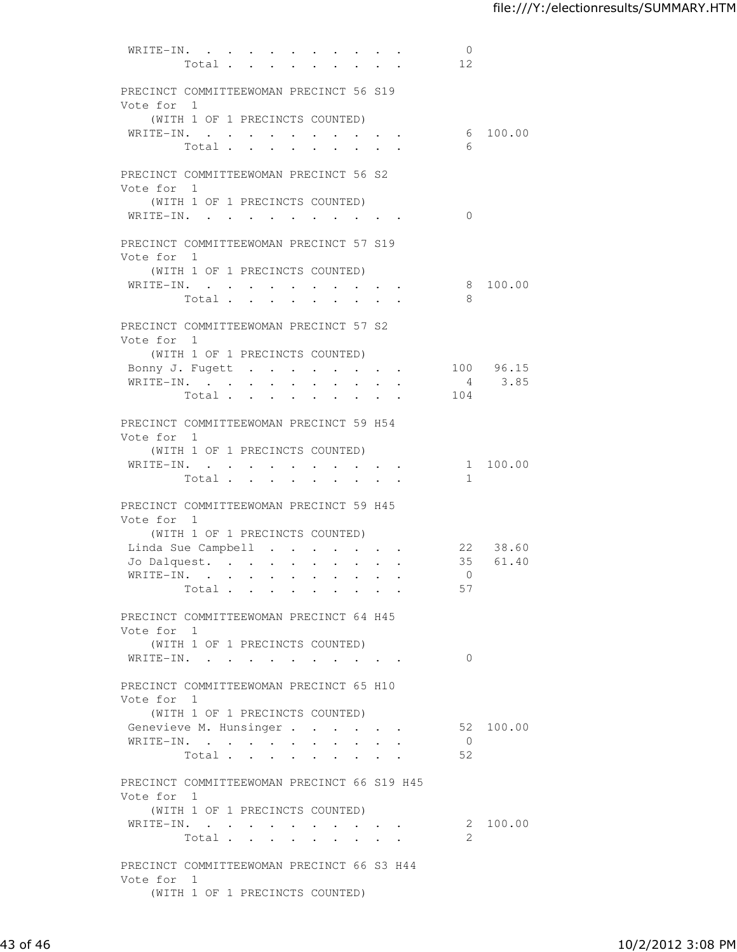| WRITE-IN.                                                | Total.                          | $\bullet$ .          | $\sim 10^{-10}$           |              |                                          |                           |                      |                                          |        | $\overline{0}$<br>12 |                 |
|----------------------------------------------------------|---------------------------------|----------------------|---------------------------|--------------|------------------------------------------|---------------------------|----------------------|------------------------------------------|--------|----------------------|-----------------|
| PRECINCT COMMITTEEWOMAN PRECINCT 56 S19<br>Vote for 1    |                                 |                      |                           |              |                                          |                           |                      |                                          |        |                      |                 |
|                                                          | (WITH 1 OF 1 PRECINCTS COUNTED) |                      |                           |              |                                          |                           |                      |                                          |        |                      |                 |
| WRITE-IN.                                                | Total                           |                      |                           |              | $\mathbf{z} = \mathbf{z} + \mathbf{z}$ . |                           |                      |                                          |        | - 6                  | 6 100.00        |
| PRECINCT COMMITTEEWOMAN PRECINCT 56 S2<br>Vote for 1     |                                 |                      |                           |              |                                          |                           |                      |                                          |        |                      |                 |
| WRITE-IN.                                                | (WITH 1 OF 1 PRECINCTS COUNTED) |                      |                           |              |                                          |                           |                      |                                          |        | $\Omega$             |                 |
| PRECINCT COMMITTEEWOMAN PRECINCT 57 S19<br>Vote for 1    |                                 |                      |                           |              |                                          |                           |                      |                                          |        |                      |                 |
|                                                          | (WITH 1 OF 1 PRECINCTS COUNTED) |                      |                           |              |                                          |                           |                      |                                          |        |                      |                 |
| WRITE-IN.                                                | Total                           |                      |                           |              |                                          |                           |                      |                                          |        | - 8                  | 8 100.00        |
| PRECINCT COMMITTEEWOMAN PRECINCT 57 S2<br>Vote for 1     |                                 |                      |                           |              |                                          |                           |                      |                                          |        |                      |                 |
|                                                          | (WITH 1 OF 1 PRECINCTS COUNTED) |                      |                           |              |                                          |                           |                      |                                          |        |                      |                 |
| Bonny J. Fugett                                          |                                 |                      |                           |              |                                          | $\mathbf{r} = \mathbf{r}$ |                      | $\mathbf{z} = \mathbf{z} + \mathbf{z}$ . | $\sim$ |                      | 100 96.15       |
| WRITE-IN.                                                |                                 | $\ddot{\phantom{0}}$ | $\ddot{\phantom{0}}$      |              |                                          |                           |                      |                                          |        | 104                  | $4 \qquad 3.85$ |
|                                                          | Total .                         |                      | $\mathbf{L} = \mathbf{L}$ | $\mathbf{r}$ | $\bullet$                                | $\cdot$                   | $\ddot{\phantom{a}}$ |                                          |        |                      |                 |
| PRECINCT COMMITTEEWOMAN PRECINCT 59 H54<br>Vote for 1    |                                 |                      |                           |              |                                          |                           |                      |                                          |        |                      |                 |
|                                                          | (WITH 1 OF 1 PRECINCTS COUNTED) |                      |                           |              |                                          |                           |                      |                                          |        |                      |                 |
| WRITE-IN.                                                | Total                           |                      |                           |              |                                          |                           |                      |                                          |        | 1                    | 1 100.00        |
| PRECINCT COMMITTEEWOMAN PRECINCT 59 H45<br>Vote for 1    |                                 |                      |                           |              |                                          |                           |                      |                                          |        |                      |                 |
|                                                          | (WITH 1 OF 1 PRECINCTS COUNTED) |                      |                           |              |                                          |                           |                      |                                          |        |                      |                 |
| Linda Sue Campbell                                       |                                 |                      |                           |              |                                          |                           | $\ddot{\phantom{0}}$ |                                          |        |                      | 22 38.60        |
| Jo Dalquest.                                             |                                 |                      |                           |              |                                          |                           |                      | $\mathbf{r} = \mathbf{r} + \mathbf{r}$   |        | $\bigcirc$           | 35 61.40        |
| WRITE-IN.                                                | Total                           |                      | $\ddot{\phantom{a}}$      |              | $\ddot{\phantom{a}}$                     |                           |                      |                                          |        | 57                   |                 |
|                                                          |                                 |                      |                           |              |                                          |                           |                      |                                          |        |                      |                 |
| PRECINCT COMMITTEEWOMAN PRECINCT 64 H45<br>Vote for 1    |                                 |                      |                           |              |                                          |                           |                      |                                          |        |                      |                 |
| WRITE-IN.                                                | (WITH 1 OF 1 PRECINCTS COUNTED) |                      |                           |              |                                          |                           |                      |                                          |        | $\bigcirc$           |                 |
|                                                          |                                 |                      |                           |              |                                          |                           |                      |                                          |        |                      |                 |
| PRECINCT COMMITTEEWOMAN PRECINCT 65 H10<br>Vote for 1    |                                 |                      |                           |              |                                          |                           |                      |                                          |        |                      |                 |
|                                                          | (WITH 1 OF 1 PRECINCTS COUNTED) |                      |                           |              |                                          |                           |                      |                                          |        |                      |                 |
| Genevieve M. Hunsinger<br>WRITE-IN.                      |                                 |                      |                           |              |                                          |                           |                      |                                          |        | $\overline{0}$       | 52 100.00       |
|                                                          | Total                           |                      |                           |              |                                          |                           |                      |                                          |        | 52                   |                 |
| PRECINCT COMMITTEEWOMAN PRECINCT 66 S19 H45              |                                 |                      |                           |              |                                          |                           |                      |                                          |        |                      |                 |
| Vote for 1                                               | (WITH 1 OF 1 PRECINCTS COUNTED) |                      |                           |              |                                          |                           |                      |                                          |        |                      |                 |
| WRITE-IN.                                                |                                 |                      |                           |              |                                          |                           |                      |                                          |        |                      | 2 100.00        |
|                                                          | Total                           |                      |                           |              |                                          |                           |                      |                                          |        | 2                    |                 |
| PRECINCT COMMITTEEWOMAN PRECINCT 66 S3 H44<br>Vote for 1 |                                 |                      |                           |              |                                          |                           |                      |                                          |        |                      |                 |
|                                                          | (WITH 1 OF 1 PRECINCTS COUNTED) |                      |                           |              |                                          |                           |                      |                                          |        |                      |                 |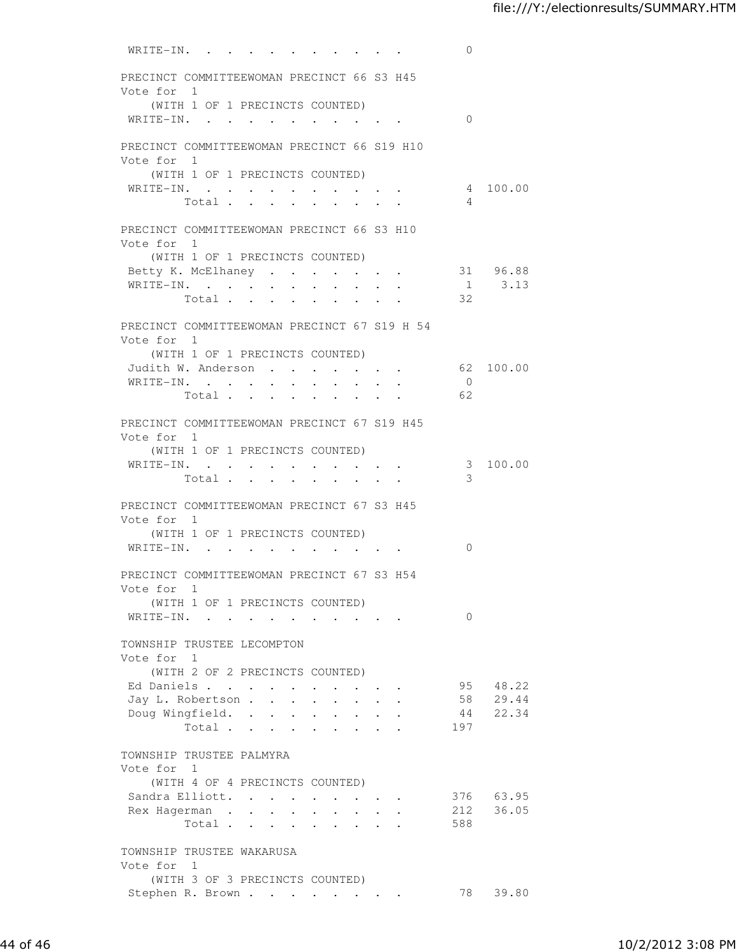| WRITE-IN.                                    |         |                                        |                                  |                                         |                      |                      |                                                             |                                                        | 0              |             |
|----------------------------------------------|---------|----------------------------------------|----------------------------------|-----------------------------------------|----------------------|----------------------|-------------------------------------------------------------|--------------------------------------------------------|----------------|-------------|
| PRECINCT COMMITTEEWOMAN PRECINCT 66 S3 H45   |         |                                        |                                  |                                         |                      |                      |                                                             |                                                        |                |             |
| Vote for 1                                   |         |                                        |                                  |                                         |                      |                      |                                                             |                                                        |                |             |
| (WITH 1 OF 1 PRECINCTS COUNTED)              |         |                                        |                                  |                                         |                      |                      |                                                             |                                                        |                |             |
| WRITE-IN.                                    |         |                                        |                                  |                                         |                      |                      |                                                             |                                                        | $\Omega$       |             |
|                                              |         |                                        |                                  |                                         |                      |                      |                                                             |                                                        |                |             |
| PRECINCT COMMITTEEWOMAN PRECINCT 66 S19 H10  |         |                                        |                                  |                                         |                      |                      |                                                             |                                                        |                |             |
| Vote for 1                                   |         |                                        |                                  |                                         |                      |                      |                                                             |                                                        |                |             |
| (WITH 1 OF 1 PRECINCTS COUNTED)              |         |                                        |                                  |                                         |                      |                      |                                                             |                                                        |                |             |
| WRITE-IN.                                    |         |                                        | $\bullet$ . The set of $\bullet$ | $\bullet$ .<br><br><br><br><br><br><br> |                      |                      | $\bullet$ .                                                 |                                                        |                | 4 100.00    |
|                                              | Total . | $\mathbf{r}$ . The set of $\mathbf{r}$ |                                  |                                         |                      |                      |                                                             |                                                        | $\overline{4}$ |             |
| PRECINCT COMMITTEEWOMAN PRECINCT 66 S3 H10   |         |                                        |                                  |                                         |                      |                      |                                                             |                                                        |                |             |
| Vote for 1                                   |         |                                        |                                  |                                         |                      |                      |                                                             |                                                        |                |             |
| (WITH 1 OF 1 PRECINCTS COUNTED)              |         |                                        |                                  |                                         |                      |                      |                                                             |                                                        |                |             |
| Betty K. McElhaney 31 96.88                  |         |                                        |                                  |                                         |                      |                      |                                                             |                                                        |                |             |
| WRITE-IN.                                    |         |                                        |                                  |                                         |                      |                      |                                                             |                                                        |                | $1 \t 3.13$ |
|                                              |         |                                        |                                  |                                         |                      |                      |                                                             |                                                        | Total 32       |             |
|                                              |         |                                        |                                  |                                         |                      |                      |                                                             |                                                        |                |             |
| PRECINCT COMMITTEEWOMAN PRECINCT 67 S19 H 54 |         |                                        |                                  |                                         |                      |                      |                                                             |                                                        |                |             |
| Vote for 1                                   |         |                                        |                                  |                                         |                      |                      |                                                             |                                                        |                |             |
| (WITH 1 OF 1 PRECINCTS COUNTED)              |         |                                        |                                  |                                         |                      |                      |                                                             |                                                        |                |             |
| Judith W. Anderson                           |         |                                        |                                  |                                         |                      | $\ddot{\phantom{0}}$ | $\bullet$ .<br><br><br><br><br><br><br><br><br><br><br><br> | <b>Service</b> State                                   |                | 62 100.00   |
| WRITE-IN.                                    |         |                                        |                                  |                                         |                      |                      |                                                             |                                                        | $\overline{0}$ |             |
|                                              | Total   |                                        |                                  | $\ddot{\phantom{a}}$                    |                      |                      | $\ddot{\phantom{a}}$                                        |                                                        | 62             |             |
| PRECINCT COMMITTEEWOMAN PRECINCT 67 S19 H45  |         |                                        |                                  |                                         |                      |                      |                                                             |                                                        |                |             |
| Vote for 1                                   |         |                                        |                                  |                                         |                      |                      |                                                             |                                                        |                |             |
| (WITH 1 OF 1 PRECINCTS COUNTED)              |         |                                        |                                  |                                         |                      |                      |                                                             |                                                        |                |             |
| WRITE-IN.                                    |         |                                        |                                  |                                         |                      |                      |                                                             |                                                        | 3              | 100.00      |
|                                              | Total   |                                        |                                  |                                         |                      |                      |                                                             | $\bullet \qquad \bullet \qquad \bullet \qquad \bullet$ | 3              |             |
|                                              |         |                                        |                                  |                                         |                      |                      |                                                             |                                                        |                |             |
| PRECINCT COMMITTEEWOMAN PRECINCT 67 S3 H45   |         |                                        |                                  |                                         |                      |                      |                                                             |                                                        |                |             |
| Vote for 1                                   |         |                                        |                                  |                                         |                      |                      |                                                             |                                                        |                |             |
| (WITH 1 OF 1 PRECINCTS COUNTED)              |         |                                        |                                  |                                         |                      |                      |                                                             |                                                        |                |             |
| WRITE-IN.                                    |         |                                        |                                  |                                         |                      |                      |                                                             | $\cdot$ $\cdot$ $\cdot$ $\cdot$                        | 0              |             |
| PRECINCT COMMITTEEWOMAN PRECINCT 67 S3 H54   |         |                                        |                                  |                                         |                      |                      |                                                             |                                                        |                |             |
| Vote for 1                                   |         |                                        |                                  |                                         |                      |                      |                                                             |                                                        |                |             |
| (WITH 1 OF 1 PRECINCTS COUNTED)              |         |                                        |                                  |                                         |                      |                      |                                                             |                                                        |                |             |
| WRITE-IN.                                    |         |                                        |                                  |                                         |                      |                      |                                                             | $\cdot$ $\cdot$ $\cdot$                                | $\Omega$       |             |
|                                              |         |                                        |                                  |                                         |                      |                      |                                                             |                                                        |                |             |
| TOWNSHIP TRUSTEE LECOMPTON                   |         |                                        |                                  |                                         |                      |                      |                                                             |                                                        |                |             |
| Vote for 1                                   |         |                                        |                                  |                                         |                      |                      |                                                             |                                                        |                |             |
| (WITH 2 OF 2 PRECINCTS COUNTED)              |         |                                        |                                  |                                         |                      |                      |                                                             |                                                        |                |             |
| Ed Daniels                                   |         |                                        | $\sim$                           | $\sim$                                  |                      |                      |                                                             |                                                        |                | 95 48.22    |
| Jay L. Robertson                             |         |                                        |                                  | $\sim$                                  |                      |                      |                                                             |                                                        |                | 58 29.44    |
| Doug Wingfield. .                            |         |                                        | $\sim$                           | $\ddot{\phantom{0}}$                    | $\sim$ 10 $\pm$      | $\bullet$ .          | $\ddot{\phantom{0}}$                                        |                                                        |                | 44 22.34    |
|                                              | Total   |                                        |                                  |                                         | $\ddot{\phantom{0}}$ | $\mathbf{L}$         |                                                             | $\mathbf{r} = \mathbf{r}$                              | 197            |             |
| TOWNSHIP TRUSTEE PALMYRA                     |         |                                        |                                  |                                         |                      |                      |                                                             |                                                        |                |             |
| Vote for 1                                   |         |                                        |                                  |                                         |                      |                      |                                                             |                                                        |                |             |
| (WITH 4 OF 4 PRECINCTS COUNTED)              |         |                                        |                                  |                                         |                      |                      |                                                             |                                                        |                |             |
| Sandra Elliott.                              |         |                                        |                                  |                                         |                      |                      |                                                             |                                                        |                | 376 63.95   |
| Rex Hagerman                                 |         |                                        |                                  |                                         |                      |                      |                                                             | $\bullet$ . In the case of the case of the $\sim$      |                | 212 36.05   |
|                                              | Total   |                                        |                                  |                                         |                      |                      |                                                             |                                                        | 588            |             |
|                                              |         |                                        |                                  |                                         |                      |                      |                                                             |                                                        |                |             |
| TOWNSHIP TRUSTEE WAKARUSA                    |         |                                        |                                  |                                         |                      |                      |                                                             |                                                        |                |             |
| Vote for 1                                   |         |                                        |                                  |                                         |                      |                      |                                                             |                                                        |                |             |
| (WITH 3 OF 3 PRECINCTS COUNTED)              |         |                                        |                                  |                                         |                      |                      |                                                             |                                                        |                |             |
| Stephen R. Brown                             |         |                                        |                                  |                                         |                      |                      |                                                             |                                                        | 78             | 39.80       |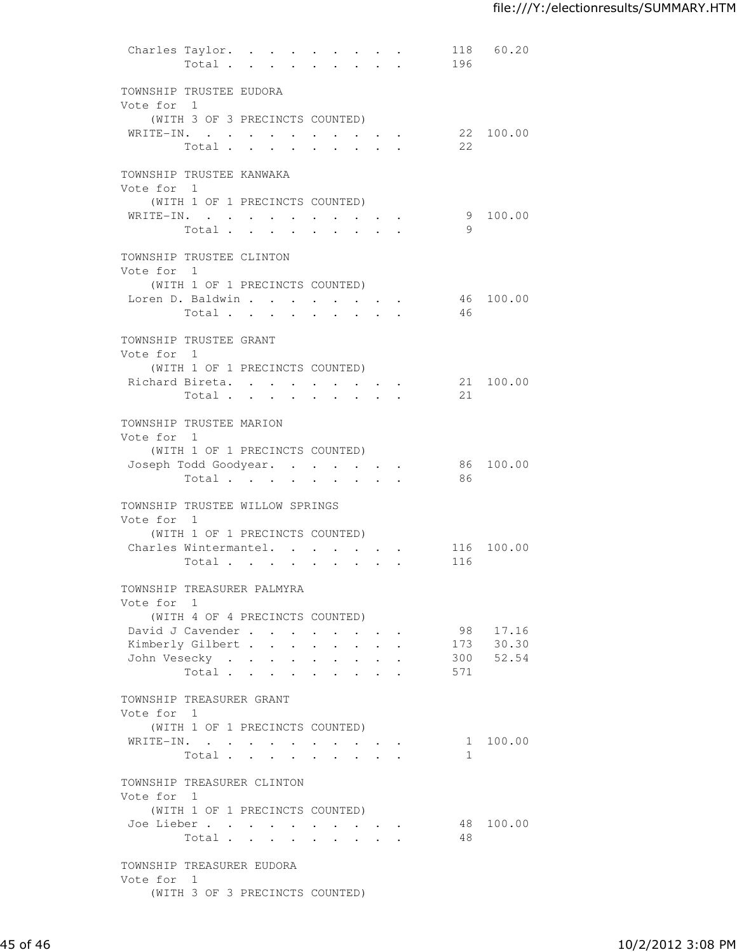|                                               | Charles Taylor.<br>Total                     |                 | $\bullet$    | $\sim$ | $\mathbf{L}$                                       | $\mathbf{z} = \mathbf{z} + \mathbf{z}$ . | $\sim$ $\sim$ $\sim$ | 196 | 118 60.20          |
|-----------------------------------------------|----------------------------------------------|-----------------|--------------|--------|----------------------------------------------------|------------------------------------------|----------------------|-----|--------------------|
| TOWNSHIP TRUSTEE EUDORA                       |                                              |                 |              |        |                                                    |                                          |                      |     |                    |
| Vote for 1                                    |                                              |                 |              |        |                                                    |                                          |                      |     |                    |
|                                               | (WITH 3 OF 3 PRECINCTS COUNTED)<br>WRITE-IN. |                 |              |        |                                                    |                                          |                      |     | 22 100.00          |
|                                               | Total                                        |                 |              |        |                                                    |                                          |                      | 22  |                    |
| TOWNSHIP TRUSTEE KANWAKA<br>Vote for 1        |                                              |                 |              |        |                                                    |                                          |                      |     |                    |
|                                               | (WITH 1 OF 1 PRECINCTS COUNTED)              |                 |              |        |                                                    |                                          |                      |     |                    |
|                                               | WRITE-IN.<br>Total                           | $\sim 10^{-10}$ |              |        | $\cdot$ $\cdot$ $\cdot$ $\cdot$                    |                                          |                      | 9   | 9 100.00           |
| TOWNSHIP TRUSTEE CLINTON                      |                                              |                 |              |        |                                                    |                                          |                      |     |                    |
| Vote for 1                                    | (WITH 1 OF 1 PRECINCTS COUNTED)              |                 |              |        |                                                    |                                          |                      |     |                    |
|                                               | Loren D. Baldwin                             |                 |              |        |                                                    |                                          |                      |     | 46 100.00          |
|                                               | Total                                        |                 |              |        |                                                    |                                          |                      | 46  |                    |
| TOWNSHIP TRUSTEE GRANT<br>Vote for 1          |                                              |                 |              |        |                                                    |                                          |                      |     |                    |
|                                               | (WITH 1 OF 1 PRECINCTS COUNTED)              |                 |              |        |                                                    |                                          |                      |     |                    |
|                                               | Richard Bireta.                              |                 |              |        | $\cdot$ $\cdot$ $\cdot$ $\cdot$                    |                                          |                      |     | 21 100.00          |
|                                               | Total                                        |                 | $\mathbf{L}$ |        | $\mathbf{r}$ , $\mathbf{r}$                        |                                          |                      | 21  |                    |
| TOWNSHIP TRUSTEE MARION<br>Vote for 1         |                                              |                 |              |        |                                                    |                                          |                      |     |                    |
|                                               | (WITH 1 OF 1 PRECINCTS COUNTED)              |                 |              |        |                                                    |                                          |                      |     |                    |
|                                               | Joseph Todd Goodyear.<br>Total               |                 |              |        |                                                    |                                          |                      | 86  | 86 100.00          |
| TOWNSHIP TRUSTEE WILLOW SPRINGS<br>Vote for 1 |                                              |                 |              |        |                                                    |                                          |                      |     |                    |
|                                               | (WITH 1 OF 1 PRECINCTS COUNTED)              |                 |              |        |                                                    |                                          |                      |     |                    |
|                                               | Charles Wintermantel.                        |                 |              |        | $\mathbf{r}$ , and $\mathbf{r}$ , and $\mathbf{r}$ | $\sim$                                   |                      |     | 116 100.00         |
|                                               | Total                                        |                 |              |        |                                                    |                                          |                      | 116 |                    |
| TOWNSHIP TREASURER PALMYRA<br>Vote for 1      |                                              |                 |              |        |                                                    |                                          |                      |     |                    |
|                                               | (WITH 4 OF 4 PRECINCTS COUNTED)              |                 |              |        |                                                    |                                          |                      |     |                    |
|                                               | David J Cavender                             |                 |              |        |                                                    |                                          |                      | 98  | 17.16              |
|                                               | Kimberly Gilbert                             |                 |              |        |                                                    |                                          |                      | 300 | 173 30.30<br>52.54 |
|                                               | John Vesecky<br>Total                        |                 |              |        |                                                    |                                          |                      | 571 |                    |
| TOWNSHIP TREASURER GRANT<br>Vote for 1        |                                              |                 |              |        |                                                    |                                          |                      |     |                    |
|                                               | (WITH 1 OF 1 PRECINCTS COUNTED)              |                 |              |        |                                                    |                                          |                      |     |                    |
|                                               | WRITE-IN.                                    |                 |              |        |                                                    |                                          |                      |     | 1 100.00           |
|                                               | Total                                        |                 |              |        |                                                    |                                          |                      | 1   |                    |
| TOWNSHIP TREASURER CLINTON<br>Vote for 1      |                                              |                 |              |        |                                                    |                                          |                      |     |                    |
|                                               | (WITH 1 OF 1 PRECINCTS COUNTED)              |                 |              |        |                                                    |                                          |                      |     |                    |
|                                               | Joe Lieber<br>Total                          |                 |              |        |                                                    |                                          |                      | 48  | 48 100.00          |
| TOWNSHIP TREASURER EUDORA<br>Vote for 1       |                                              |                 |              |        |                                                    |                                          |                      |     |                    |
|                                               | (WITH 3 OF 3 PRECINCTS COUNTED)              |                 |              |        |                                                    |                                          |                      |     |                    |